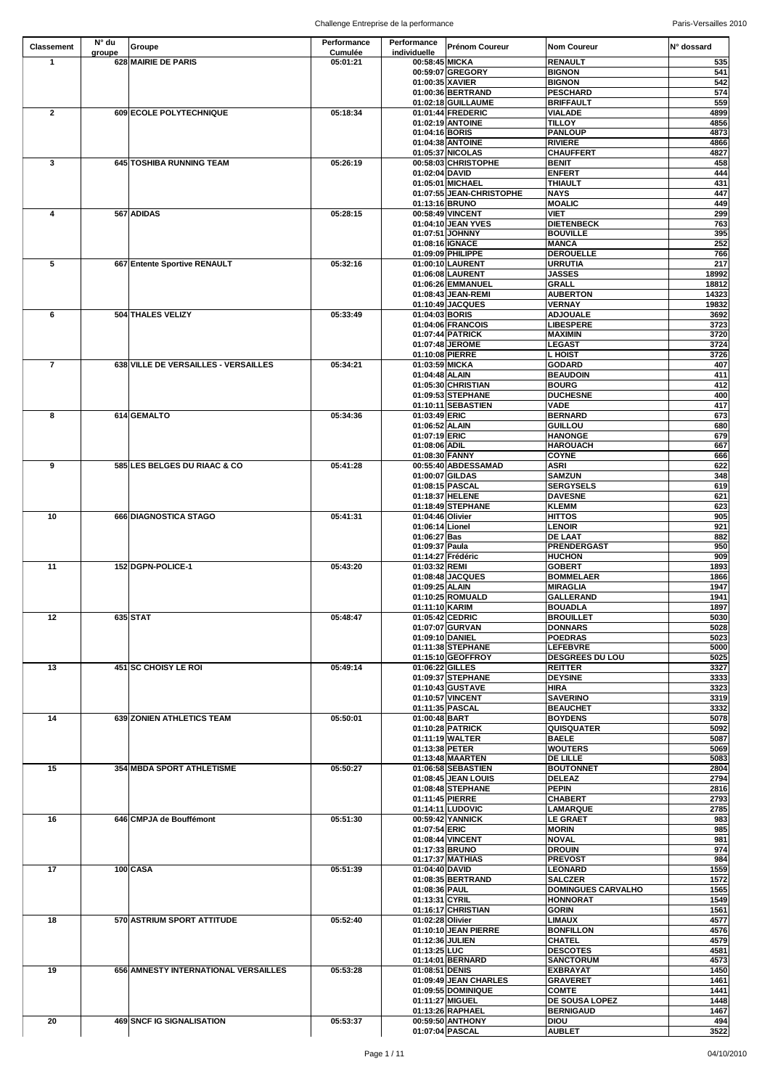| <b>Cumulée</b><br>individuelle<br>groupe<br>628 MAIRIE DE PARIS<br>00:58:45 MICKA<br>05:01:21<br><b>RENAULT</b><br>$\blacktriangleleft$<br>00:59:07 GREGORY<br><b>BIGNON</b><br>01:00:35 XAVIER<br><b>BIGNON</b><br>01:00:36 BERTRAND<br><b>PESCHARD</b><br>01:02:18 GUILLAUME<br><b>BRIFFAULT</b><br>05:18:34<br>01:01:44 FREDERIC<br>$\overline{2}$<br>609 ECOLE POLYTECHNIQUE<br><b>VIALADE</b><br>01:02:19 ANTOINE<br><b>TILLOY</b><br><b>PANLOUP</b><br>01:04:16 BORIS<br><b>RIVIERE</b><br>01:04:38 ANTOINE<br><b>CHAUFFERT</b><br>01:05:37 NICOLAS<br>$\mathbf{3}$<br>645 TOSHIBA RUNNING TEAM<br>05:26:19<br>00:58:03 CHRISTOPHE<br><b>BENIT</b><br><b>ENFERT</b><br>01:02:04 DAVID<br>01:05:01 MICHAEL<br><b>THIAULT</b><br>01:07:55 JEAN-CHRISTOPHE<br><b>NAYS</b><br><b>MOALIC</b><br>01:13:16 BRUNO<br>567 ADIDAS<br>05:28:15<br>00:58:49 VINCENT<br><b>VIET</b><br>4<br>01:04:10 JEAN YVES<br><b>DIETENBECK</b><br>01:07:51 JOHNNY<br><b>BOUVILLE</b><br>01:08:16 IGNACE<br><b>MANCA</b><br>01:09:09 PHILIPPE<br><b>DEROUELLE</b><br>$5\phantom{.0}$<br>667 Entente Sportive RENAULT<br>05:32:16<br>01:00:10 LAURENT<br><b>URRUTIA</b><br>01:06:08 LAURENT<br><b>JASSES</b><br><b>GRALL</b><br>01:06:26 EMMANUEL<br>01:08:43 JEAN-REMI<br><b>AUBERTON</b><br>01:10:49 JACQUES<br><b>VERNAY</b><br>19832<br>504 THALES VELIZY<br>05:33:49<br>6<br>01:04:03 BORIS<br><b>ADJOUALE</b><br>01:04:06 FRANCOIS<br><b>LIBESPERE</b><br><b>MAXIMIN</b><br>01:07:44 PATRICK<br>01:07:48 JEROME<br><b>LEGAST</b><br>01:10:08 PIERRE<br><b>L</b> HOIST<br>05:34:21<br>$\overline{7}$<br>638 VILLE DE VERSAILLES - VERSAILLES<br>01:03:59 MICKA<br><b>GODARD</b><br>01:04:48 ALAIN<br><b>BEAUDOIN</b><br>01:05:30 CHRISTIAN<br><b>BOURG</b><br>01:09:53 STEPHANE<br><b>DUCHESNE</b><br><b>VADE</b><br>01:10:11 SEBASTIEN<br>614 GEMALTO<br>05:34:36<br>01:03:49 ERIC<br><b>BERNARD</b><br>8<br><b>GUILLOU</b><br>01:06:52 ALAIN<br>01:07:19 ERIC<br><b>HANONGE</b><br>01:08:06 ADIL<br><b>HAROUACH</b><br><b>COYNE</b><br>01:08:30 FANNY<br>9<br>05:41:28<br>00:55:40 ABDESSAMAD<br><b>ASRI</b><br>585 LES BELGES DU RIAAC & CO<br>01:00:07 GILDAS<br><b>SAMZUN</b><br>01:08:15 PASCAL<br><b>SERGYSELS</b><br>01:18:37 HELENE<br><b>DAVESNE</b><br><b>KLEMM</b><br>01:18:49 STEPHANE<br>10<br>666 DIAGNOSTICA STAGO<br>05:41:31<br><b>HITTOS</b><br>01:04:46 Olivier<br>01:06:14 Lionel<br><b>LENOIR</b><br><b>DE LAAT</b><br>01:06:27 Bas<br><b>PRENDERGAST</b><br>01:09:37 Paula<br>01:14:27 Frédéric<br><b>HUCHON</b><br>11<br>05:43:20<br>152 DGPN-POLICE-1<br>01:03:32 REMI<br><b>GOBERT</b><br>01:08:48 JACQUES<br><b>BOMMELAER</b><br>01:09:25 ALAIN<br><b>MIRAGLIA</b><br>01:10:25 ROMUALD<br><b>GALLERAND</b><br>01:11:10 KARIM<br><b>BOUADLA</b><br>635 STAT<br>12<br>05:48:47<br>01:05:42 CEDRIC<br><b>BROUILLET</b><br><b>DONNARS</b><br>01:07:07 GURVAN<br>01:09:10 DANIEL<br><b>POEDRAS</b><br>01:11:38 STEPHANE<br><b>LEFEBVRE</b><br><b>DESGREES DU LOU</b><br>01:15:10 GEOFFROY<br>13<br>451 SC CHOISY LE ROI<br>05:49:14<br>01:06:22 GILLES<br><b>REITTER</b><br>01:09:37 STEPHANE<br><b>DEYSINE</b><br><b>HIRA</b><br>01:10:43 GUSTAVE<br>01:10:57 VINCENT<br><b>SAVERINO</b><br>01:11:35 PASCAL<br><b>BEAUCHET</b><br>14<br><b>639 ZONIEN ATHLETICS TEAM</b><br>05:50:01<br>01:00:48 BART<br><b>BOYDENS</b><br><b>QUISQUATER</b><br>01:10:28 PATRICK<br>01:11:19 WALTER<br><b>BAELE</b><br><b>WOUTERS</b><br>01:13:38 PETER<br><b>DE LILLE</b><br>01:13:48 MAARTEN<br>15<br>354 MBDA SPORT ATHLETISME<br>05:50:27<br>01:06:58 SEBASTIEN<br><b>BOUTONNET</b><br>01:08:45 JEAN LOUIS<br><b>DELEAZ</b><br><b>PEPIN</b><br>01:08:48 STEPHANE<br>01:11:45 PIERRE<br><b>CHABERT</b><br>01:14:11 LUDOVIC<br><b>LAMARQUE</b><br>16<br>05:51:30<br>00:59:42 YANNICK<br>646 CMPJA de Bouffémont<br><b>LE GRAET</b><br>01:07:54 ERIC<br><b>MORIN</b><br><b>NOVAL</b><br>01:08:44 VINCENT<br>01:17:33 BRUNO<br><b>DROUIN</b><br>01:17:37 MATHIAS<br><b>PREVOST</b><br>100 CASA<br>17<br>05:51:39<br>01:04:40 DAVID<br><b>LEONARD</b><br><b>SALCZER</b><br>01:08:35 BERTRAND<br><b>DOMINGUES CARVALHO</b><br>01:08:36 PAUL<br>01:13:31 CYRIL<br>HONNORAT<br>01:16:17 CHRISTIAN<br><b>GORIN</b><br>05:52:40<br><b>LIMAUX</b><br>18<br>570 ASTRIUM SPORT ATTITUDE<br>01:02:28 Olivier<br>01:10:10 JEAN PIERRE<br><b>BONFILLON</b><br><b>CHATEL</b><br>01:12:36 JULIEN<br>01:13:25 LUC<br><b>DESCOTES</b><br>01:14:01 BERNARD<br><b>SANCTORUM</b><br>19<br>656 AMNESTY INTERNATIONAL VERSAILLES<br>05:53:28<br>01:08:51 DENIS<br><b>EXBRAYAT</b><br>01:09:49 JEAN CHARLES<br><b>GRAVERET</b><br><b>COMTE</b><br>01:09:55 DOMINIQUE<br>01:11:27 MIGUEL<br><b>DE SOUSA LOPEZ</b><br>01:13:26 RAPHAEL<br><b>BERNIGAUD</b><br>05:53:37<br>00:59:50 ANTHONY<br><b>DIOU</b><br>20<br><b>469 SNCF IG SIGNALISATION</b><br>01:07:04 PASCAL | <b>Classement</b> | N° du | Groupe | Performance | Performance | <b>Prénom Coureur</b> | <b>Nom Coureur</b> | IN° dossard      |
|----------------------------------------------------------------------------------------------------------------------------------------------------------------------------------------------------------------------------------------------------------------------------------------------------------------------------------------------------------------------------------------------------------------------------------------------------------------------------------------------------------------------------------------------------------------------------------------------------------------------------------------------------------------------------------------------------------------------------------------------------------------------------------------------------------------------------------------------------------------------------------------------------------------------------------------------------------------------------------------------------------------------------------------------------------------------------------------------------------------------------------------------------------------------------------------------------------------------------------------------------------------------------------------------------------------------------------------------------------------------------------------------------------------------------------------------------------------------------------------------------------------------------------------------------------------------------------------------------------------------------------------------------------------------------------------------------------------------------------------------------------------------------------------------------------------------------------------------------------------------------------------------------------------------------------------------------------------------------------------------------------------------------------------------------------------------------------------------------------------------------------------------------------------------------------------------------------------------------------------------------------------------------------------------------------------------------------------------------------------------------------------------------------------------------------------------------------------------------------------------------------------------------------------------------------------------------------------------------------------------------------------------------------------------------------------------------------------------------------------------------------------------------------------------------------------------------------------------------------------------------------------------------------------------------------------------------------------------------------------------------------------------------------------------------------------------------------------------------------------------------------------------------------------------------------------------------------------------------------------------------------------------------------------------------------------------------------------------------------------------------------------------------------------------------------------------------------------------------------------------------------------------------------------------------------------------------------------------------------------------------------------------------------------------------------------------------------------------------------------------------------------------------------------------------------------------------------------------------------------------------------------------------------------------------------------------------------------------------------------------------------------------------------------------------------------------------------------------------------------------------------------------------------------------------------------------------------------------------------------------------------------------------------------------------------------------------------------------------------------------------------------------------------------------------------------------------------------------------------------------------------------------------------------------------------------------------------------------------------------------------------------------------------------------------------------------------------------------------------------------------------------------------------------------------------------------------------------|-------------------|-------|--------|-------------|-------------|-----------------------|--------------------|------------------|
|                                                                                                                                                                                                                                                                                                                                                                                                                                                                                                                                                                                                                                                                                                                                                                                                                                                                                                                                                                                                                                                                                                                                                                                                                                                                                                                                                                                                                                                                                                                                                                                                                                                                                                                                                                                                                                                                                                                                                                                                                                                                                                                                                                                                                                                                                                                                                                                                                                                                                                                                                                                                                                                                                                                                                                                                                                                                                                                                                                                                                                                                                                                                                                                                                                                                                                                                                                                                                                                                                                                                                                                                                                                                                                                                                                                                                                                                                                                                                                                                                                                                                                                                                                                                                                                                                                                                                                                                                                                                                                                                                                                                                                                                                                                                                                                                                                        |                   |       |        |             |             |                       |                    | 535              |
|                                                                                                                                                                                                                                                                                                                                                                                                                                                                                                                                                                                                                                                                                                                                                                                                                                                                                                                                                                                                                                                                                                                                                                                                                                                                                                                                                                                                                                                                                                                                                                                                                                                                                                                                                                                                                                                                                                                                                                                                                                                                                                                                                                                                                                                                                                                                                                                                                                                                                                                                                                                                                                                                                                                                                                                                                                                                                                                                                                                                                                                                                                                                                                                                                                                                                                                                                                                                                                                                                                                                                                                                                                                                                                                                                                                                                                                                                                                                                                                                                                                                                                                                                                                                                                                                                                                                                                                                                                                                                                                                                                                                                                                                                                                                                                                                                                        |                   |       |        |             |             |                       |                    | 541              |
|                                                                                                                                                                                                                                                                                                                                                                                                                                                                                                                                                                                                                                                                                                                                                                                                                                                                                                                                                                                                                                                                                                                                                                                                                                                                                                                                                                                                                                                                                                                                                                                                                                                                                                                                                                                                                                                                                                                                                                                                                                                                                                                                                                                                                                                                                                                                                                                                                                                                                                                                                                                                                                                                                                                                                                                                                                                                                                                                                                                                                                                                                                                                                                                                                                                                                                                                                                                                                                                                                                                                                                                                                                                                                                                                                                                                                                                                                                                                                                                                                                                                                                                                                                                                                                                                                                                                                                                                                                                                                                                                                                                                                                                                                                                                                                                                                                        |                   |       |        |             |             |                       |                    | 542              |
|                                                                                                                                                                                                                                                                                                                                                                                                                                                                                                                                                                                                                                                                                                                                                                                                                                                                                                                                                                                                                                                                                                                                                                                                                                                                                                                                                                                                                                                                                                                                                                                                                                                                                                                                                                                                                                                                                                                                                                                                                                                                                                                                                                                                                                                                                                                                                                                                                                                                                                                                                                                                                                                                                                                                                                                                                                                                                                                                                                                                                                                                                                                                                                                                                                                                                                                                                                                                                                                                                                                                                                                                                                                                                                                                                                                                                                                                                                                                                                                                                                                                                                                                                                                                                                                                                                                                                                                                                                                                                                                                                                                                                                                                                                                                                                                                                                        |                   |       |        |             |             |                       |                    | 574<br>559       |
|                                                                                                                                                                                                                                                                                                                                                                                                                                                                                                                                                                                                                                                                                                                                                                                                                                                                                                                                                                                                                                                                                                                                                                                                                                                                                                                                                                                                                                                                                                                                                                                                                                                                                                                                                                                                                                                                                                                                                                                                                                                                                                                                                                                                                                                                                                                                                                                                                                                                                                                                                                                                                                                                                                                                                                                                                                                                                                                                                                                                                                                                                                                                                                                                                                                                                                                                                                                                                                                                                                                                                                                                                                                                                                                                                                                                                                                                                                                                                                                                                                                                                                                                                                                                                                                                                                                                                                                                                                                                                                                                                                                                                                                                                                                                                                                                                                        |                   |       |        |             |             |                       |                    | 4899             |
|                                                                                                                                                                                                                                                                                                                                                                                                                                                                                                                                                                                                                                                                                                                                                                                                                                                                                                                                                                                                                                                                                                                                                                                                                                                                                                                                                                                                                                                                                                                                                                                                                                                                                                                                                                                                                                                                                                                                                                                                                                                                                                                                                                                                                                                                                                                                                                                                                                                                                                                                                                                                                                                                                                                                                                                                                                                                                                                                                                                                                                                                                                                                                                                                                                                                                                                                                                                                                                                                                                                                                                                                                                                                                                                                                                                                                                                                                                                                                                                                                                                                                                                                                                                                                                                                                                                                                                                                                                                                                                                                                                                                                                                                                                                                                                                                                                        |                   |       |        |             |             |                       |                    | 4856             |
|                                                                                                                                                                                                                                                                                                                                                                                                                                                                                                                                                                                                                                                                                                                                                                                                                                                                                                                                                                                                                                                                                                                                                                                                                                                                                                                                                                                                                                                                                                                                                                                                                                                                                                                                                                                                                                                                                                                                                                                                                                                                                                                                                                                                                                                                                                                                                                                                                                                                                                                                                                                                                                                                                                                                                                                                                                                                                                                                                                                                                                                                                                                                                                                                                                                                                                                                                                                                                                                                                                                                                                                                                                                                                                                                                                                                                                                                                                                                                                                                                                                                                                                                                                                                                                                                                                                                                                                                                                                                                                                                                                                                                                                                                                                                                                                                                                        |                   |       |        |             |             |                       |                    | 4873             |
|                                                                                                                                                                                                                                                                                                                                                                                                                                                                                                                                                                                                                                                                                                                                                                                                                                                                                                                                                                                                                                                                                                                                                                                                                                                                                                                                                                                                                                                                                                                                                                                                                                                                                                                                                                                                                                                                                                                                                                                                                                                                                                                                                                                                                                                                                                                                                                                                                                                                                                                                                                                                                                                                                                                                                                                                                                                                                                                                                                                                                                                                                                                                                                                                                                                                                                                                                                                                                                                                                                                                                                                                                                                                                                                                                                                                                                                                                                                                                                                                                                                                                                                                                                                                                                                                                                                                                                                                                                                                                                                                                                                                                                                                                                                                                                                                                                        |                   |       |        |             |             |                       |                    | 4866<br>4827     |
|                                                                                                                                                                                                                                                                                                                                                                                                                                                                                                                                                                                                                                                                                                                                                                                                                                                                                                                                                                                                                                                                                                                                                                                                                                                                                                                                                                                                                                                                                                                                                                                                                                                                                                                                                                                                                                                                                                                                                                                                                                                                                                                                                                                                                                                                                                                                                                                                                                                                                                                                                                                                                                                                                                                                                                                                                                                                                                                                                                                                                                                                                                                                                                                                                                                                                                                                                                                                                                                                                                                                                                                                                                                                                                                                                                                                                                                                                                                                                                                                                                                                                                                                                                                                                                                                                                                                                                                                                                                                                                                                                                                                                                                                                                                                                                                                                                        |                   |       |        |             |             |                       |                    | 458              |
|                                                                                                                                                                                                                                                                                                                                                                                                                                                                                                                                                                                                                                                                                                                                                                                                                                                                                                                                                                                                                                                                                                                                                                                                                                                                                                                                                                                                                                                                                                                                                                                                                                                                                                                                                                                                                                                                                                                                                                                                                                                                                                                                                                                                                                                                                                                                                                                                                                                                                                                                                                                                                                                                                                                                                                                                                                                                                                                                                                                                                                                                                                                                                                                                                                                                                                                                                                                                                                                                                                                                                                                                                                                                                                                                                                                                                                                                                                                                                                                                                                                                                                                                                                                                                                                                                                                                                                                                                                                                                                                                                                                                                                                                                                                                                                                                                                        |                   |       |        |             |             |                       |                    | 444              |
|                                                                                                                                                                                                                                                                                                                                                                                                                                                                                                                                                                                                                                                                                                                                                                                                                                                                                                                                                                                                                                                                                                                                                                                                                                                                                                                                                                                                                                                                                                                                                                                                                                                                                                                                                                                                                                                                                                                                                                                                                                                                                                                                                                                                                                                                                                                                                                                                                                                                                                                                                                                                                                                                                                                                                                                                                                                                                                                                                                                                                                                                                                                                                                                                                                                                                                                                                                                                                                                                                                                                                                                                                                                                                                                                                                                                                                                                                                                                                                                                                                                                                                                                                                                                                                                                                                                                                                                                                                                                                                                                                                                                                                                                                                                                                                                                                                        |                   |       |        |             |             |                       |                    | 431              |
|                                                                                                                                                                                                                                                                                                                                                                                                                                                                                                                                                                                                                                                                                                                                                                                                                                                                                                                                                                                                                                                                                                                                                                                                                                                                                                                                                                                                                                                                                                                                                                                                                                                                                                                                                                                                                                                                                                                                                                                                                                                                                                                                                                                                                                                                                                                                                                                                                                                                                                                                                                                                                                                                                                                                                                                                                                                                                                                                                                                                                                                                                                                                                                                                                                                                                                                                                                                                                                                                                                                                                                                                                                                                                                                                                                                                                                                                                                                                                                                                                                                                                                                                                                                                                                                                                                                                                                                                                                                                                                                                                                                                                                                                                                                                                                                                                                        |                   |       |        |             |             |                       |                    | 447<br>449       |
|                                                                                                                                                                                                                                                                                                                                                                                                                                                                                                                                                                                                                                                                                                                                                                                                                                                                                                                                                                                                                                                                                                                                                                                                                                                                                                                                                                                                                                                                                                                                                                                                                                                                                                                                                                                                                                                                                                                                                                                                                                                                                                                                                                                                                                                                                                                                                                                                                                                                                                                                                                                                                                                                                                                                                                                                                                                                                                                                                                                                                                                                                                                                                                                                                                                                                                                                                                                                                                                                                                                                                                                                                                                                                                                                                                                                                                                                                                                                                                                                                                                                                                                                                                                                                                                                                                                                                                                                                                                                                                                                                                                                                                                                                                                                                                                                                                        |                   |       |        |             |             |                       |                    | 299              |
|                                                                                                                                                                                                                                                                                                                                                                                                                                                                                                                                                                                                                                                                                                                                                                                                                                                                                                                                                                                                                                                                                                                                                                                                                                                                                                                                                                                                                                                                                                                                                                                                                                                                                                                                                                                                                                                                                                                                                                                                                                                                                                                                                                                                                                                                                                                                                                                                                                                                                                                                                                                                                                                                                                                                                                                                                                                                                                                                                                                                                                                                                                                                                                                                                                                                                                                                                                                                                                                                                                                                                                                                                                                                                                                                                                                                                                                                                                                                                                                                                                                                                                                                                                                                                                                                                                                                                                                                                                                                                                                                                                                                                                                                                                                                                                                                                                        |                   |       |        |             |             |                       |                    | 763              |
|                                                                                                                                                                                                                                                                                                                                                                                                                                                                                                                                                                                                                                                                                                                                                                                                                                                                                                                                                                                                                                                                                                                                                                                                                                                                                                                                                                                                                                                                                                                                                                                                                                                                                                                                                                                                                                                                                                                                                                                                                                                                                                                                                                                                                                                                                                                                                                                                                                                                                                                                                                                                                                                                                                                                                                                                                                                                                                                                                                                                                                                                                                                                                                                                                                                                                                                                                                                                                                                                                                                                                                                                                                                                                                                                                                                                                                                                                                                                                                                                                                                                                                                                                                                                                                                                                                                                                                                                                                                                                                                                                                                                                                                                                                                                                                                                                                        |                   |       |        |             |             |                       |                    | 395              |
|                                                                                                                                                                                                                                                                                                                                                                                                                                                                                                                                                                                                                                                                                                                                                                                                                                                                                                                                                                                                                                                                                                                                                                                                                                                                                                                                                                                                                                                                                                                                                                                                                                                                                                                                                                                                                                                                                                                                                                                                                                                                                                                                                                                                                                                                                                                                                                                                                                                                                                                                                                                                                                                                                                                                                                                                                                                                                                                                                                                                                                                                                                                                                                                                                                                                                                                                                                                                                                                                                                                                                                                                                                                                                                                                                                                                                                                                                                                                                                                                                                                                                                                                                                                                                                                                                                                                                                                                                                                                                                                                                                                                                                                                                                                                                                                                                                        |                   |       |        |             |             |                       |                    | 252<br>766       |
|                                                                                                                                                                                                                                                                                                                                                                                                                                                                                                                                                                                                                                                                                                                                                                                                                                                                                                                                                                                                                                                                                                                                                                                                                                                                                                                                                                                                                                                                                                                                                                                                                                                                                                                                                                                                                                                                                                                                                                                                                                                                                                                                                                                                                                                                                                                                                                                                                                                                                                                                                                                                                                                                                                                                                                                                                                                                                                                                                                                                                                                                                                                                                                                                                                                                                                                                                                                                                                                                                                                                                                                                                                                                                                                                                                                                                                                                                                                                                                                                                                                                                                                                                                                                                                                                                                                                                                                                                                                                                                                                                                                                                                                                                                                                                                                                                                        |                   |       |        |             |             |                       |                    | $\overline{217}$ |
|                                                                                                                                                                                                                                                                                                                                                                                                                                                                                                                                                                                                                                                                                                                                                                                                                                                                                                                                                                                                                                                                                                                                                                                                                                                                                                                                                                                                                                                                                                                                                                                                                                                                                                                                                                                                                                                                                                                                                                                                                                                                                                                                                                                                                                                                                                                                                                                                                                                                                                                                                                                                                                                                                                                                                                                                                                                                                                                                                                                                                                                                                                                                                                                                                                                                                                                                                                                                                                                                                                                                                                                                                                                                                                                                                                                                                                                                                                                                                                                                                                                                                                                                                                                                                                                                                                                                                                                                                                                                                                                                                                                                                                                                                                                                                                                                                                        |                   |       |        |             |             |                       |                    | 18992            |
|                                                                                                                                                                                                                                                                                                                                                                                                                                                                                                                                                                                                                                                                                                                                                                                                                                                                                                                                                                                                                                                                                                                                                                                                                                                                                                                                                                                                                                                                                                                                                                                                                                                                                                                                                                                                                                                                                                                                                                                                                                                                                                                                                                                                                                                                                                                                                                                                                                                                                                                                                                                                                                                                                                                                                                                                                                                                                                                                                                                                                                                                                                                                                                                                                                                                                                                                                                                                                                                                                                                                                                                                                                                                                                                                                                                                                                                                                                                                                                                                                                                                                                                                                                                                                                                                                                                                                                                                                                                                                                                                                                                                                                                                                                                                                                                                                                        |                   |       |        |             |             |                       |                    | 18812            |
|                                                                                                                                                                                                                                                                                                                                                                                                                                                                                                                                                                                                                                                                                                                                                                                                                                                                                                                                                                                                                                                                                                                                                                                                                                                                                                                                                                                                                                                                                                                                                                                                                                                                                                                                                                                                                                                                                                                                                                                                                                                                                                                                                                                                                                                                                                                                                                                                                                                                                                                                                                                                                                                                                                                                                                                                                                                                                                                                                                                                                                                                                                                                                                                                                                                                                                                                                                                                                                                                                                                                                                                                                                                                                                                                                                                                                                                                                                                                                                                                                                                                                                                                                                                                                                                                                                                                                                                                                                                                                                                                                                                                                                                                                                                                                                                                                                        |                   |       |        |             |             |                       |                    | 14323            |
|                                                                                                                                                                                                                                                                                                                                                                                                                                                                                                                                                                                                                                                                                                                                                                                                                                                                                                                                                                                                                                                                                                                                                                                                                                                                                                                                                                                                                                                                                                                                                                                                                                                                                                                                                                                                                                                                                                                                                                                                                                                                                                                                                                                                                                                                                                                                                                                                                                                                                                                                                                                                                                                                                                                                                                                                                                                                                                                                                                                                                                                                                                                                                                                                                                                                                                                                                                                                                                                                                                                                                                                                                                                                                                                                                                                                                                                                                                                                                                                                                                                                                                                                                                                                                                                                                                                                                                                                                                                                                                                                                                                                                                                                                                                                                                                                                                        |                   |       |        |             |             |                       |                    | 3692             |
|                                                                                                                                                                                                                                                                                                                                                                                                                                                                                                                                                                                                                                                                                                                                                                                                                                                                                                                                                                                                                                                                                                                                                                                                                                                                                                                                                                                                                                                                                                                                                                                                                                                                                                                                                                                                                                                                                                                                                                                                                                                                                                                                                                                                                                                                                                                                                                                                                                                                                                                                                                                                                                                                                                                                                                                                                                                                                                                                                                                                                                                                                                                                                                                                                                                                                                                                                                                                                                                                                                                                                                                                                                                                                                                                                                                                                                                                                                                                                                                                                                                                                                                                                                                                                                                                                                                                                                                                                                                                                                                                                                                                                                                                                                                                                                                                                                        |                   |       |        |             |             |                       |                    | 3723             |
|                                                                                                                                                                                                                                                                                                                                                                                                                                                                                                                                                                                                                                                                                                                                                                                                                                                                                                                                                                                                                                                                                                                                                                                                                                                                                                                                                                                                                                                                                                                                                                                                                                                                                                                                                                                                                                                                                                                                                                                                                                                                                                                                                                                                                                                                                                                                                                                                                                                                                                                                                                                                                                                                                                                                                                                                                                                                                                                                                                                                                                                                                                                                                                                                                                                                                                                                                                                                                                                                                                                                                                                                                                                                                                                                                                                                                                                                                                                                                                                                                                                                                                                                                                                                                                                                                                                                                                                                                                                                                                                                                                                                                                                                                                                                                                                                                                        |                   |       |        |             |             |                       |                    | 3720             |
|                                                                                                                                                                                                                                                                                                                                                                                                                                                                                                                                                                                                                                                                                                                                                                                                                                                                                                                                                                                                                                                                                                                                                                                                                                                                                                                                                                                                                                                                                                                                                                                                                                                                                                                                                                                                                                                                                                                                                                                                                                                                                                                                                                                                                                                                                                                                                                                                                                                                                                                                                                                                                                                                                                                                                                                                                                                                                                                                                                                                                                                                                                                                                                                                                                                                                                                                                                                                                                                                                                                                                                                                                                                                                                                                                                                                                                                                                                                                                                                                                                                                                                                                                                                                                                                                                                                                                                                                                                                                                                                                                                                                                                                                                                                                                                                                                                        |                   |       |        |             |             |                       |                    | 3724             |
|                                                                                                                                                                                                                                                                                                                                                                                                                                                                                                                                                                                                                                                                                                                                                                                                                                                                                                                                                                                                                                                                                                                                                                                                                                                                                                                                                                                                                                                                                                                                                                                                                                                                                                                                                                                                                                                                                                                                                                                                                                                                                                                                                                                                                                                                                                                                                                                                                                                                                                                                                                                                                                                                                                                                                                                                                                                                                                                                                                                                                                                                                                                                                                                                                                                                                                                                                                                                                                                                                                                                                                                                                                                                                                                                                                                                                                                                                                                                                                                                                                                                                                                                                                                                                                                                                                                                                                                                                                                                                                                                                                                                                                                                                                                                                                                                                                        |                   |       |        |             |             |                       |                    | 3726<br>407      |
|                                                                                                                                                                                                                                                                                                                                                                                                                                                                                                                                                                                                                                                                                                                                                                                                                                                                                                                                                                                                                                                                                                                                                                                                                                                                                                                                                                                                                                                                                                                                                                                                                                                                                                                                                                                                                                                                                                                                                                                                                                                                                                                                                                                                                                                                                                                                                                                                                                                                                                                                                                                                                                                                                                                                                                                                                                                                                                                                                                                                                                                                                                                                                                                                                                                                                                                                                                                                                                                                                                                                                                                                                                                                                                                                                                                                                                                                                                                                                                                                                                                                                                                                                                                                                                                                                                                                                                                                                                                                                                                                                                                                                                                                                                                                                                                                                                        |                   |       |        |             |             |                       |                    | 411              |
|                                                                                                                                                                                                                                                                                                                                                                                                                                                                                                                                                                                                                                                                                                                                                                                                                                                                                                                                                                                                                                                                                                                                                                                                                                                                                                                                                                                                                                                                                                                                                                                                                                                                                                                                                                                                                                                                                                                                                                                                                                                                                                                                                                                                                                                                                                                                                                                                                                                                                                                                                                                                                                                                                                                                                                                                                                                                                                                                                                                                                                                                                                                                                                                                                                                                                                                                                                                                                                                                                                                                                                                                                                                                                                                                                                                                                                                                                                                                                                                                                                                                                                                                                                                                                                                                                                                                                                                                                                                                                                                                                                                                                                                                                                                                                                                                                                        |                   |       |        |             |             |                       |                    | 412              |
|                                                                                                                                                                                                                                                                                                                                                                                                                                                                                                                                                                                                                                                                                                                                                                                                                                                                                                                                                                                                                                                                                                                                                                                                                                                                                                                                                                                                                                                                                                                                                                                                                                                                                                                                                                                                                                                                                                                                                                                                                                                                                                                                                                                                                                                                                                                                                                                                                                                                                                                                                                                                                                                                                                                                                                                                                                                                                                                                                                                                                                                                                                                                                                                                                                                                                                                                                                                                                                                                                                                                                                                                                                                                                                                                                                                                                                                                                                                                                                                                                                                                                                                                                                                                                                                                                                                                                                                                                                                                                                                                                                                                                                                                                                                                                                                                                                        |                   |       |        |             |             |                       |                    | 400              |
|                                                                                                                                                                                                                                                                                                                                                                                                                                                                                                                                                                                                                                                                                                                                                                                                                                                                                                                                                                                                                                                                                                                                                                                                                                                                                                                                                                                                                                                                                                                                                                                                                                                                                                                                                                                                                                                                                                                                                                                                                                                                                                                                                                                                                                                                                                                                                                                                                                                                                                                                                                                                                                                                                                                                                                                                                                                                                                                                                                                                                                                                                                                                                                                                                                                                                                                                                                                                                                                                                                                                                                                                                                                                                                                                                                                                                                                                                                                                                                                                                                                                                                                                                                                                                                                                                                                                                                                                                                                                                                                                                                                                                                                                                                                                                                                                                                        |                   |       |        |             |             |                       |                    | 417<br>673       |
|                                                                                                                                                                                                                                                                                                                                                                                                                                                                                                                                                                                                                                                                                                                                                                                                                                                                                                                                                                                                                                                                                                                                                                                                                                                                                                                                                                                                                                                                                                                                                                                                                                                                                                                                                                                                                                                                                                                                                                                                                                                                                                                                                                                                                                                                                                                                                                                                                                                                                                                                                                                                                                                                                                                                                                                                                                                                                                                                                                                                                                                                                                                                                                                                                                                                                                                                                                                                                                                                                                                                                                                                                                                                                                                                                                                                                                                                                                                                                                                                                                                                                                                                                                                                                                                                                                                                                                                                                                                                                                                                                                                                                                                                                                                                                                                                                                        |                   |       |        |             |             |                       |                    | 680              |
|                                                                                                                                                                                                                                                                                                                                                                                                                                                                                                                                                                                                                                                                                                                                                                                                                                                                                                                                                                                                                                                                                                                                                                                                                                                                                                                                                                                                                                                                                                                                                                                                                                                                                                                                                                                                                                                                                                                                                                                                                                                                                                                                                                                                                                                                                                                                                                                                                                                                                                                                                                                                                                                                                                                                                                                                                                                                                                                                                                                                                                                                                                                                                                                                                                                                                                                                                                                                                                                                                                                                                                                                                                                                                                                                                                                                                                                                                                                                                                                                                                                                                                                                                                                                                                                                                                                                                                                                                                                                                                                                                                                                                                                                                                                                                                                                                                        |                   |       |        |             |             |                       |                    | 679              |
|                                                                                                                                                                                                                                                                                                                                                                                                                                                                                                                                                                                                                                                                                                                                                                                                                                                                                                                                                                                                                                                                                                                                                                                                                                                                                                                                                                                                                                                                                                                                                                                                                                                                                                                                                                                                                                                                                                                                                                                                                                                                                                                                                                                                                                                                                                                                                                                                                                                                                                                                                                                                                                                                                                                                                                                                                                                                                                                                                                                                                                                                                                                                                                                                                                                                                                                                                                                                                                                                                                                                                                                                                                                                                                                                                                                                                                                                                                                                                                                                                                                                                                                                                                                                                                                                                                                                                                                                                                                                                                                                                                                                                                                                                                                                                                                                                                        |                   |       |        |             |             |                       |                    | 667              |
|                                                                                                                                                                                                                                                                                                                                                                                                                                                                                                                                                                                                                                                                                                                                                                                                                                                                                                                                                                                                                                                                                                                                                                                                                                                                                                                                                                                                                                                                                                                                                                                                                                                                                                                                                                                                                                                                                                                                                                                                                                                                                                                                                                                                                                                                                                                                                                                                                                                                                                                                                                                                                                                                                                                                                                                                                                                                                                                                                                                                                                                                                                                                                                                                                                                                                                                                                                                                                                                                                                                                                                                                                                                                                                                                                                                                                                                                                                                                                                                                                                                                                                                                                                                                                                                                                                                                                                                                                                                                                                                                                                                                                                                                                                                                                                                                                                        |                   |       |        |             |             |                       |                    | 666<br>622       |
|                                                                                                                                                                                                                                                                                                                                                                                                                                                                                                                                                                                                                                                                                                                                                                                                                                                                                                                                                                                                                                                                                                                                                                                                                                                                                                                                                                                                                                                                                                                                                                                                                                                                                                                                                                                                                                                                                                                                                                                                                                                                                                                                                                                                                                                                                                                                                                                                                                                                                                                                                                                                                                                                                                                                                                                                                                                                                                                                                                                                                                                                                                                                                                                                                                                                                                                                                                                                                                                                                                                                                                                                                                                                                                                                                                                                                                                                                                                                                                                                                                                                                                                                                                                                                                                                                                                                                                                                                                                                                                                                                                                                                                                                                                                                                                                                                                        |                   |       |        |             |             |                       |                    | 348              |
|                                                                                                                                                                                                                                                                                                                                                                                                                                                                                                                                                                                                                                                                                                                                                                                                                                                                                                                                                                                                                                                                                                                                                                                                                                                                                                                                                                                                                                                                                                                                                                                                                                                                                                                                                                                                                                                                                                                                                                                                                                                                                                                                                                                                                                                                                                                                                                                                                                                                                                                                                                                                                                                                                                                                                                                                                                                                                                                                                                                                                                                                                                                                                                                                                                                                                                                                                                                                                                                                                                                                                                                                                                                                                                                                                                                                                                                                                                                                                                                                                                                                                                                                                                                                                                                                                                                                                                                                                                                                                                                                                                                                                                                                                                                                                                                                                                        |                   |       |        |             |             |                       |                    | 619              |
|                                                                                                                                                                                                                                                                                                                                                                                                                                                                                                                                                                                                                                                                                                                                                                                                                                                                                                                                                                                                                                                                                                                                                                                                                                                                                                                                                                                                                                                                                                                                                                                                                                                                                                                                                                                                                                                                                                                                                                                                                                                                                                                                                                                                                                                                                                                                                                                                                                                                                                                                                                                                                                                                                                                                                                                                                                                                                                                                                                                                                                                                                                                                                                                                                                                                                                                                                                                                                                                                                                                                                                                                                                                                                                                                                                                                                                                                                                                                                                                                                                                                                                                                                                                                                                                                                                                                                                                                                                                                                                                                                                                                                                                                                                                                                                                                                                        |                   |       |        |             |             |                       |                    | 621              |
|                                                                                                                                                                                                                                                                                                                                                                                                                                                                                                                                                                                                                                                                                                                                                                                                                                                                                                                                                                                                                                                                                                                                                                                                                                                                                                                                                                                                                                                                                                                                                                                                                                                                                                                                                                                                                                                                                                                                                                                                                                                                                                                                                                                                                                                                                                                                                                                                                                                                                                                                                                                                                                                                                                                                                                                                                                                                                                                                                                                                                                                                                                                                                                                                                                                                                                                                                                                                                                                                                                                                                                                                                                                                                                                                                                                                                                                                                                                                                                                                                                                                                                                                                                                                                                                                                                                                                                                                                                                                                                                                                                                                                                                                                                                                                                                                                                        |                   |       |        |             |             |                       |                    | 623<br>905       |
|                                                                                                                                                                                                                                                                                                                                                                                                                                                                                                                                                                                                                                                                                                                                                                                                                                                                                                                                                                                                                                                                                                                                                                                                                                                                                                                                                                                                                                                                                                                                                                                                                                                                                                                                                                                                                                                                                                                                                                                                                                                                                                                                                                                                                                                                                                                                                                                                                                                                                                                                                                                                                                                                                                                                                                                                                                                                                                                                                                                                                                                                                                                                                                                                                                                                                                                                                                                                                                                                                                                                                                                                                                                                                                                                                                                                                                                                                                                                                                                                                                                                                                                                                                                                                                                                                                                                                                                                                                                                                                                                                                                                                                                                                                                                                                                                                                        |                   |       |        |             |             |                       |                    | 921              |
|                                                                                                                                                                                                                                                                                                                                                                                                                                                                                                                                                                                                                                                                                                                                                                                                                                                                                                                                                                                                                                                                                                                                                                                                                                                                                                                                                                                                                                                                                                                                                                                                                                                                                                                                                                                                                                                                                                                                                                                                                                                                                                                                                                                                                                                                                                                                                                                                                                                                                                                                                                                                                                                                                                                                                                                                                                                                                                                                                                                                                                                                                                                                                                                                                                                                                                                                                                                                                                                                                                                                                                                                                                                                                                                                                                                                                                                                                                                                                                                                                                                                                                                                                                                                                                                                                                                                                                                                                                                                                                                                                                                                                                                                                                                                                                                                                                        |                   |       |        |             |             |                       |                    | 882              |
|                                                                                                                                                                                                                                                                                                                                                                                                                                                                                                                                                                                                                                                                                                                                                                                                                                                                                                                                                                                                                                                                                                                                                                                                                                                                                                                                                                                                                                                                                                                                                                                                                                                                                                                                                                                                                                                                                                                                                                                                                                                                                                                                                                                                                                                                                                                                                                                                                                                                                                                                                                                                                                                                                                                                                                                                                                                                                                                                                                                                                                                                                                                                                                                                                                                                                                                                                                                                                                                                                                                                                                                                                                                                                                                                                                                                                                                                                                                                                                                                                                                                                                                                                                                                                                                                                                                                                                                                                                                                                                                                                                                                                                                                                                                                                                                                                                        |                   |       |        |             |             |                       |                    | 950              |
|                                                                                                                                                                                                                                                                                                                                                                                                                                                                                                                                                                                                                                                                                                                                                                                                                                                                                                                                                                                                                                                                                                                                                                                                                                                                                                                                                                                                                                                                                                                                                                                                                                                                                                                                                                                                                                                                                                                                                                                                                                                                                                                                                                                                                                                                                                                                                                                                                                                                                                                                                                                                                                                                                                                                                                                                                                                                                                                                                                                                                                                                                                                                                                                                                                                                                                                                                                                                                                                                                                                                                                                                                                                                                                                                                                                                                                                                                                                                                                                                                                                                                                                                                                                                                                                                                                                                                                                                                                                                                                                                                                                                                                                                                                                                                                                                                                        |                   |       |        |             |             |                       |                    | 909<br>1893      |
|                                                                                                                                                                                                                                                                                                                                                                                                                                                                                                                                                                                                                                                                                                                                                                                                                                                                                                                                                                                                                                                                                                                                                                                                                                                                                                                                                                                                                                                                                                                                                                                                                                                                                                                                                                                                                                                                                                                                                                                                                                                                                                                                                                                                                                                                                                                                                                                                                                                                                                                                                                                                                                                                                                                                                                                                                                                                                                                                                                                                                                                                                                                                                                                                                                                                                                                                                                                                                                                                                                                                                                                                                                                                                                                                                                                                                                                                                                                                                                                                                                                                                                                                                                                                                                                                                                                                                                                                                                                                                                                                                                                                                                                                                                                                                                                                                                        |                   |       |        |             |             |                       |                    | 1866             |
|                                                                                                                                                                                                                                                                                                                                                                                                                                                                                                                                                                                                                                                                                                                                                                                                                                                                                                                                                                                                                                                                                                                                                                                                                                                                                                                                                                                                                                                                                                                                                                                                                                                                                                                                                                                                                                                                                                                                                                                                                                                                                                                                                                                                                                                                                                                                                                                                                                                                                                                                                                                                                                                                                                                                                                                                                                                                                                                                                                                                                                                                                                                                                                                                                                                                                                                                                                                                                                                                                                                                                                                                                                                                                                                                                                                                                                                                                                                                                                                                                                                                                                                                                                                                                                                                                                                                                                                                                                                                                                                                                                                                                                                                                                                                                                                                                                        |                   |       |        |             |             |                       |                    | 1947             |
|                                                                                                                                                                                                                                                                                                                                                                                                                                                                                                                                                                                                                                                                                                                                                                                                                                                                                                                                                                                                                                                                                                                                                                                                                                                                                                                                                                                                                                                                                                                                                                                                                                                                                                                                                                                                                                                                                                                                                                                                                                                                                                                                                                                                                                                                                                                                                                                                                                                                                                                                                                                                                                                                                                                                                                                                                                                                                                                                                                                                                                                                                                                                                                                                                                                                                                                                                                                                                                                                                                                                                                                                                                                                                                                                                                                                                                                                                                                                                                                                                                                                                                                                                                                                                                                                                                                                                                                                                                                                                                                                                                                                                                                                                                                                                                                                                                        |                   |       |        |             |             |                       |                    | 1941             |
|                                                                                                                                                                                                                                                                                                                                                                                                                                                                                                                                                                                                                                                                                                                                                                                                                                                                                                                                                                                                                                                                                                                                                                                                                                                                                                                                                                                                                                                                                                                                                                                                                                                                                                                                                                                                                                                                                                                                                                                                                                                                                                                                                                                                                                                                                                                                                                                                                                                                                                                                                                                                                                                                                                                                                                                                                                                                                                                                                                                                                                                                                                                                                                                                                                                                                                                                                                                                                                                                                                                                                                                                                                                                                                                                                                                                                                                                                                                                                                                                                                                                                                                                                                                                                                                                                                                                                                                                                                                                                                                                                                                                                                                                                                                                                                                                                                        |                   |       |        |             |             |                       |                    | 1897<br>5030     |
|                                                                                                                                                                                                                                                                                                                                                                                                                                                                                                                                                                                                                                                                                                                                                                                                                                                                                                                                                                                                                                                                                                                                                                                                                                                                                                                                                                                                                                                                                                                                                                                                                                                                                                                                                                                                                                                                                                                                                                                                                                                                                                                                                                                                                                                                                                                                                                                                                                                                                                                                                                                                                                                                                                                                                                                                                                                                                                                                                                                                                                                                                                                                                                                                                                                                                                                                                                                                                                                                                                                                                                                                                                                                                                                                                                                                                                                                                                                                                                                                                                                                                                                                                                                                                                                                                                                                                                                                                                                                                                                                                                                                                                                                                                                                                                                                                                        |                   |       |        |             |             |                       |                    | 5028             |
|                                                                                                                                                                                                                                                                                                                                                                                                                                                                                                                                                                                                                                                                                                                                                                                                                                                                                                                                                                                                                                                                                                                                                                                                                                                                                                                                                                                                                                                                                                                                                                                                                                                                                                                                                                                                                                                                                                                                                                                                                                                                                                                                                                                                                                                                                                                                                                                                                                                                                                                                                                                                                                                                                                                                                                                                                                                                                                                                                                                                                                                                                                                                                                                                                                                                                                                                                                                                                                                                                                                                                                                                                                                                                                                                                                                                                                                                                                                                                                                                                                                                                                                                                                                                                                                                                                                                                                                                                                                                                                                                                                                                                                                                                                                                                                                                                                        |                   |       |        |             |             |                       |                    | 5023             |
|                                                                                                                                                                                                                                                                                                                                                                                                                                                                                                                                                                                                                                                                                                                                                                                                                                                                                                                                                                                                                                                                                                                                                                                                                                                                                                                                                                                                                                                                                                                                                                                                                                                                                                                                                                                                                                                                                                                                                                                                                                                                                                                                                                                                                                                                                                                                                                                                                                                                                                                                                                                                                                                                                                                                                                                                                                                                                                                                                                                                                                                                                                                                                                                                                                                                                                                                                                                                                                                                                                                                                                                                                                                                                                                                                                                                                                                                                                                                                                                                                                                                                                                                                                                                                                                                                                                                                                                                                                                                                                                                                                                                                                                                                                                                                                                                                                        |                   |       |        |             |             |                       |                    | 5000             |
|                                                                                                                                                                                                                                                                                                                                                                                                                                                                                                                                                                                                                                                                                                                                                                                                                                                                                                                                                                                                                                                                                                                                                                                                                                                                                                                                                                                                                                                                                                                                                                                                                                                                                                                                                                                                                                                                                                                                                                                                                                                                                                                                                                                                                                                                                                                                                                                                                                                                                                                                                                                                                                                                                                                                                                                                                                                                                                                                                                                                                                                                                                                                                                                                                                                                                                                                                                                                                                                                                                                                                                                                                                                                                                                                                                                                                                                                                                                                                                                                                                                                                                                                                                                                                                                                                                                                                                                                                                                                                                                                                                                                                                                                                                                                                                                                                                        |                   |       |        |             |             |                       |                    | 5025<br>3327     |
|                                                                                                                                                                                                                                                                                                                                                                                                                                                                                                                                                                                                                                                                                                                                                                                                                                                                                                                                                                                                                                                                                                                                                                                                                                                                                                                                                                                                                                                                                                                                                                                                                                                                                                                                                                                                                                                                                                                                                                                                                                                                                                                                                                                                                                                                                                                                                                                                                                                                                                                                                                                                                                                                                                                                                                                                                                                                                                                                                                                                                                                                                                                                                                                                                                                                                                                                                                                                                                                                                                                                                                                                                                                                                                                                                                                                                                                                                                                                                                                                                                                                                                                                                                                                                                                                                                                                                                                                                                                                                                                                                                                                                                                                                                                                                                                                                                        |                   |       |        |             |             |                       |                    | 3333             |
|                                                                                                                                                                                                                                                                                                                                                                                                                                                                                                                                                                                                                                                                                                                                                                                                                                                                                                                                                                                                                                                                                                                                                                                                                                                                                                                                                                                                                                                                                                                                                                                                                                                                                                                                                                                                                                                                                                                                                                                                                                                                                                                                                                                                                                                                                                                                                                                                                                                                                                                                                                                                                                                                                                                                                                                                                                                                                                                                                                                                                                                                                                                                                                                                                                                                                                                                                                                                                                                                                                                                                                                                                                                                                                                                                                                                                                                                                                                                                                                                                                                                                                                                                                                                                                                                                                                                                                                                                                                                                                                                                                                                                                                                                                                                                                                                                                        |                   |       |        |             |             |                       |                    | 3323             |
|                                                                                                                                                                                                                                                                                                                                                                                                                                                                                                                                                                                                                                                                                                                                                                                                                                                                                                                                                                                                                                                                                                                                                                                                                                                                                                                                                                                                                                                                                                                                                                                                                                                                                                                                                                                                                                                                                                                                                                                                                                                                                                                                                                                                                                                                                                                                                                                                                                                                                                                                                                                                                                                                                                                                                                                                                                                                                                                                                                                                                                                                                                                                                                                                                                                                                                                                                                                                                                                                                                                                                                                                                                                                                                                                                                                                                                                                                                                                                                                                                                                                                                                                                                                                                                                                                                                                                                                                                                                                                                                                                                                                                                                                                                                                                                                                                                        |                   |       |        |             |             |                       |                    | 3319             |
|                                                                                                                                                                                                                                                                                                                                                                                                                                                                                                                                                                                                                                                                                                                                                                                                                                                                                                                                                                                                                                                                                                                                                                                                                                                                                                                                                                                                                                                                                                                                                                                                                                                                                                                                                                                                                                                                                                                                                                                                                                                                                                                                                                                                                                                                                                                                                                                                                                                                                                                                                                                                                                                                                                                                                                                                                                                                                                                                                                                                                                                                                                                                                                                                                                                                                                                                                                                                                                                                                                                                                                                                                                                                                                                                                                                                                                                                                                                                                                                                                                                                                                                                                                                                                                                                                                                                                                                                                                                                                                                                                                                                                                                                                                                                                                                                                                        |                   |       |        |             |             |                       |                    | 3332<br>5078     |
|                                                                                                                                                                                                                                                                                                                                                                                                                                                                                                                                                                                                                                                                                                                                                                                                                                                                                                                                                                                                                                                                                                                                                                                                                                                                                                                                                                                                                                                                                                                                                                                                                                                                                                                                                                                                                                                                                                                                                                                                                                                                                                                                                                                                                                                                                                                                                                                                                                                                                                                                                                                                                                                                                                                                                                                                                                                                                                                                                                                                                                                                                                                                                                                                                                                                                                                                                                                                                                                                                                                                                                                                                                                                                                                                                                                                                                                                                                                                                                                                                                                                                                                                                                                                                                                                                                                                                                                                                                                                                                                                                                                                                                                                                                                                                                                                                                        |                   |       |        |             |             |                       |                    | 5092             |
|                                                                                                                                                                                                                                                                                                                                                                                                                                                                                                                                                                                                                                                                                                                                                                                                                                                                                                                                                                                                                                                                                                                                                                                                                                                                                                                                                                                                                                                                                                                                                                                                                                                                                                                                                                                                                                                                                                                                                                                                                                                                                                                                                                                                                                                                                                                                                                                                                                                                                                                                                                                                                                                                                                                                                                                                                                                                                                                                                                                                                                                                                                                                                                                                                                                                                                                                                                                                                                                                                                                                                                                                                                                                                                                                                                                                                                                                                                                                                                                                                                                                                                                                                                                                                                                                                                                                                                                                                                                                                                                                                                                                                                                                                                                                                                                                                                        |                   |       |        |             |             |                       |                    | 5087             |
|                                                                                                                                                                                                                                                                                                                                                                                                                                                                                                                                                                                                                                                                                                                                                                                                                                                                                                                                                                                                                                                                                                                                                                                                                                                                                                                                                                                                                                                                                                                                                                                                                                                                                                                                                                                                                                                                                                                                                                                                                                                                                                                                                                                                                                                                                                                                                                                                                                                                                                                                                                                                                                                                                                                                                                                                                                                                                                                                                                                                                                                                                                                                                                                                                                                                                                                                                                                                                                                                                                                                                                                                                                                                                                                                                                                                                                                                                                                                                                                                                                                                                                                                                                                                                                                                                                                                                                                                                                                                                                                                                                                                                                                                                                                                                                                                                                        |                   |       |        |             |             |                       |                    | 5069             |
|                                                                                                                                                                                                                                                                                                                                                                                                                                                                                                                                                                                                                                                                                                                                                                                                                                                                                                                                                                                                                                                                                                                                                                                                                                                                                                                                                                                                                                                                                                                                                                                                                                                                                                                                                                                                                                                                                                                                                                                                                                                                                                                                                                                                                                                                                                                                                                                                                                                                                                                                                                                                                                                                                                                                                                                                                                                                                                                                                                                                                                                                                                                                                                                                                                                                                                                                                                                                                                                                                                                                                                                                                                                                                                                                                                                                                                                                                                                                                                                                                                                                                                                                                                                                                                                                                                                                                                                                                                                                                                                                                                                                                                                                                                                                                                                                                                        |                   |       |        |             |             |                       |                    | 5083<br>2804     |
|                                                                                                                                                                                                                                                                                                                                                                                                                                                                                                                                                                                                                                                                                                                                                                                                                                                                                                                                                                                                                                                                                                                                                                                                                                                                                                                                                                                                                                                                                                                                                                                                                                                                                                                                                                                                                                                                                                                                                                                                                                                                                                                                                                                                                                                                                                                                                                                                                                                                                                                                                                                                                                                                                                                                                                                                                                                                                                                                                                                                                                                                                                                                                                                                                                                                                                                                                                                                                                                                                                                                                                                                                                                                                                                                                                                                                                                                                                                                                                                                                                                                                                                                                                                                                                                                                                                                                                                                                                                                                                                                                                                                                                                                                                                                                                                                                                        |                   |       |        |             |             |                       |                    | 2794             |
|                                                                                                                                                                                                                                                                                                                                                                                                                                                                                                                                                                                                                                                                                                                                                                                                                                                                                                                                                                                                                                                                                                                                                                                                                                                                                                                                                                                                                                                                                                                                                                                                                                                                                                                                                                                                                                                                                                                                                                                                                                                                                                                                                                                                                                                                                                                                                                                                                                                                                                                                                                                                                                                                                                                                                                                                                                                                                                                                                                                                                                                                                                                                                                                                                                                                                                                                                                                                                                                                                                                                                                                                                                                                                                                                                                                                                                                                                                                                                                                                                                                                                                                                                                                                                                                                                                                                                                                                                                                                                                                                                                                                                                                                                                                                                                                                                                        |                   |       |        |             |             |                       |                    | 2816             |
|                                                                                                                                                                                                                                                                                                                                                                                                                                                                                                                                                                                                                                                                                                                                                                                                                                                                                                                                                                                                                                                                                                                                                                                                                                                                                                                                                                                                                                                                                                                                                                                                                                                                                                                                                                                                                                                                                                                                                                                                                                                                                                                                                                                                                                                                                                                                                                                                                                                                                                                                                                                                                                                                                                                                                                                                                                                                                                                                                                                                                                                                                                                                                                                                                                                                                                                                                                                                                                                                                                                                                                                                                                                                                                                                                                                                                                                                                                                                                                                                                                                                                                                                                                                                                                                                                                                                                                                                                                                                                                                                                                                                                                                                                                                                                                                                                                        |                   |       |        |             |             |                       |                    | 2793             |
|                                                                                                                                                                                                                                                                                                                                                                                                                                                                                                                                                                                                                                                                                                                                                                                                                                                                                                                                                                                                                                                                                                                                                                                                                                                                                                                                                                                                                                                                                                                                                                                                                                                                                                                                                                                                                                                                                                                                                                                                                                                                                                                                                                                                                                                                                                                                                                                                                                                                                                                                                                                                                                                                                                                                                                                                                                                                                                                                                                                                                                                                                                                                                                                                                                                                                                                                                                                                                                                                                                                                                                                                                                                                                                                                                                                                                                                                                                                                                                                                                                                                                                                                                                                                                                                                                                                                                                                                                                                                                                                                                                                                                                                                                                                                                                                                                                        |                   |       |        |             |             |                       |                    | 2785<br>983      |
|                                                                                                                                                                                                                                                                                                                                                                                                                                                                                                                                                                                                                                                                                                                                                                                                                                                                                                                                                                                                                                                                                                                                                                                                                                                                                                                                                                                                                                                                                                                                                                                                                                                                                                                                                                                                                                                                                                                                                                                                                                                                                                                                                                                                                                                                                                                                                                                                                                                                                                                                                                                                                                                                                                                                                                                                                                                                                                                                                                                                                                                                                                                                                                                                                                                                                                                                                                                                                                                                                                                                                                                                                                                                                                                                                                                                                                                                                                                                                                                                                                                                                                                                                                                                                                                                                                                                                                                                                                                                                                                                                                                                                                                                                                                                                                                                                                        |                   |       |        |             |             |                       |                    | 985              |
|                                                                                                                                                                                                                                                                                                                                                                                                                                                                                                                                                                                                                                                                                                                                                                                                                                                                                                                                                                                                                                                                                                                                                                                                                                                                                                                                                                                                                                                                                                                                                                                                                                                                                                                                                                                                                                                                                                                                                                                                                                                                                                                                                                                                                                                                                                                                                                                                                                                                                                                                                                                                                                                                                                                                                                                                                                                                                                                                                                                                                                                                                                                                                                                                                                                                                                                                                                                                                                                                                                                                                                                                                                                                                                                                                                                                                                                                                                                                                                                                                                                                                                                                                                                                                                                                                                                                                                                                                                                                                                                                                                                                                                                                                                                                                                                                                                        |                   |       |        |             |             |                       |                    | 981              |
|                                                                                                                                                                                                                                                                                                                                                                                                                                                                                                                                                                                                                                                                                                                                                                                                                                                                                                                                                                                                                                                                                                                                                                                                                                                                                                                                                                                                                                                                                                                                                                                                                                                                                                                                                                                                                                                                                                                                                                                                                                                                                                                                                                                                                                                                                                                                                                                                                                                                                                                                                                                                                                                                                                                                                                                                                                                                                                                                                                                                                                                                                                                                                                                                                                                                                                                                                                                                                                                                                                                                                                                                                                                                                                                                                                                                                                                                                                                                                                                                                                                                                                                                                                                                                                                                                                                                                                                                                                                                                                                                                                                                                                                                                                                                                                                                                                        |                   |       |        |             |             |                       |                    | 974              |
|                                                                                                                                                                                                                                                                                                                                                                                                                                                                                                                                                                                                                                                                                                                                                                                                                                                                                                                                                                                                                                                                                                                                                                                                                                                                                                                                                                                                                                                                                                                                                                                                                                                                                                                                                                                                                                                                                                                                                                                                                                                                                                                                                                                                                                                                                                                                                                                                                                                                                                                                                                                                                                                                                                                                                                                                                                                                                                                                                                                                                                                                                                                                                                                                                                                                                                                                                                                                                                                                                                                                                                                                                                                                                                                                                                                                                                                                                                                                                                                                                                                                                                                                                                                                                                                                                                                                                                                                                                                                                                                                                                                                                                                                                                                                                                                                                                        |                   |       |        |             |             |                       |                    | 984<br>1559      |
|                                                                                                                                                                                                                                                                                                                                                                                                                                                                                                                                                                                                                                                                                                                                                                                                                                                                                                                                                                                                                                                                                                                                                                                                                                                                                                                                                                                                                                                                                                                                                                                                                                                                                                                                                                                                                                                                                                                                                                                                                                                                                                                                                                                                                                                                                                                                                                                                                                                                                                                                                                                                                                                                                                                                                                                                                                                                                                                                                                                                                                                                                                                                                                                                                                                                                                                                                                                                                                                                                                                                                                                                                                                                                                                                                                                                                                                                                                                                                                                                                                                                                                                                                                                                                                                                                                                                                                                                                                                                                                                                                                                                                                                                                                                                                                                                                                        |                   |       |        |             |             |                       |                    | 1572             |
|                                                                                                                                                                                                                                                                                                                                                                                                                                                                                                                                                                                                                                                                                                                                                                                                                                                                                                                                                                                                                                                                                                                                                                                                                                                                                                                                                                                                                                                                                                                                                                                                                                                                                                                                                                                                                                                                                                                                                                                                                                                                                                                                                                                                                                                                                                                                                                                                                                                                                                                                                                                                                                                                                                                                                                                                                                                                                                                                                                                                                                                                                                                                                                                                                                                                                                                                                                                                                                                                                                                                                                                                                                                                                                                                                                                                                                                                                                                                                                                                                                                                                                                                                                                                                                                                                                                                                                                                                                                                                                                                                                                                                                                                                                                                                                                                                                        |                   |       |        |             |             |                       |                    | 1565             |
|                                                                                                                                                                                                                                                                                                                                                                                                                                                                                                                                                                                                                                                                                                                                                                                                                                                                                                                                                                                                                                                                                                                                                                                                                                                                                                                                                                                                                                                                                                                                                                                                                                                                                                                                                                                                                                                                                                                                                                                                                                                                                                                                                                                                                                                                                                                                                                                                                                                                                                                                                                                                                                                                                                                                                                                                                                                                                                                                                                                                                                                                                                                                                                                                                                                                                                                                                                                                                                                                                                                                                                                                                                                                                                                                                                                                                                                                                                                                                                                                                                                                                                                                                                                                                                                                                                                                                                                                                                                                                                                                                                                                                                                                                                                                                                                                                                        |                   |       |        |             |             |                       |                    | 1549             |
|                                                                                                                                                                                                                                                                                                                                                                                                                                                                                                                                                                                                                                                                                                                                                                                                                                                                                                                                                                                                                                                                                                                                                                                                                                                                                                                                                                                                                                                                                                                                                                                                                                                                                                                                                                                                                                                                                                                                                                                                                                                                                                                                                                                                                                                                                                                                                                                                                                                                                                                                                                                                                                                                                                                                                                                                                                                                                                                                                                                                                                                                                                                                                                                                                                                                                                                                                                                                                                                                                                                                                                                                                                                                                                                                                                                                                                                                                                                                                                                                                                                                                                                                                                                                                                                                                                                                                                                                                                                                                                                                                                                                                                                                                                                                                                                                                                        |                   |       |        |             |             |                       |                    | 1561<br>4577     |
|                                                                                                                                                                                                                                                                                                                                                                                                                                                                                                                                                                                                                                                                                                                                                                                                                                                                                                                                                                                                                                                                                                                                                                                                                                                                                                                                                                                                                                                                                                                                                                                                                                                                                                                                                                                                                                                                                                                                                                                                                                                                                                                                                                                                                                                                                                                                                                                                                                                                                                                                                                                                                                                                                                                                                                                                                                                                                                                                                                                                                                                                                                                                                                                                                                                                                                                                                                                                                                                                                                                                                                                                                                                                                                                                                                                                                                                                                                                                                                                                                                                                                                                                                                                                                                                                                                                                                                                                                                                                                                                                                                                                                                                                                                                                                                                                                                        |                   |       |        |             |             |                       |                    | 4576             |
|                                                                                                                                                                                                                                                                                                                                                                                                                                                                                                                                                                                                                                                                                                                                                                                                                                                                                                                                                                                                                                                                                                                                                                                                                                                                                                                                                                                                                                                                                                                                                                                                                                                                                                                                                                                                                                                                                                                                                                                                                                                                                                                                                                                                                                                                                                                                                                                                                                                                                                                                                                                                                                                                                                                                                                                                                                                                                                                                                                                                                                                                                                                                                                                                                                                                                                                                                                                                                                                                                                                                                                                                                                                                                                                                                                                                                                                                                                                                                                                                                                                                                                                                                                                                                                                                                                                                                                                                                                                                                                                                                                                                                                                                                                                                                                                                                                        |                   |       |        |             |             |                       |                    | 4579             |
|                                                                                                                                                                                                                                                                                                                                                                                                                                                                                                                                                                                                                                                                                                                                                                                                                                                                                                                                                                                                                                                                                                                                                                                                                                                                                                                                                                                                                                                                                                                                                                                                                                                                                                                                                                                                                                                                                                                                                                                                                                                                                                                                                                                                                                                                                                                                                                                                                                                                                                                                                                                                                                                                                                                                                                                                                                                                                                                                                                                                                                                                                                                                                                                                                                                                                                                                                                                                                                                                                                                                                                                                                                                                                                                                                                                                                                                                                                                                                                                                                                                                                                                                                                                                                                                                                                                                                                                                                                                                                                                                                                                                                                                                                                                                                                                                                                        |                   |       |        |             |             |                       |                    | 4581             |
|                                                                                                                                                                                                                                                                                                                                                                                                                                                                                                                                                                                                                                                                                                                                                                                                                                                                                                                                                                                                                                                                                                                                                                                                                                                                                                                                                                                                                                                                                                                                                                                                                                                                                                                                                                                                                                                                                                                                                                                                                                                                                                                                                                                                                                                                                                                                                                                                                                                                                                                                                                                                                                                                                                                                                                                                                                                                                                                                                                                                                                                                                                                                                                                                                                                                                                                                                                                                                                                                                                                                                                                                                                                                                                                                                                                                                                                                                                                                                                                                                                                                                                                                                                                                                                                                                                                                                                                                                                                                                                                                                                                                                                                                                                                                                                                                                                        |                   |       |        |             |             |                       |                    | 4573<br>1450     |
|                                                                                                                                                                                                                                                                                                                                                                                                                                                                                                                                                                                                                                                                                                                                                                                                                                                                                                                                                                                                                                                                                                                                                                                                                                                                                                                                                                                                                                                                                                                                                                                                                                                                                                                                                                                                                                                                                                                                                                                                                                                                                                                                                                                                                                                                                                                                                                                                                                                                                                                                                                                                                                                                                                                                                                                                                                                                                                                                                                                                                                                                                                                                                                                                                                                                                                                                                                                                                                                                                                                                                                                                                                                                                                                                                                                                                                                                                                                                                                                                                                                                                                                                                                                                                                                                                                                                                                                                                                                                                                                                                                                                                                                                                                                                                                                                                                        |                   |       |        |             |             |                       |                    | 1461             |
|                                                                                                                                                                                                                                                                                                                                                                                                                                                                                                                                                                                                                                                                                                                                                                                                                                                                                                                                                                                                                                                                                                                                                                                                                                                                                                                                                                                                                                                                                                                                                                                                                                                                                                                                                                                                                                                                                                                                                                                                                                                                                                                                                                                                                                                                                                                                                                                                                                                                                                                                                                                                                                                                                                                                                                                                                                                                                                                                                                                                                                                                                                                                                                                                                                                                                                                                                                                                                                                                                                                                                                                                                                                                                                                                                                                                                                                                                                                                                                                                                                                                                                                                                                                                                                                                                                                                                                                                                                                                                                                                                                                                                                                                                                                                                                                                                                        |                   |       |        |             |             |                       |                    | 1441             |
|                                                                                                                                                                                                                                                                                                                                                                                                                                                                                                                                                                                                                                                                                                                                                                                                                                                                                                                                                                                                                                                                                                                                                                                                                                                                                                                                                                                                                                                                                                                                                                                                                                                                                                                                                                                                                                                                                                                                                                                                                                                                                                                                                                                                                                                                                                                                                                                                                                                                                                                                                                                                                                                                                                                                                                                                                                                                                                                                                                                                                                                                                                                                                                                                                                                                                                                                                                                                                                                                                                                                                                                                                                                                                                                                                                                                                                                                                                                                                                                                                                                                                                                                                                                                                                                                                                                                                                                                                                                                                                                                                                                                                                                                                                                                                                                                                                        |                   |       |        |             |             |                       |                    | 1448             |
|                                                                                                                                                                                                                                                                                                                                                                                                                                                                                                                                                                                                                                                                                                                                                                                                                                                                                                                                                                                                                                                                                                                                                                                                                                                                                                                                                                                                                                                                                                                                                                                                                                                                                                                                                                                                                                                                                                                                                                                                                                                                                                                                                                                                                                                                                                                                                                                                                                                                                                                                                                                                                                                                                                                                                                                                                                                                                                                                                                                                                                                                                                                                                                                                                                                                                                                                                                                                                                                                                                                                                                                                                                                                                                                                                                                                                                                                                                                                                                                                                                                                                                                                                                                                                                                                                                                                                                                                                                                                                                                                                                                                                                                                                                                                                                                                                                        |                   |       |        |             |             |                       |                    | 1467             |
|                                                                                                                                                                                                                                                                                                                                                                                                                                                                                                                                                                                                                                                                                                                                                                                                                                                                                                                                                                                                                                                                                                                                                                                                                                                                                                                                                                                                                                                                                                                                                                                                                                                                                                                                                                                                                                                                                                                                                                                                                                                                                                                                                                                                                                                                                                                                                                                                                                                                                                                                                                                                                                                                                                                                                                                                                                                                                                                                                                                                                                                                                                                                                                                                                                                                                                                                                                                                                                                                                                                                                                                                                                                                                                                                                                                                                                                                                                                                                                                                                                                                                                                                                                                                                                                                                                                                                                                                                                                                                                                                                                                                                                                                                                                                                                                                                                        |                   |       |        |             |             |                       | <b>AUBLET</b>      | 494<br>3522      |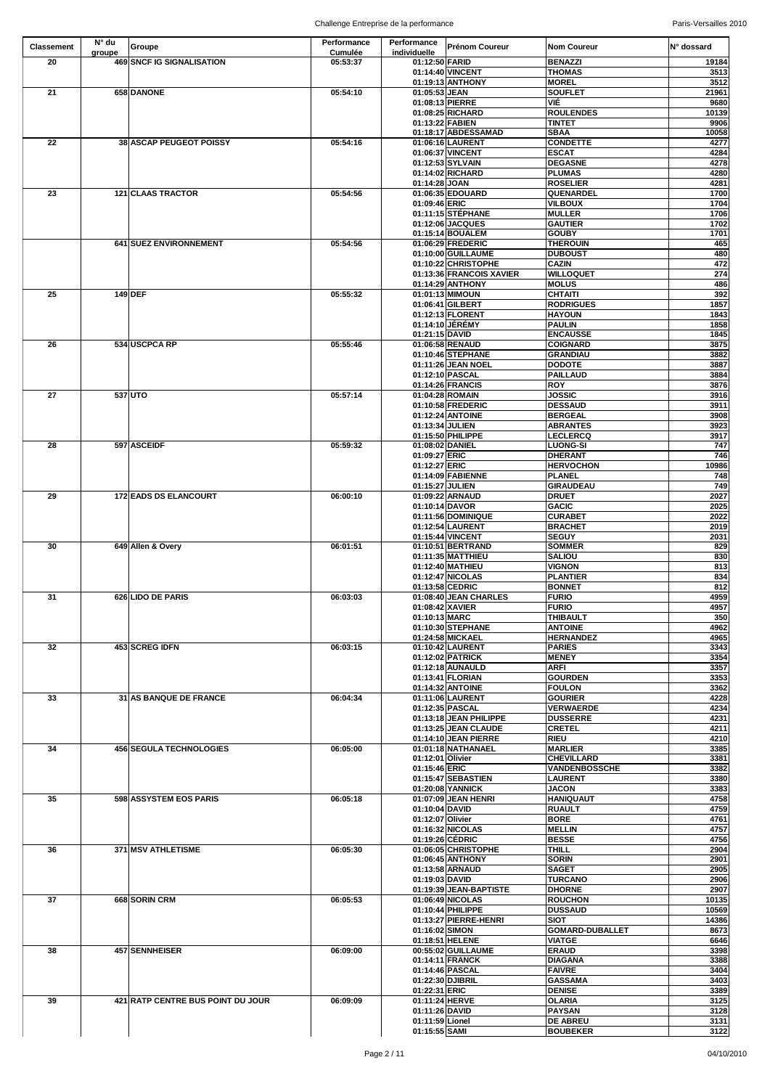| <b>Classement</b> | $N^{\circ}$ du<br>groupe | Groupe                            | Performance<br><b>Cumulée</b> | Performance<br>individuelle     | <b>Prénom Coureur</b>                           | Nom Coureur                         | N° dossard     |
|-------------------|--------------------------|-----------------------------------|-------------------------------|---------------------------------|-------------------------------------------------|-------------------------------------|----------------|
| 20                |                          | 469 SNCF IG SIGNALISATION         | 05:53:37                      | 01:12:50 FARID                  | 01:14:40 VINCENT                                | <b>BENAZZI</b><br><b>THOMAS</b>     | 19184<br>3513  |
|                   |                          |                                   |                               |                                 | 01:19:13 ANTHONY                                | <b>MOREL</b>                        | 3512           |
| 21                |                          | 658 DANONE                        | 05:54:10                      | 01:05:53 JEAN                   |                                                 | <b>SOUFLET</b>                      | 21961          |
|                   |                          |                                   |                               |                                 | 01:08:13 PIERRE<br>01:08:25 RICHARD             | <b>VIÉ</b><br><b>ROULENDES</b>      | 9680<br>10139  |
|                   |                          |                                   |                               |                                 | 01:13:22 FABIEN                                 | <b>TINTET</b>                       | 9906           |
|                   |                          |                                   |                               |                                 | 01:18:17 ABDESSAMAD                             | <b>SBAA</b>                         | 10058          |
| 22                |                          | <b>38 ASCAP PEUGEOT POISSY</b>    | 05:54:16                      |                                 | 01:06:16 LAURENT<br>01:06:37 VINCENT            | <b>CONDETTE</b><br><b>ESCAT</b>     | 4277           |
|                   |                          |                                   |                               |                                 | 01:12:53 SYLVAIN                                | <b>DEGASNE</b>                      | 4284<br>4278   |
|                   |                          |                                   |                               |                                 | 01:14:02 RICHARD                                | <b>PLUMAS</b>                       | 4280           |
|                   |                          | <b>121 CLAAS TRACTOR</b>          |                               | 01:14:28 JOAN                   |                                                 | <b>ROSELIER</b><br><b>QUENARDEL</b> | 4281           |
| 23                |                          |                                   | 05:54:56                      | 01:09:46 ERIC                   | 01:06:35 EDOUARD                                | <b>VILBOUX</b>                      | 1700<br>1704   |
|                   |                          |                                   |                               |                                 | 01:11:15 STÉPHANE                               | <b>MULLER</b>                       | 1706           |
|                   |                          |                                   |                               |                                 | 01:12:06 JACQUES                                | <b>GAUTIER</b>                      | 1702           |
|                   |                          | 641 SUEZ ENVIRONNEMENT            | 05:54:56                      |                                 | 01:15:14 BOUALEM<br>01:06:29 FREDERIC           | <b>GOUBY</b><br><b>THEROUIN</b>     | 1701<br>465    |
|                   |                          |                                   |                               |                                 | 01:10:00 GUILLAUME                              | <b>DUBOUST</b>                      | 480            |
|                   |                          |                                   |                               |                                 | 01:10:22 CHRISTOPHE<br>01:13:36 FRANCOIS XAVIER | <b>CAZIN</b><br><b>WILLOQUET</b>    | 472<br>274     |
|                   |                          |                                   |                               |                                 | 01:14:29 ANTHONY                                | <b>MOLUS</b>                        | 486            |
| 25                |                          | $149$ DEF                         | 05:55:32                      |                                 | 01:01:13 MIMOUN                                 | <b>CHTAITI</b>                      | 392            |
|                   |                          |                                   |                               |                                 | 01:06:41 GILBERT                                | <b>RODRIGUES</b>                    | 1857           |
|                   |                          |                                   |                               |                                 | 01:12:13 FLORENT<br>01:14:10 JÉRÉMY             | <b>HAYOUN</b><br><b>PAULIN</b>      | 1843<br>1858   |
|                   |                          |                                   |                               | 01:21:15 DAVID                  |                                                 | <b>ENCAUSSE</b>                     | 1845           |
| 26                |                          | 534 USCPCA RP                     | 05:55:46                      |                                 | 01:06:58 RENAUD                                 | <b>COIGNARD</b>                     | 3875           |
|                   |                          |                                   |                               |                                 | 01:10:46 STEPHANE<br>01:11:26 JEAN NOEL         | <b>GRANDIAU</b><br><b>DODOTE</b>    | 3882<br>3887   |
|                   |                          |                                   |                               |                                 | 01:12:10 PASCAL                                 | <b>PAILLAUD</b>                     | 3884           |
|                   |                          |                                   |                               |                                 | 01:14:26 FRANCIS                                | <b>ROY</b>                          | 3876           |
| 27                |                          | 537 UTO                           | 05:57:14                      |                                 | 01:04:28 ROMAIN<br>01:10:58 FREDERIC            | <b>JOSSIC</b><br><b>DESSAUD</b>     | 3916<br>3911   |
|                   |                          |                                   |                               |                                 | 01:12:24 ANTOINE                                | <b>BERGEAL</b>                      | 3908           |
|                   |                          |                                   |                               | 01:13:34 JULIEN                 |                                                 | <b>ABRANTES</b>                     | 3923           |
| 28                |                          | 597 ASCEIDF                       | 05:59:32                      | 01:08:02 DANIEL                 | 01:15:50 PHILIPPE                               | <b>LECLERCQ</b><br><b>LUONG-SI</b>  | 3917<br>747    |
|                   |                          |                                   |                               | 01:09:27 ERIC                   |                                                 | <b>DHERANT</b>                      | 746            |
|                   |                          |                                   |                               | 01:12:27 ERIC                   |                                                 | <b>HERVOCHON</b>                    | 10986          |
|                   |                          |                                   |                               | 01:15:27 JULIEN                 | 01:14:09 FABIENNE                               | PLANEL<br><b>GIRAUDEAU</b>          | 748<br>749     |
| 29                |                          | <b>172 EADS DS ELANCOURT</b>      | 06:00:10                      |                                 | 01:09:22 ARNAUD                                 | <b>DRUET</b>                        | 2027           |
|                   |                          |                                   |                               | 01:10:14 DAVOR                  |                                                 | <b>GACIC</b>                        | 2025           |
|                   |                          |                                   |                               |                                 | 01:11:56 DOMINIQUE<br>01:12:54 LAURENT          | <b>CURABET</b><br><b>BRACHET</b>    | 2022<br>2019   |
|                   |                          |                                   |                               |                                 | 01:15:44 VINCENT                                | <b>SEGUY</b>                        | 2031           |
| 30                |                          | 649 Allen & Overy                 | 06:01:51                      |                                 | 01:10:51 BERTRAND                               | <b>SOMMER</b>                       | 829            |
|                   |                          |                                   |                               |                                 | 01:11:35 MATTHIEU<br>01:12:40 MATHIEU           | <b>SALIOU</b><br><b>VIGNON</b>      | 830<br>813     |
|                   |                          |                                   |                               |                                 | 01:12:47 NICOLAS                                | <b>PLANTIER</b>                     | 834            |
|                   |                          |                                   |                               |                                 | 01:13:58 CEDRIC                                 | <b>BONNET</b>                       | 812            |
| 31                |                          | 626 LIDO DE PARIS                 | 06:03:03                      | 01:08:42 XAVIER                 | 01:08:40 JEAN CHARLES                           | <b>FURIO</b><br><b>FURIO</b>        | 4959<br>4957   |
|                   |                          |                                   |                               | 01:10:13 MARC                   |                                                 | <b>THIBAULT</b>                     | 350            |
|                   |                          |                                   |                               |                                 | 01:10:30 STEPHANE                               | <b>ANTOINE</b>                      | 4962           |
| 32                |                          | <b>453 SCREG IDFN</b>             | 06:03:15                      |                                 | 01:24:58 MICKAEL<br>01:10:42 LAURENT            | <b>HERNANDEZ</b><br><b>PARIES</b>   | 4965<br>3343   |
|                   |                          |                                   |                               |                                 | 01:12:02 PATRICK                                | <b>MENEY</b>                        | 3354           |
|                   |                          |                                   |                               |                                 | 01:12:18 AUNAULD<br>01:13:41 FLORIAN            | <b>ARFI</b><br><b>GOURDEN</b>       | 3357<br>3353   |
|                   |                          |                                   |                               |                                 | 01:14:32 ANTOINE                                | <b>FOULON</b>                       | 3362           |
| 33                |                          | <b>31 AS BANQUE DE FRANCE</b>     | 06:04:34                      |                                 | 01:11:06 LAURENT                                | <b>GOURIER</b>                      | 4228           |
|                   |                          |                                   |                               |                                 | 01:12:35 PASCAL                                 | <b>VERWAERDE</b>                    | 4234           |
|                   |                          |                                   |                               |                                 | 01:13:18 JEAN PHILIPPE<br>01:13:25 JEAN CLAUDE  | <b>DUSSERRE</b><br><b>CRETEL</b>    | 4231<br>4211   |
|                   |                          |                                   |                               |                                 | 01:14:10 JEAN PIERRE                            | <b>RIEU</b>                         | 4210           |
| 34                |                          | <b>456 SEGULA TECHNOLOGIES</b>    | 06:05:00                      | 01:12:01 Olivier                | 01:01:18 NATHANAEL                              | <b>MARLIER</b><br><b>CHEVILLARD</b> | 3385<br>3381   |
|                   |                          |                                   |                               | 01:15:46 ERIC                   |                                                 | <b>VANDENBOSSCHE</b>                | 3382           |
|                   |                          |                                   |                               |                                 | 01:15:47 SEBASTIEN                              | <b>LAURENT</b>                      | 3380           |
| 35 <sub>5</sub>   |                          | 598 ASSYSTEM EOS PARIS            | 06:05:18                      |                                 | 01:20:08 YANNICK<br>01:07:09 JEAN HENRI         | <b>JACON</b><br><b>HANIQUAUT</b>    | 3383<br>4758   |
|                   |                          |                                   |                               | 01:10:04 DAVID                  |                                                 | <b>RUAULT</b>                       | 4759           |
|                   |                          |                                   |                               | 01:12:07 Olivier                |                                                 | <b>BORE</b>                         | 4761           |
|                   |                          |                                   |                               |                                 | 01:16:32 NICOLAS<br>01:19:26 CÉDRIC             | <b>MELLIN</b><br><b>BESSE</b>       | 4757<br>4756   |
| 36                |                          | 371 MSV ATHLETISME                | 06:05:30                      |                                 | 01:06:05 CHRISTOPHE                             | <b>THILL</b>                        | 2904           |
|                   |                          |                                   |                               |                                 | 01:06:45 ANTHONY                                | <b>SORIN</b>                        | 2901           |
|                   |                          |                                   |                               | 01:19:03 DAVID                  | 01:13:58 ARNAUD                                 | <b>SAGET</b><br><b>TURCANO</b>      | 2905<br>2906   |
|                   |                          |                                   |                               |                                 | 01:19:39 JEAN-BAPTISTE                          | <b>DHORNE</b>                       | 2907           |
| 37                |                          | 668 SORIN CRM                     | 06:05:53                      |                                 | 01:06:49 NICOLAS                                | <b>ROUCHON</b>                      | 10135          |
|                   |                          |                                   |                               |                                 | 01:10:44 PHILIPPE<br>01:13:27 PIERRE-HENRI      | <b>DUSSAUD</b><br><b>SIOT</b>       | 10569<br>14386 |
|                   |                          |                                   |                               | 01:16:02 SIMON                  |                                                 | <b>GOMARD-DUBALLET</b>              | 8673           |
|                   |                          |                                   |                               |                                 | 01:18:51 HELENE                                 | <b>VIATGE</b>                       | 6646           |
| 38                |                          | 457 SENNHEISER                    | 06:09:00                      |                                 | 00:55:02 GUILLAUME<br>01:14:11 FRANCK           | <b>ERAUD</b><br><b>DIAGANA</b>      | 3398<br>3388   |
|                   |                          |                                   |                               |                                 | 01:14:46 PASCAL                                 | <b>FAIVRE</b>                       | 3404           |
|                   |                          |                                   |                               |                                 | 01:22:30 DJIBRIL                                | <b>GASSAMA</b>                      | 3403           |
| 39                |                          | 421 RATP CENTRE BUS POINT DU JOUR | 06:09:09                      | 01:22:31 ERIC<br>01:11:24 HERVE |                                                 | <b>DENISE</b><br><b>OLARIA</b>      | 3389<br>3125   |
|                   |                          |                                   |                               | 01:11:26 DAVID                  |                                                 | <b>PAYSAN</b>                       | 3128           |
|                   |                          |                                   |                               | 01:11:59 Lionel                 |                                                 | <b>DE ABREU</b>                     | 3131           |
|                   |                          |                                   |                               | 01:15:55 SAMI                   |                                                 | <b>BOUBEKER</b>                     | 3122           |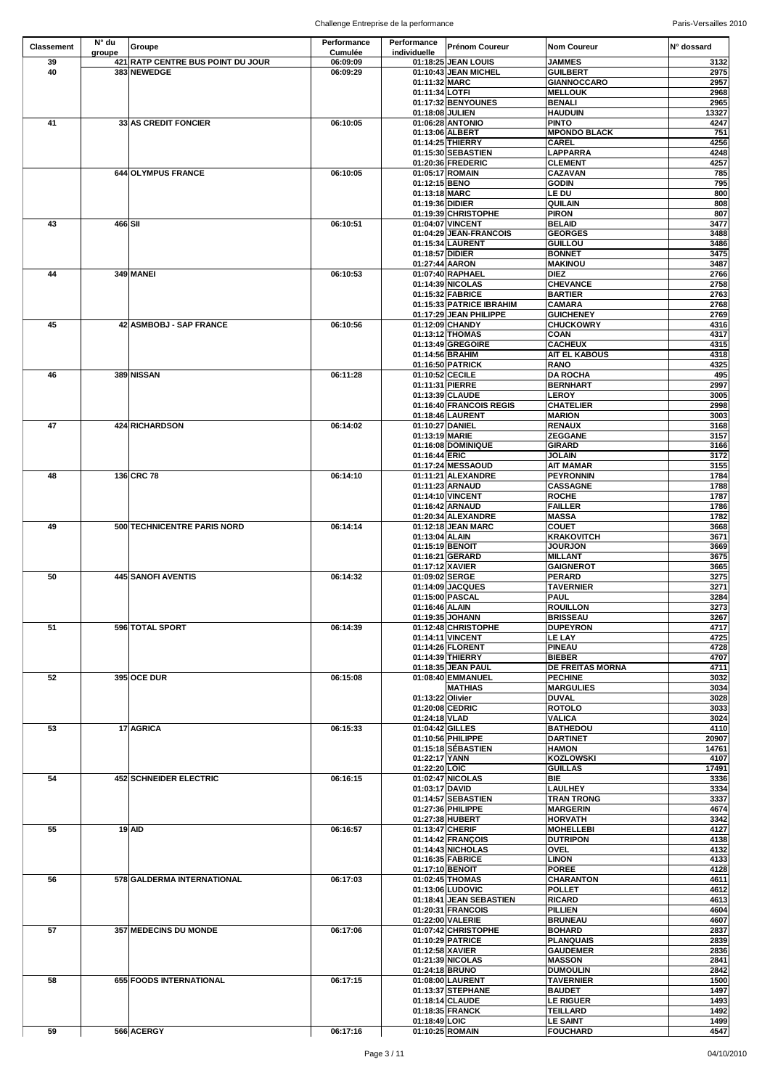| <b>Classement</b> | $N^{\circ}$ du | Groupe                            | Performance    | Performance                       | <b>Prénom Coureur</b>                     | <b>Nom Coureur</b>                   | IN° dossard   |
|-------------------|----------------|-----------------------------------|----------------|-----------------------------------|-------------------------------------------|--------------------------------------|---------------|
|                   | groupe         |                                   | <b>Cumulée</b> | individuelle                      |                                           |                                      |               |
| 39                |                | 421 RATP CENTRE BUS POINT DU JOUR | 06:09:09       |                                   | 01:18:25 JEAN LOUIS                       | <b>JAMMES</b>                        | 3132          |
| 40                |                | 383 NEWEDGE                       | 06:09:29       |                                   | 01:10:43 JEAN MICHEL                      | <b>GUILBERT</b>                      | 2975          |
|                   |                |                                   |                | 01:11:32 MARC                     |                                           | <b>GIANNOCCARO</b>                   | 2957          |
|                   |                |                                   |                | 01:11:34 LOTFI                    | 01:17:32 BENYOUNES                        | <b>MELLOUK</b><br><b>BENALI</b>      | 2968<br>2965  |
|                   |                |                                   |                | 01:18:08 JULIEN                   |                                           | <b>HAUDUIN</b>                       | 13327         |
| 41                |                | <b>33 AS CREDIT FONCIER</b>       | 06:10:05       |                                   | 01:06:28 ANTONIO                          | <b>PINTO</b>                         | 4247          |
|                   |                |                                   |                |                                   | 01:13:06 ALBERT                           | <b>MPONDO BLACK</b>                  | 751           |
|                   |                |                                   |                |                                   | 01:14:25 THIERRY                          | <b>CAREL</b>                         | 4256          |
|                   |                |                                   |                |                                   | 01:15:30 SEBASTIEN                        | <b>LAPPARRA</b>                      | 4248          |
|                   |                |                                   |                |                                   | 01:20:36 FREDERIC                         | <b>CLEMENT</b>                       | 4257          |
|                   |                | 644 OLYMPUS FRANCE                | 06:10:05       |                                   | 01:05:17 ROMAIN                           | <b>CAZAVAN</b>                       | 785           |
|                   |                |                                   |                | 01:12:15 BENO                     |                                           | <b>GODIN</b>                         | 795           |
|                   |                |                                   |                | 01:13:18 MARC                     |                                           | LE DU                                | 800           |
|                   |                |                                   |                | 01:19:36 DIDIER                   | 01:19:39 CHRISTOPHE                       | <b>QUILAIN</b><br><b>PIRON</b>       | 808<br>807    |
| 43                | 466 SII        |                                   | 06:10:51       |                                   | 01:04:07 VINCENT                          | <b>BELAID</b>                        | 3477          |
|                   |                |                                   |                |                                   | 01:04:29 JEAN-FRANCOIS                    | <b>GEORGES</b>                       | 3488          |
|                   |                |                                   |                |                                   | 01:15:34 LAURENT                          | <b>GUILLOU</b>                       | 3486          |
|                   |                |                                   |                | 01:18:57 DIDIER                   |                                           | <b>BONNET</b>                        | 3475          |
|                   |                |                                   |                | 01:27:44 AARON                    |                                           | <b>MAKINOU</b>                       | 3487          |
| 44                |                | 349 MANEI                         | 06:10:53       |                                   | 01:07:40 RAPHAEL                          | <b>DIEZ</b>                          | 2766          |
|                   |                |                                   |                |                                   | 01:14:39 NICOLAS                          | <b>CHEVANCE</b>                      | 2758          |
|                   |                |                                   |                |                                   | 01:15:32 FABRICE                          | <b>BARTIER</b>                       | 2763          |
|                   |                |                                   |                |                                   | 01:15:33 PATRICE IBRAHIM                  | <b>CAMARA</b>                        | 2768          |
| 45                |                | 42 ASMBOBJ - SAP FRANCE           | 06:10:56       |                                   | 01:17:29 JEAN PHILIPPE<br>01:12:09 CHANDY | <b>GUICHENEY</b><br><b>CHUCKOWRY</b> | 2769          |
|                   |                |                                   |                |                                   | 01:13:12 THOMAS                           | <b>COAN</b>                          | 4316<br>4317  |
|                   |                |                                   |                |                                   | 01:13:49 GREGOIRE                         | <b>CACHEUX</b>                       | 4315          |
|                   |                |                                   |                |                                   | 01:14:56 BRAHIM                           | <b>AIT EL KABOUS</b>                 | 4318          |
|                   |                |                                   |                |                                   | 01:16:50 PATRICK                          | <b>RANO</b>                          | 4325          |
| 46                |                | 389 NISSAN                        | 06:11:28       | 01:10:52 CECILE                   |                                           | <b>DA ROCHA</b>                      | 495           |
|                   |                |                                   |                | 01:11:31 PIERRE                   |                                           | <b>BERNHART</b>                      | 2997          |
|                   |                |                                   |                |                                   | 01:13:39 CLAUDE                           | <b>LEROY</b>                         | 3005          |
|                   |                |                                   |                |                                   | 01:16:40 FRANCOIS REGIS                   | <b>CHATELIER</b>                     | 2998          |
|                   |                |                                   |                |                                   | 01:18:46 LAURENT                          | <b>MARION</b>                        | 3003          |
| 47                |                | 424 RICHARDSON                    | 06:14:02       | 01:10:27 DANIEL<br>01:13:19 MARIE |                                           | <b>RENAUX</b><br><b>ZEGGANE</b>      | 3168<br>3157  |
|                   |                |                                   |                |                                   | 01:16:08 DOMINIQUE                        | <b>GIRARD</b>                        | 3166          |
|                   |                |                                   |                | 01:16:44 ERIC                     |                                           | <b>JOLAIN</b>                        | 3172          |
|                   |                |                                   |                |                                   | 01:17:24 MESSAOUD                         | <b>AIT MAMAR</b>                     | 3155          |
| 48                |                | 136 CRC 78                        | 06:14:10       |                                   | 01:11:21 ALEXANDRE                        | <b>PEYRONNIN</b>                     | 1784          |
|                   |                |                                   |                |                                   | 01:11:23 ARNAUD                           | <b>CASSAGNE</b>                      | 1788          |
|                   |                |                                   |                |                                   | 01:14:10 VINCENT                          | <b>ROCHE</b>                         | 1787          |
|                   |                |                                   |                |                                   | 01:16:42 ARNAUD                           | <b>FAILLER</b>                       | 1786          |
|                   |                |                                   |                |                                   | 01:20:34 ALEXANDRE                        | <b>MASSA</b>                         | 1782          |
| 49                |                | 500 TECHNICENTRE PARIS NORD       | 06:14:14       |                                   | 01:12:18 JEAN MARC                        | <b>COUET</b>                         | 3668          |
|                   |                |                                   |                | 01:13:04 ALAIN                    |                                           | <b>KRAKOVITCH</b>                    | 3671          |
|                   |                |                                   |                | 01:15:19 BENOIT                   | 01:16:21 GERARD                           | <b>JOURJON</b><br><b>MILLANT</b>     | 3669<br>3675  |
|                   |                |                                   |                |                                   | 01:17:12 XAVIER                           | <b>GAIGNEROT</b>                     | 3665          |
| 50                |                | 445 SANOFI AVENTIS                | 06:14:32       | 01:09:02 SERGE                    |                                           | <b>PERARD</b>                        | 3275          |
|                   |                |                                   |                |                                   | 01:14:09 JACQUES                          | <b>TAVERNIER</b>                     | 3271          |
|                   |                |                                   |                |                                   | 01:15:00 PASCAL                           | <b>PAUL</b>                          | 3284          |
|                   |                |                                   |                | 01:16:46 ALAIN                    |                                           | <b>ROUILLON</b>                      | 3273          |
|                   |                |                                   |                |                                   | 01:19:35 JOHANN                           | <b>BRISSEAU</b>                      | 3267          |
| 51                |                | 596 TOTAL SPORT                   | 06:14:39       |                                   | 01:12:48 CHRISTOPHE                       | <b>DUPEYRON</b>                      | 4717          |
|                   |                |                                   |                |                                   | 01:14:11 VINCENT                          | <b>LE LAY</b>                        | 4725          |
|                   |                |                                   |                |                                   | 01:14:26 FLORENT<br>01:14:39 THIERRY      | <b>PINEAU</b><br><b>BIEBER</b>       | 4728<br>4707  |
|                   |                |                                   |                |                                   | 01:18:35 JEAN PAUL                        | <b>DE FREITAS MORNA</b>              | 4711          |
| 52                |                | 395 OCE DUR                       | 06:15:08       |                                   | 01:08:40 EMMANUEL                         | <b>PECHINE</b>                       | 3032          |
|                   |                |                                   |                |                                   | <b>MATHIAS</b>                            | <b>MARGULIES</b>                     | 3034          |
|                   |                |                                   |                | 01:13:22 Olivier                  |                                           | <b>DUVAL</b>                         | 3028          |
|                   |                |                                   |                |                                   | 01:20:08 CEDRIC                           | <b>ROTOLO</b>                        | 3033          |
|                   |                |                                   |                | 01:24:18 VLAD                     |                                           | <b>VALICA</b>                        | 3024          |
| 53                |                | 17 AGRICA                         | 06:15:33       | 01:04:42 GILLES                   |                                           | <b>BATHEDOU</b>                      | 4110          |
|                   |                |                                   |                |                                   | 01:10:56 PHILIPPE                         | <b>DARTINET</b>                      | 20907         |
|                   |                |                                   |                | 01:22:17 YANN                     | 01:15:18 SÉBASTIEN                        | <b>HAMON</b><br><b>KOZLOWSKI</b>     | 14761         |
|                   |                |                                   |                | 01:22:20 LOIC                     |                                           | <b>GUILLAS</b>                       | 4107<br>17491 |
| 54                |                | 452 SCHNEIDER ELECTRIC            | 06:16:15       |                                   | 01:02:47 NICOLAS                          | <b>BIE</b>                           | 3336          |
|                   |                |                                   |                | 01:03:17 DAVID                    |                                           | <b>LAULHEY</b>                       | 3334          |
|                   |                |                                   |                |                                   | 01:14:57 SEBASTIEN                        | <b>TRAN TRONG</b>                    | 3337          |
|                   |                |                                   |                |                                   | 01:27:36 PHILIPPE                         | <b>MARGERIN</b>                      | 4674          |
|                   |                |                                   |                |                                   | 01:27:38 HUBERT                           | <b>HORVATH</b>                       | 3342          |
| 55                |                | $19$ AID                          | 06:16:57       | 01:13:47 CHERIF                   |                                           | <b>MOHELLEBI</b>                     | 4127          |
|                   |                |                                   |                |                                   | 01:14:42 FRANÇOIS                         | <b>DUTRIPON</b>                      | 4138          |
|                   |                |                                   |                |                                   | 01:14:43 NICHOLAS                         | <b>OVEL</b>                          | 4132          |
|                   |                |                                   |                |                                   | 01:16:35 FABRICE<br>01:17:10 BENOIT       | <b>LINON</b><br><b>POREE</b>         | 4133<br>4128  |
| 56                |                | 578 GALDERMA INTERNATIONAL        | 06:17:03       |                                   | 01:02:45 THOMAS                           | <b>CHARANTON</b>                     | 4611          |
|                   |                |                                   |                |                                   | 01:13:06 LUDOVIC                          | <b>POLLET</b>                        | 4612          |
|                   |                |                                   |                |                                   | 01:18:41 JEAN SEBASTIEN                   | <b>RICARD</b>                        | 4613          |
|                   |                |                                   |                |                                   | 01:20:31 FRANCOIS                         | <b>PILLIEN</b>                       | 4604          |
|                   |                |                                   |                |                                   | 01:22:00 VALERIE                          | <b>BRUNEAU</b>                       | 4607          |
| 57                |                | <b>357 MEDECINS DU MONDE</b>      | 06:17:06       |                                   | 01:07:42 CHRISTOPHE                       | <b>BOHARD</b>                        | 2837          |
|                   |                |                                   |                |                                   | 01:10:29 PATRICE                          | <b>PLANQUAIS</b>                     | 2839          |
|                   |                |                                   |                |                                   | 01:12:58 XAVIER                           | <b>GAUDEMER</b>                      | 2836          |
|                   |                |                                   |                |                                   | 01:21:39 NICOLAS<br>01:24:18 BRUNO        | <b>MASSON</b><br><b>DUMOULIN</b>     | 2841<br>2842  |
| 58                |                | 655 FOODS INTERNATIONAL           | 06:17:15       |                                   | 01:08:00 LAURENT                          | <b>TAVERNIER</b>                     | 1500          |
|                   |                |                                   |                |                                   | 01:13:37 STEPHANE                         | <b>BAUDET</b>                        | 1497          |
|                   |                |                                   |                |                                   | 01:18:14 CLAUDE                           | <b>LE RIGUER</b>                     | 1493          |
|                   |                |                                   |                |                                   | 01:18:35 FRANCK                           | <b>TEILLARD</b>                      | 1492          |
|                   |                |                                   |                | 01:18:49 LOIC                     |                                           | <b>LE SAINT</b>                      | 1499          |
| 59                |                | 566 ACERGY                        | 06:17:16       |                                   | 01:10:25 ROMAIN                           | <b>FOUCHARD</b>                      | 4547          |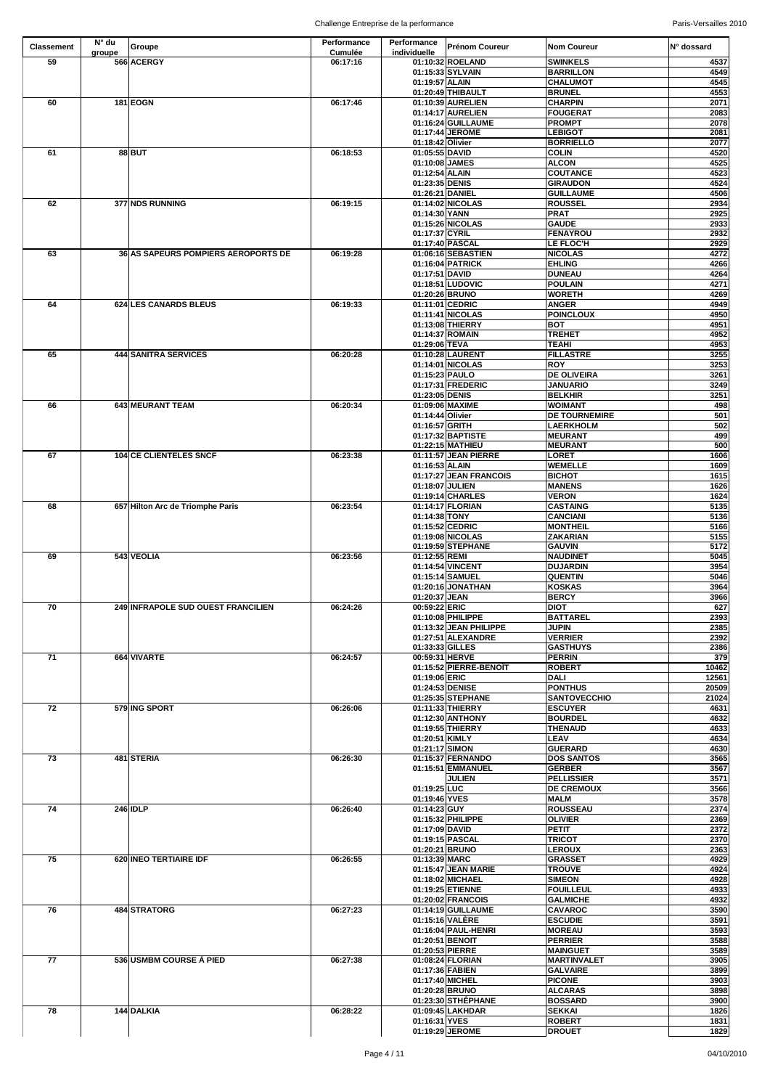| <b>Classement</b> | $N^{\circ}$ du | Groupe                                     | Performance    | Performance                      | <b>Prénom Coureur</b>                        | <b>Nom Coureur</b>                  | IN° dossard  |
|-------------------|----------------|--------------------------------------------|----------------|----------------------------------|----------------------------------------------|-------------------------------------|--------------|
|                   | groupe         |                                            | <b>Cumulée</b> | individuelle                     |                                              |                                     |              |
| 59                |                | 566 ACERGY                                 | 06:17:16       |                                  | 01:10:32 ROELAND<br>01:15:33 SYLVAIN         | <b>SWINKELS</b><br><b>BARRILLON</b> | 4537<br>4549 |
|                   |                |                                            |                | 01:19:57 ALAIN                   |                                              | <b>CHALUMOT</b>                     | 4545         |
|                   |                |                                            |                |                                  | 01:20:49 THIBAULT                            | <b>BRUNEL</b>                       | 4553         |
| 60                |                | <b>181 EOGN</b>                            | 06:17:46       |                                  | 01:10:39 AURELIEN                            | <b>CHARPIN</b>                      | 2071         |
|                   |                |                                            |                |                                  | 01:14:17 AURELIEN                            | <b>FOUGERAT</b>                     | 2083         |
|                   |                |                                            |                |                                  | 01:16:24 GUILLAUME                           | <b>PROMPT</b>                       | 2078         |
|                   |                |                                            |                |                                  | 01:17:44 JEROME                              | <b>LEBIGOT</b>                      | 2081         |
|                   |                |                                            |                | 01:18:42 Olivier                 |                                              | <b>BORRIELLO</b>                    | 2077         |
| 61                |                | 88BUT                                      | 06:18:53       | 01:05:55 DAVID<br>01:10:08 JAMES |                                              | <b>COLIN</b><br><b>ALCON</b>        | 4520<br>4525 |
|                   |                |                                            |                | 01:12:54 ALAIN                   |                                              | <b>COUTANCE</b>                     | 4523         |
|                   |                |                                            |                | 01:23:35 DENIS                   |                                              | <b>GIRAUDON</b>                     | 4524         |
|                   |                |                                            |                |                                  | 01:26:21 DANIEL                              | <b>GUILLAUME</b>                    | 4506         |
| 62                |                | 377 NDS RUNNING                            | 06:19:15       |                                  | 01:14:02 NICOLAS                             | <b>ROUSSEL</b>                      | 2934         |
|                   |                |                                            |                | 01:14:30 YANN                    |                                              | <b>PRAT</b>                         | 2925         |
|                   |                |                                            |                |                                  | 01:15:26 NICOLAS                             | <b>GAUDE</b>                        | 2933         |
|                   |                |                                            |                | 01:17:37 CYRIL                   |                                              | <b>FENAYROU</b>                     | 2932         |
| 63                |                | <b>36 AS SAPEURS POMPIERS AEROPORTS DE</b> |                |                                  | 01:17:40 PASCAL                              | <b>LE FLOC'H</b>                    | 2929<br>4272 |
|                   |                |                                            | 06:19:28       |                                  | 01:06:16 SEBASTIEN<br>01:16:04 PATRICK       | <b>NICOLAS</b><br><b>EHLING</b>     | 4266         |
|                   |                |                                            |                | 01:17:51 DAVID                   |                                              | <b>DUNEAU</b>                       | 4264         |
|                   |                |                                            |                |                                  | 01:18:51 LUDOVIC                             | <b>POULAIN</b>                      | 4271         |
|                   |                |                                            |                |                                  | 01:20:26 BRUNO                               | <b>WORETH</b>                       | 4269         |
| 64                |                | 624 LES CANARDS BLEUS                      | 06:19:33       |                                  | 01:11:01 CEDRIC                              | <b>ANGER</b>                        | 4949         |
|                   |                |                                            |                |                                  | 01:11:41 NICOLAS                             | <b>POINCLOUX</b>                    | 4950         |
|                   |                |                                            |                |                                  | 01:13:08 THIERRY                             | <b>BOT</b>                          | 4951         |
|                   |                |                                            |                | 01:29:06 TEVA                    | 01:14:37 ROMAIN                              | <b>TREHET</b><br><b>TEAHI</b>       | 4952<br>4953 |
| 65                |                | 444 SANITRA SERVICES                       | 06:20:28       |                                  | 01:10:28 LAURENT                             | <b>FILLASTRE</b>                    | 3255         |
|                   |                |                                            |                |                                  | 01:14:01 NICOLAS                             | <b>ROY</b>                          | 3253         |
|                   |                |                                            |                | 01:15:23 PAULO                   |                                              | <b>DE OLIVEIRA</b>                  | 3261         |
|                   |                |                                            |                |                                  | 01:17:31 FREDERIC                            | <b>JANUARIO</b>                     | 3249         |
|                   |                |                                            |                | 01:23:05 DENIS                   |                                              | <b>BELKHIR</b>                      | 3251         |
| 66                |                | 643 MEURANT TEAM                           | 06:20:34       |                                  | 01:09:06 MAXIME                              | <b>WOIMANT</b>                      | 498          |
|                   |                |                                            |                | 01:14:44 Olivier                 |                                              | <b>DE TOURNEMIRE</b>                | 501          |
|                   |                |                                            |                | 01:16:57 GRITH                   |                                              | <b>LAERKHOLM</b><br><b>MEURANT</b>  | 502          |
|                   |                |                                            |                |                                  | 01:17:32 BAPTISTE<br>01:22:15 MATHIEU        | <b>MEURANT</b>                      | 499<br>500   |
| 67                |                | <b>104 CE CLIENTELES SNCF</b>              | 06:23:38       |                                  | 01:11:57 JEAN PIERRE                         | <b>LORET</b>                        | 1606         |
|                   |                |                                            |                | 01:16:53 ALAIN                   |                                              | <b>WEMELLE</b>                      | 1609         |
|                   |                |                                            |                |                                  | 01:17:27 JEAN FRANCOIS                       | <b>BICHOT</b>                       | 1615         |
|                   |                |                                            |                | 01:18:07 JULIEN                  |                                              | <b>MANENS</b>                       | 1626         |
|                   |                |                                            |                |                                  | 01:19:14 CHARLES                             | <b>VERON</b>                        | 1624         |
| 68                |                | 657 Hilton Arc de Triomphe Paris           | 06:23:54       |                                  | 01:14:17 FLORIAN                             | <b>CASTAING</b>                     | 5135         |
|                   |                |                                            |                | 01:14:38 TONY                    |                                              | <b>CANCIANI</b>                     | 5136         |
|                   |                |                                            |                |                                  | 01:15:52 CEDRIC<br>01:19:08 NICOLAS          | <b>MONTHEIL</b><br><b>ZAKARIAN</b>  | 5166<br>5155 |
|                   |                |                                            |                |                                  | 01:19:59 STEPHANE                            | <b>GAUVIN</b>                       | 5172         |
| 69                |                | 543 VEOLIA                                 | 06:23:56       | 01:12:55 REMI                    |                                              | <b>NAUDINET</b>                     | 5045         |
|                   |                |                                            |                |                                  | 01:14:54 VINCENT                             | <b>DUJARDIN</b>                     | 3954         |
|                   |                |                                            |                |                                  | 01:15:14 SAMUEL                              | <b>QUENTIN</b>                      | 5046         |
|                   |                |                                            |                |                                  | 01:20:16 JONATHAN                            | KOSKAS                              | 3964         |
|                   |                |                                            |                | 01:20:37 JEAN                    |                                              | <b>BERCY</b>                        | 3966         |
| 70                |                | 249 INFRAPOLE SUD OUEST FRANCILIEN         | 06:24:26       | 00:59:22 ERIC                    |                                              | <b>DIOT</b>                         | 627          |
|                   |                |                                            |                |                                  | 01:10:08 PHILIPPE                            | <b>BATTAREL</b>                     | 2393         |
|                   |                |                                            |                |                                  | 01:13:32 JEAN PHILIPPE<br>01:27:51 ALEXANDRE | <b>JUPIN</b><br><b>VERRIER</b>      | 2385<br>2392 |
|                   |                |                                            |                |                                  | 01:33:33 GILLES                              | <b>GASTHUYS</b>                     | 2386         |
| 71                |                | 664 VIVARTE                                | 06:24:57       | 00:59:31 HERVE                   |                                              | <b>PERRIN</b>                       | 379          |
|                   |                |                                            |                |                                  | 01:15:52 PIERRE-BENOIT                       | <b>ROBERT</b>                       | 10462        |
|                   |                |                                            |                | 01:19:06 ERIC                    |                                              | <b>DALI</b>                         | 12561        |
|                   |                |                                            |                |                                  | 01:24:53 DENISE                              | <b>PONTHUS</b>                      | 20509        |
|                   |                |                                            |                |                                  | 01:25:35 STEPHANE                            | <b>SANTOVECCHIO</b>                 | 21024        |
| 72                |                | 579 ING SPORT                              | 06:26:06       |                                  | 01:11:33 THIERRY                             | <b>ESCUYER</b>                      | 4631         |
|                   |                |                                            |                |                                  | 01:12:30 ANTHONY<br>01:19:55 THIERRY         | <b>BOURDEL</b><br><b>THENAUD</b>    | 4632<br>4633 |
|                   |                |                                            |                | 01:20:51 KIMLY                   |                                              | <b>LEAV</b>                         | 4634         |
|                   |                |                                            |                | 01:21:17 SIMON                   |                                              | <b>GUERARD</b>                      | 4630         |
| 73                |                | 481 STERIA                                 | 06:26:30       |                                  | 01:15:37 FERNANDO                            | <b>DOS SANTOS</b>                   | 3565         |
|                   |                |                                            |                |                                  | 01:15:51 EMMANUEL                            | <b>GERBER</b>                       | 3567         |
|                   |                |                                            |                |                                  | <b>JULIEN</b>                                | <b>PELLISSIER</b>                   | 3571         |
|                   |                |                                            |                | 01:19:25 LUC                     |                                              | <b>DE CREMOUX</b>                   | 3566         |
|                   |                |                                            |                | 01:19:46 YVES                    |                                              | <b>IMALM</b>                        | 3578         |
| 74                |                | 246 IDLP                                   | 06:26:40       | 01:14:23 GUY                     | 01:15:32 PHILIPPE                            | <b>ROUSSEAU</b><br><b>OLIVIER</b>   | 2374<br>2369 |
|                   |                |                                            |                | 01:17:09 DAVID                   |                                              | <b>PETIT</b>                        | 2372         |
|                   |                |                                            |                |                                  | 01:19:15 PASCAL                              | <b>TRICOT</b>                       | 2370         |
|                   |                |                                            |                |                                  | 01:20:21 BRUNO                               | <b>LEROUX</b>                       | 2363         |
| 75                |                | <b>620 INEO TERTIAIRE IDF</b>              | 06:26:55       | 01:13:39 MARC                    |                                              | <b>GRASSET</b>                      | 4929         |
|                   |                |                                            |                |                                  | 01:15:47 JEAN MARIE                          | <b>TROUVE</b>                       | 4924         |
|                   |                |                                            |                |                                  | 01:18:02 MICHAEL                             | <b>SIMEON</b>                       | 4928         |
|                   |                |                                            |                |                                  | 01:19:25 ETIENNE                             | <b>FOUILLEUL</b>                    | 4933         |
| 76                |                | 484 STRATORG                               | 06:27:23       |                                  | 01:20:02 FRANCOIS<br>01:14:19 GUILLAUME      | <b>GALMICHE</b><br><b>CAVAROC</b>   | 4932<br>3590 |
|                   |                |                                            |                |                                  | 01:15:16 VALÈRE                              | <b>ESCUDIE</b>                      | 3591         |
|                   |                |                                            |                |                                  | 01:16:04 PAUL-HENRI                          | <b>MOREAU</b>                       | 3593         |
|                   |                |                                            |                |                                  | 01:20:51 BENOIT                              | <b>PERRIER</b>                      | 3588         |
|                   |                |                                            |                |                                  | 01:20:53 PIERRE                              | <b>MAINGUET</b>                     | 3589         |
| 77                |                | 536 USMBM COURSE À PIED                    | 06:27:38       |                                  | 01:08:24 FLORIAN                             | <b>MARTINVALET</b>                  | 3905         |
|                   |                |                                            |                |                                  | 01:17:36 FABIEN                              | <b>GALVAIRE</b>                     | 3899         |
|                   |                |                                            |                |                                  | 01:17:40 MICHEL                              | <b>PICONE</b>                       | 3903         |
|                   |                |                                            |                |                                  | 01:20:28 BRUNO                               | <b>ALCARAS</b>                      | 3898         |
| 78                |                | 144 DALKIA                                 | 06:28:22       |                                  | 01:23:30 STHÉPHANE<br>01:09:45 LAKHDAR       | <b>BOSSARD</b><br><b>SEKKAI</b>     | 3900<br>1826 |
|                   |                |                                            |                | 01:16:31 YVES                    |                                              | <b>ROBERT</b>                       | 1831         |
|                   |                |                                            |                |                                  | 01:19:29 JEROME                              | <b>DROUET</b>                       | 1829         |
|                   |                |                                            |                |                                  |                                              |                                     |              |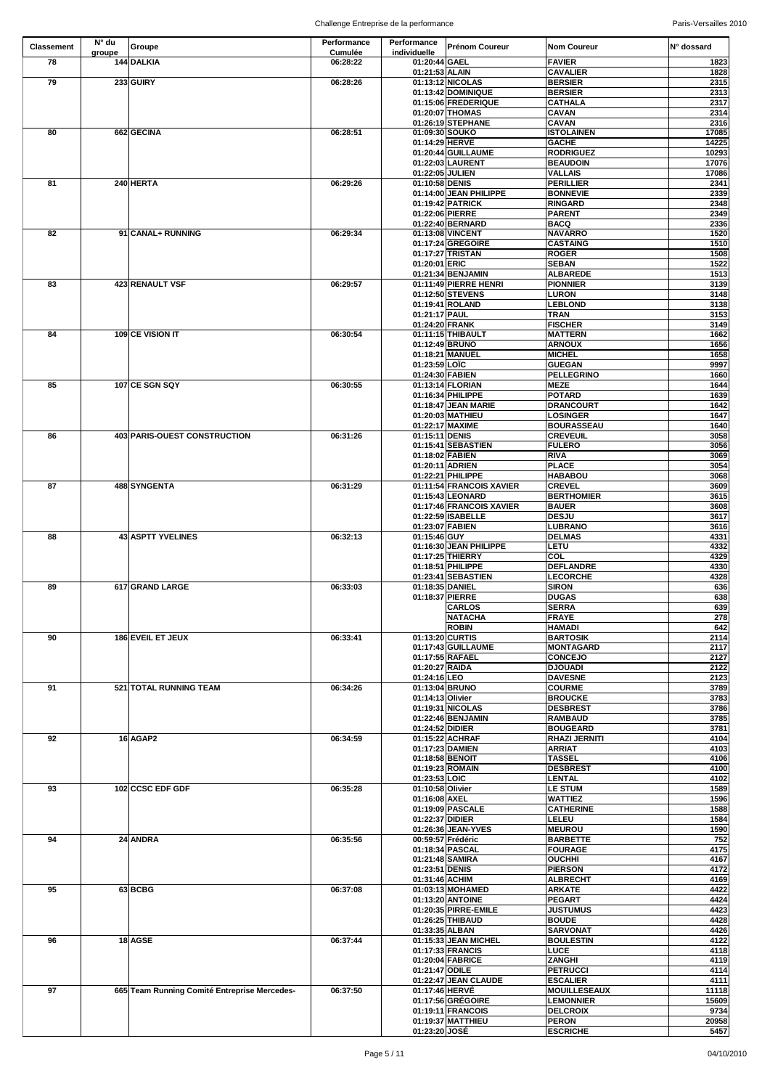| <b>Classement</b> | $N^{\circ}$ du | <b>Groupe</b>                                | Performance    | Performance                       | <b>Prénom Coureur</b>                  | <b>Nom Coureur</b>                      | IN° dossard    |
|-------------------|----------------|----------------------------------------------|----------------|-----------------------------------|----------------------------------------|-----------------------------------------|----------------|
|                   | groupe         |                                              | <b>Cumulée</b> | individuelle                      |                                        |                                         |                |
| 78                |                | 144 DALKIA                                   | 06:28:22       | 01:20:44 GAEL                     |                                        | <b>FAVIER</b>                           | 1823           |
| 79                |                | 233 GUIRY                                    | 06:28:26       | 01:21:53 ALAIN                    | 01:13:12 NICOLAS                       | <b>CAVALIER</b><br><b>BERSIER</b>       | 1828<br>2315   |
|                   |                |                                              |                |                                   | 01:13:42 DOMINIQUE                     | <b>BERSIER</b>                          | 2313           |
|                   |                |                                              |                |                                   | 01:15:06 FREDERIQUE                    | <b>CATHALA</b>                          | 2317           |
|                   |                |                                              |                |                                   | 01:20:07 THOMAS                        | <b>CAVAN</b>                            | 2314           |
|                   |                |                                              |                |                                   | 01:26:19 STEPHANE                      | <b>CAVAN</b>                            | 2316           |
| 80                |                | 662 GECINA                                   | 06:28:51       |                                   | 01:09:30 SOUKO                         | <b>ISTOLAINEN</b>                       | 17085          |
|                   |                |                                              |                | 01:14:29 HERVE                    | 01:20:44 GUILLAUME                     | <b>GACHE</b>                            | 14225          |
|                   |                |                                              |                |                                   | 01:22:03 LAURENT                       | <b>RODRIGUEZ</b><br><b>BEAUDOIN</b>     | 10293<br>17076 |
|                   |                |                                              |                |                                   | 01:22:05 JULIEN                        | <b>VALLAIS</b>                          | 17086          |
| 81                |                | 240 HERTA                                    | 06:29:26       | 01:10:58 DENIS                    |                                        | <b>PERILLIER</b>                        | 2341           |
|                   |                |                                              |                |                                   | 01:14:00 JEAN PHILIPPE                 | <b>BONNEVIE</b>                         | 2339           |
|                   |                |                                              |                |                                   | 01:19:42 PATRICK                       | <b>RINGARD</b>                          | 2348           |
|                   |                |                                              |                |                                   | 01:22:06 PIERRE                        | <b>PARENT</b>                           | 2349           |
| 82                |                | 91 CANAL+ RUNNING                            | 06:29:34       |                                   | 01:22:40 BERNARD<br>01:13:08 VINCENT   | <b>BACQ</b><br><b>NAVARRO</b>           | 2336<br>1520   |
|                   |                |                                              |                |                                   | 01:17:24 GREGOIRE                      | <b>CASTAING</b>                         | 1510           |
|                   |                |                                              |                |                                   | 01:17:27 TRISTAN                       | <b>ROGER</b>                            | 1508           |
|                   |                |                                              |                | 01:20:01 ERIC                     |                                        | <b>SEBAN</b>                            | 1522           |
|                   |                |                                              |                |                                   | 01:21:34 BENJAMIN                      | <b>ALBAREDE</b>                         | 1513           |
| 83                |                | 423 RENAULT VSF                              | 06:29:57       |                                   | 01:11:49 PIERRE HENRI                  | <b>PIONNIER</b>                         | 3139           |
|                   |                |                                              |                |                                   | 01:12:50 STEVENS<br>01:19:41 ROLAND    | <b>LURON</b><br><b>LEBLOND</b>          | 3148<br>3138   |
|                   |                |                                              |                | 01:21:17 PAUL                     |                                        | <b>TRAN</b>                             | 3153           |
|                   |                |                                              |                | 01:24:20 FRANK                    |                                        | <b>FISCHER</b>                          | 3149           |
| 84                |                | 109 CE VISION IT                             | 06:30:54       |                                   | 01:11:15 THIBAULT                      | <b>MATTERN</b>                          | 1662           |
|                   |                |                                              |                |                                   | 01:12:49 BRUNO                         | <b>ARNOUX</b>                           | 1656           |
|                   |                |                                              |                |                                   | 01:18:21 MANUEL                        | <b>MICHEL</b>                           | 1658           |
|                   |                |                                              |                | 01:23:59 LOIC                     | 01:24:30 FABIEN                        | <b>GUEGAN</b><br><b>PELLEGRINO</b>      | 9997<br>1660   |
| 85                |                | 107 CE SGN SQY                               | 06:30:55       |                                   | 01:13:14 FLORIAN                       | <b>MEZE</b>                             | 1644           |
|                   |                |                                              |                |                                   | 01:16:34 PHILIPPE                      | <b>POTARD</b>                           | 1639           |
|                   |                |                                              |                |                                   | 01:18:47 JEAN MARIE                    | <b>DRANCOURT</b>                        | 1642           |
|                   |                |                                              |                |                                   | 01:20:03 MATHIEU                       | <b>LOSINGER</b>                         | 1647           |
|                   |                |                                              |                |                                   | 01:22:17 MAXIME                        | <b>BOURASSEAU</b>                       | 1640           |
| 86                |                | 403 PARIS-OUEST CONSTRUCTION                 | 06:31:26       | 01:15:11 DENIS                    | 01:15:41 SEBASTIEN                     | <b>CREVEUIL</b>                         | 3058<br>3056   |
|                   |                |                                              |                | 01:18:02 FABIEN                   |                                        | <b>FULERO</b><br><b>RIVA</b>            | 3069           |
|                   |                |                                              |                |                                   | 01:20:11 ADRIEN                        | <b>PLACE</b>                            | 3054           |
|                   |                |                                              |                |                                   | 01:22:21 PHILIPPE                      | <b>HABABOU</b>                          | 3068           |
| 87                |                | 488 SYNGENTA                                 | 06:31:29       |                                   | 01:11:54 FRANCOIS XAVIER               | <b>CREVEL</b>                           | 3609           |
|                   |                |                                              |                |                                   | 01:15:43 LEONARD                       | <b>BERTHOMIER</b>                       | 3615           |
|                   |                |                                              |                |                                   | 01:17:46 FRANCOIS XAVIER               | <b>BAUER</b>                            | 3608           |
|                   |                |                                              |                |                                   | 01:22:59 ISABELLE<br>01:23:07 FABIEN   | <b>DESJU</b><br><b>LUBRANO</b>          | 3617<br>3616   |
| 88                |                | 43 ASPTT YVELINES                            | 06:32:13       | 01:15:46 GUY                      |                                        | <b>DELMAS</b>                           | 4331           |
|                   |                |                                              |                |                                   | 01:16:30 JEAN PHILIPPE                 | LETU                                    | 4332           |
|                   |                |                                              |                |                                   | 01:17:25 THIERRY                       | <b>COL</b>                              | 4329           |
|                   |                |                                              |                |                                   | 01:18:51 PHILIPPE                      | <b>DEFLANDRE</b>                        | 4330           |
|                   |                |                                              |                |                                   | 01:23:41 SEBASTIEN                     | <b>LECORCHE</b>                         | 4328           |
| 89                |                | 617 GRAND LARGE                              | 06:33:03       | 01:18:35 DANIEL                   | 01:18:37 PIERRE                        | <b>SIRON</b><br><b>DUGAS</b>            | 636<br>638     |
|                   |                |                                              |                |                                   | <b>CARLOS</b>                          | <b>SERRA</b>                            | 639            |
|                   |                |                                              |                |                                   | <b>NATACHA</b>                         | FRAYE                                   | 278            |
|                   |                |                                              |                |                                   | <b>ROBIN</b>                           | <b>HAMADI</b>                           | 642            |
| 90                |                | 186 EVEIL ET JEUX                            | 06:33:41       |                                   | 01:13:20 CURTIS                        | <b>BARTOSIK</b>                         | 2114           |
|                   |                |                                              |                |                                   | 01:17:43 GUILLAUME                     | <b>MONTAGARD</b>                        | 2117           |
|                   |                |                                              |                | 01:20:27 RAIDA                    | 01:17:55 RAFAEL                        | <b>CONCEJO</b><br><b>DJOUADI</b>        | 2127<br>2122   |
|                   |                |                                              |                | 01:24:16 LEO                      |                                        | <b>DAVESNE</b>                          | 2123           |
| 91                |                | 521 TOTAL RUNNING TEAM                       | 06:34:26       |                                   | 01:13:04 BRUNO                         | <b>COURME</b>                           | 3789           |
|                   |                |                                              |                | 01:14:13 Olivier                  |                                        | <b>BROUCKE</b>                          | 3783           |
|                   |                |                                              |                |                                   | 01:19:31 NICOLAS                       | <b>DESBREST</b>                         | 3786           |
|                   |                |                                              |                |                                   | 01:22:46 BENJAMIN                      | <b>RAMBAUD</b>                          | 3785           |
| 92                |                | 16 AGAP2                                     | 06:34:59       | 01:24:52 DIDIER                   | 01:15:22 ACHRAF                        | <b>BOUGEARD</b><br><b>RHAZI JERNITI</b> | 3781<br>4104   |
|                   |                |                                              |                |                                   | 01:17:23 DAMIEN                        | <b>ARRIAT</b>                           | 4103           |
|                   |                |                                              |                |                                   | 01:18:58 BENOIT                        | <b>TASSEL</b>                           | 4106           |
|                   |                |                                              |                |                                   | 01:19:23 ROMAIN                        | <b>DESBREST</b>                         | 4100           |
|                   |                |                                              |                | 01:23:53 LOIC                     |                                        | <b>LENTAL</b>                           | 4102           |
| 93                |                | 102 CCSC EDF GDF                             | 06:35:28       | 01:10:58 Olivier<br>01:16:08 AXEL |                                        | <b>LE STUM</b><br><b>WATTIEZ</b>        | 1589<br>1596   |
|                   |                |                                              |                |                                   | 01:19:09 PASCALE                       | <b>CATHERINE</b>                        | 1588           |
|                   |                |                                              |                | 01:22:37 DIDIER                   |                                        | <b>LELEU</b>                            | 1584           |
|                   |                |                                              |                |                                   | 01:26:36 JEAN-YVES                     | <b>MEUROU</b>                           | 1590           |
| 94                |                | 24 ANDRA                                     | 06:35:56       |                                   | 00:59:57 Frédéric                      | <b>BARBETTE</b>                         | 752            |
|                   |                |                                              |                |                                   | 01:18:34 PASCAL                        | <b>FOURAGE</b>                          | 4175           |
|                   |                |                                              |                |                                   | 01:21:48 SAMIRA                        | <b>OUCHHI</b>                           | 4167           |
|                   |                |                                              |                | 01:23:51 DENIS<br>01:31:46 ACHIM  |                                        | <b>PIERSON</b><br><b>ALBRECHT</b>       | 4172<br>4169   |
| 95                |                | 63BCBG                                       | 06:37:08       |                                   | 01:03:13 MOHAMED                       | <b>ARKATE</b>                           | 4422           |
|                   |                |                                              |                |                                   | 01:13:20 ANTOINE                       | <b>PEGART</b>                           | 4424           |
|                   |                |                                              |                |                                   | 01:20:35 PIRRE-EMILE                   | <b>JUSTUMUS</b>                         | 4423           |
|                   |                |                                              |                |                                   | 01:26:25 THIBAUD                       | <b>BOUDE</b>                            | 4428           |
| 96                |                | 18 AGSE                                      | 06:37:44       | 01:33:35 ALBAN                    | 01:15:33 JEAN MICHEL                   | <b>SARVONAT</b><br><b>BOULESTIN</b>     | 4426<br>4122   |
|                   |                |                                              |                |                                   | 01:17:33 FRANCIS                       | <b>LUCE</b>                             | 4118           |
|                   |                |                                              |                |                                   | 01:20:04 FABRICE                       | <b>ZANGHI</b>                           | 4119           |
|                   |                |                                              |                | 01:21:47 ODILE                    |                                        | <b>PETRUCCI</b>                         | 4114           |
|                   |                |                                              |                |                                   | 01:22:47 JEAN CLAUDE                   | <b>ESCALIER</b>                         | 4111           |
| 97                |                | 665 Team Running Comité Entreprise Mercedes- | 06:37:50       | 01:17:46 HERVÉ                    |                                        | <b>MOUILLESEAUX</b>                     | 11118          |
|                   |                |                                              |                |                                   | 01:17:56 GRÉGOIRE                      | <b>LEMONNIER</b>                        | 15609          |
|                   |                |                                              |                |                                   | 01:19:11 FRANCOIS<br>01:19:37 MATTHIEU | <b>DELCROIX</b><br><b>PERON</b>         | 9734<br>20958  |
|                   |                |                                              |                | 01:23:20 JOSÉ                     |                                        | <b>ESCRICHE</b>                         | 5457           |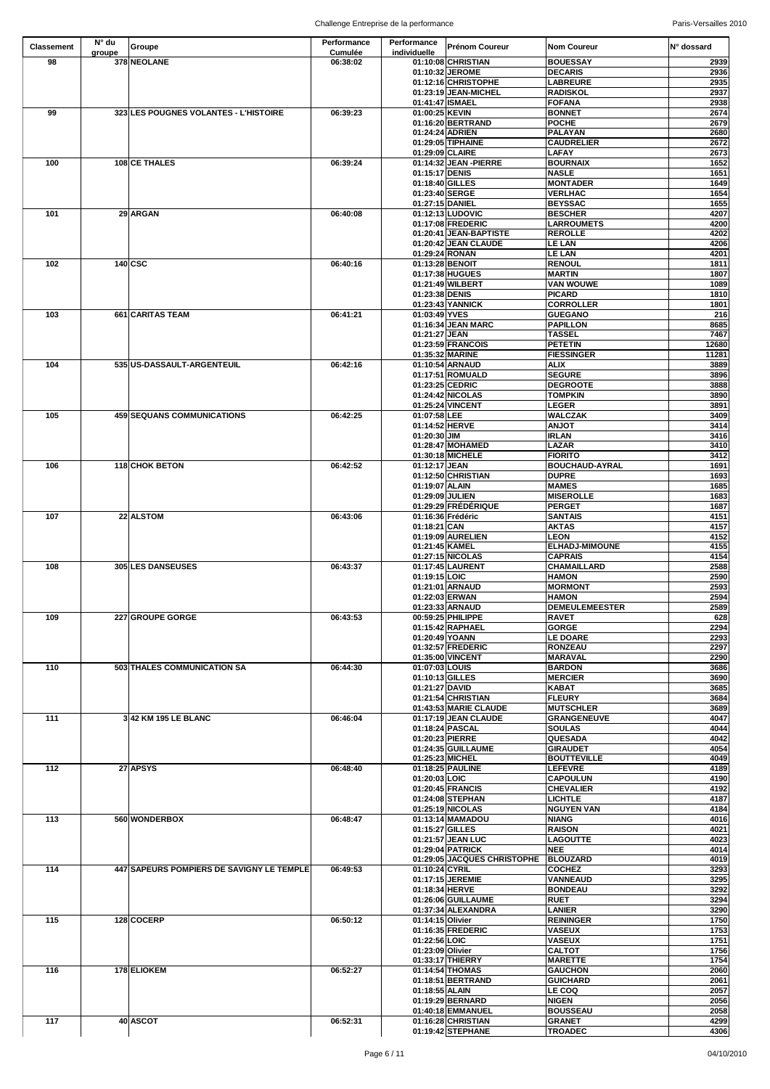| 378 NEOLANE<br>98<br>01:10:08 CHRISTIAN<br><b>BOUESSAY</b><br>06:38:02<br>2939<br><b>DECARIS</b><br>01:10:32 JEROME<br>2936<br>01:12:16 CHRISTOPHE<br><b>LABREURE</b><br>2935<br>01:23:19 JEAN-MICHEL<br><b>RADISKOL</b><br>2937<br>01:41:47 ISMAEL<br><b>FOFANA</b><br>06:39:23<br>99<br>323 LES POUGNES VOLANTES - L'HISTOIRE<br>01:00:25 KEVIN<br><b>BONNET</b><br>01:16:20 BERTRAND<br><b>POCHE</b><br><b>PALAYAN</b><br>01:24:24 ADRIEN<br>01:29:05 TIPHAINE<br><b>CAUDRELIER</b><br><b>LAFAY</b><br>01:29:09 CLAIRE<br>108 CE THALES<br>06:39:24<br>01:14:32 JEAN - PIERRE<br>100<br><b>BOURNAIX</b><br><b>NASLE</b><br>01:15:17 DENIS<br><b>MONTADER</b><br>01:18:40 GILLES<br>01:23:40 SERGE<br><b>VERLHAC</b><br>01:27:15 DANIEL<br><b>BEYSSAC</b><br>29 ARGAN<br>101<br>01:12:13 LUDOVIC<br><b>BESCHER</b><br>06:40:08<br>01:17:08 FREDERIC<br><b>LARROUMETS</b><br>01:20:41 JEAN-BAPTISTE<br><b>REROLLE</b><br>01:20:42 JEAN CLAUDE<br><b>LE LAN</b><br>01:29:24 RONAN<br><b>LE LAN</b><br>140 CSC<br>102<br>06:40:16<br>01:13:28 BENOIT<br><b>RENOUL</b><br>01:17:38 HUGUES<br><b>MARTIN</b><br><b>VAN WOUWE</b><br>01:21:49 WILBERT<br><b>PICARD</b><br>01:23:38 DENIS<br>01:23:43 YANNICK<br><b>CORROLLER</b><br>661 CARITAS TEAM<br>06:41:21<br>01:03:49 YVES<br><b>GUEGANO</b><br>103<br>01:16:34 JEAN MARC<br><b>PAPILLON</b><br>01:21:27 JEAN<br><b>TASSEL</b><br><b>PETETIN</b><br>01:23:59 FRANCOIS<br>01:35:32 MARINE<br><b>FIESSINGER</b><br><b>ALIX</b><br>104<br>535 US-DASSAULT-ARGENTEUIL<br>06:42:16<br>01:10:54 ARNAUD<br>01:17:51 ROMUALD<br><b>SEGURE</b><br>01:23:25 CEDRIC<br><b>DEGROOTE</b><br>01:24:42 NICOLAS<br><b>TOMPKIN</b><br>01:25:24 VINCENT<br><b>LEGER</b><br>105<br><b>WALCZAK</b><br><b>459 SEQUANS COMMUNICATIONS</b><br>06:42:25<br>01:07:58 LEE<br>01:14:52 HERVE<br><b>ANJOT</b><br><b>IRLAN</b><br>$01:20:30$ JIM<br>01:28:47 MOHAMED<br><b>LAZAR</b><br>01:30:18 MICHELE<br><b>FIORITO</b><br>106<br><b>118 CHOK BETON</b><br>06:42:52<br>01:12:17 JEAN<br><b>BOUCHAUD-AYRAL</b><br>01:12:50 CHRISTIAN<br><b>DUPRE</b><br>01:19:07 ALAIN<br><b>MAMES</b><br>01:29:09 JULIEN<br><b>MISEROLLE</b><br>01:29:29 FRÉDÉRIQUE<br><b>PERGET</b><br>22 ALSTOM<br>01:16:36 Frédéric<br><b>SANTAIS</b><br>107<br>06:43:06<br>01:18:21 CAN<br><b>AKTAS</b><br>01:19:09 AURELIEN<br><b>LEON</b><br>01:21:45 KAMEL<br><b>ELHADJ-MIMOUNE</b><br>01:27:15 NICOLAS<br><b>CAPRAIS</b><br>108<br><b>305 LES DANSEUSES</b><br>06:43:37<br>01:17:45 LAURENT<br><b>CHAMAILLARD</b><br>01:19:15 LOIC<br><b>HAMON</b><br><b>MORMONT</b><br>01:21:01 ARNAUD<br>01:22:03 ERWAN<br><b>HAMON</b><br>01:23:33 ARNAUD<br><b>DEMEULEMEESTER</b><br>06:43:53<br>00:59:25 PHILIPPE<br>109<br>227 GROUPE GORGE<br><b>RAVET</b><br>01:15:42 RAPHAEL<br><b>GORGE</b><br>01:20:49 YOANN<br><b>LE DOARE</b><br>01:32:57 FREDERIC<br><b>RONZEAU</b><br>01:35:00 VINCENT<br><b>MARAVAL</b><br>503 THALES COMMUNICATION SA<br>110<br>06:44:30<br>01:07:03 LOUIS<br><b>BARDON</b><br><b>MERCIER</b><br>01:10:13 GILLES<br>01:21:27 DAVID<br><b>KABAT</b><br>01:21:54 CHRISTIAN<br><b>FLEURY</b><br>01:43:53 MARIE CLAUDE<br><b>MUTSCHLER</b><br>111<br>3 42 KM 195 LE BLANC<br>01:17:19 JEAN CLAUDE<br><b>GRANGENEUVE</b><br>06:46:04<br>01:18:24 PASCAL<br><b>SOULAS</b><br><b>QUESADA</b><br>01:20:23 PIERRE<br>01:24:35 GUILLAUME<br><b>GIRAUDET</b><br>01:25:23 MICHEL<br><b>BOUTTEVILLE</b><br>$112$<br>27 APSYS<br>06:48:40<br>01:18:25 PAULINE<br><b>LEFEVRE</b><br>01:20:03 LOIC<br><b>CAPOULUN</b><br>01:20:45 FRANCIS<br><b>CHEVALIER</b><br><b>LICHTLE</b><br>01:24:08 STEPHAN<br>01:25:19 NICOLAS<br><b>NGUYEN VAN</b><br>113<br>560 WONDERBOX<br>06:48:47<br>01:13:14 MAMADOU<br><b>NIANG</b><br>01:15:27 GILLES<br><b>RAISON</b><br>01:21:57 JEAN LUC<br><b>LAGOUTTE</b><br><b>NEE</b><br>01:29:04 PATRICK<br>01:29:05 JACQUES CHRISTOPHE<br><b>BLOUZARD</b><br>06:49:53<br>01:10:24 CYRIL<br>114<br>447 SAPEURS POMPIERS DE SAVIGNY LE TEMPLE<br><b>COCHEZ</b><br>01:17:15 JEREMIE<br><b>VANNEAUD</b><br>01:18:34 HERVE<br><b>BONDEAU</b><br>01:26:06 GUILLAUME<br><b>RUET</b><br>01:37:34 ALEXANDRA<br><b>LANIER</b><br>115<br>128 COCERP<br>06:50:12<br><b>REININGER</b><br>01:14:15 Olivier<br>01:16:35 FREDERIC<br><b>VASEUX</b><br>01:22:56 LOIC<br><b>VASEUX</b><br><b>CALTOT</b><br>01:23:09 Olivier<br>01:33:17 THIERRY<br><b>MARETTE</b><br>116<br>178 ELIOKEM<br>01:14:54 THOMAS<br><b>GAUCHON</b><br>06:52:27<br>01:18:51 BERTRAND<br><b>GUICHARD</b><br>01:18:55 ALAIN<br><b>LE COQ</b><br>01:19:29 BERNARD<br><b>NIGEN</b><br>01:40:18 EMMANUEL<br><b>BOUSSEAU</b><br>40 ASCOT<br>117<br>06:52:31<br>01:16:28 CHRISTIAN<br><b>GRANET</b><br>01:19:42 STEPHANE<br><b>TROADEC</b> | Classement | $N^{\circ}$ du<br>groupe | Groupe | Performance<br><b>Cumulée</b> | <b>Performance</b><br>individuelle | <b>Prénom Coureur</b> | <b>Nom Coureur</b> | IN° dossard |
|------------------------------------------------------------------------------------------------------------------------------------------------------------------------------------------------------------------------------------------------------------------------------------------------------------------------------------------------------------------------------------------------------------------------------------------------------------------------------------------------------------------------------------------------------------------------------------------------------------------------------------------------------------------------------------------------------------------------------------------------------------------------------------------------------------------------------------------------------------------------------------------------------------------------------------------------------------------------------------------------------------------------------------------------------------------------------------------------------------------------------------------------------------------------------------------------------------------------------------------------------------------------------------------------------------------------------------------------------------------------------------------------------------------------------------------------------------------------------------------------------------------------------------------------------------------------------------------------------------------------------------------------------------------------------------------------------------------------------------------------------------------------------------------------------------------------------------------------------------------------------------------------------------------------------------------------------------------------------------------------------------------------------------------------------------------------------------------------------------------------------------------------------------------------------------------------------------------------------------------------------------------------------------------------------------------------------------------------------------------------------------------------------------------------------------------------------------------------------------------------------------------------------------------------------------------------------------------------------------------------------------------------------------------------------------------------------------------------------------------------------------------------------------------------------------------------------------------------------------------------------------------------------------------------------------------------------------------------------------------------------------------------------------------------------------------------------------------------------------------------------------------------------------------------------------------------------------------------------------------------------------------------------------------------------------------------------------------------------------------------------------------------------------------------------------------------------------------------------------------------------------------------------------------------------------------------------------------------------------------------------------------------------------------------------------------------------------------------------------------------------------------------------------------------------------------------------------------------------------------------------------------------------------------------------------------------------------------------------------------------------------------------------------------------------------------------------------------------------------------------------------------------------------------------------------------------------------------------------------------------------------------------------------------------------------------------------------------------------------------------------------------------------------------------------------------------------------------------------------------------------------------------------------------------------------------------------------------------------------------------------------------------------------------------------------------------------------------------|------------|--------------------------|--------|-------------------------------|------------------------------------|-----------------------|--------------------|-------------|
|                                                                                                                                                                                                                                                                                                                                                                                                                                                                                                                                                                                                                                                                                                                                                                                                                                                                                                                                                                                                                                                                                                                                                                                                                                                                                                                                                                                                                                                                                                                                                                                                                                                                                                                                                                                                                                                                                                                                                                                                                                                                                                                                                                                                                                                                                                                                                                                                                                                                                                                                                                                                                                                                                                                                                                                                                                                                                                                                                                                                                                                                                                                                                                                                                                                                                                                                                                                                                                                                                                                                                                                                                                                                                                                                                                                                                                                                                                                                                                                                                                                                                                                                                                                                                                                                                                                                                                                                                                                                                                                                                                                                                                                                                                                        |            |                          |        |                               |                                    |                       |                    |             |
|                                                                                                                                                                                                                                                                                                                                                                                                                                                                                                                                                                                                                                                                                                                                                                                                                                                                                                                                                                                                                                                                                                                                                                                                                                                                                                                                                                                                                                                                                                                                                                                                                                                                                                                                                                                                                                                                                                                                                                                                                                                                                                                                                                                                                                                                                                                                                                                                                                                                                                                                                                                                                                                                                                                                                                                                                                                                                                                                                                                                                                                                                                                                                                                                                                                                                                                                                                                                                                                                                                                                                                                                                                                                                                                                                                                                                                                                                                                                                                                                                                                                                                                                                                                                                                                                                                                                                                                                                                                                                                                                                                                                                                                                                                                        |            |                          |        |                               |                                    |                       |                    |             |
| 2674<br>4151                                                                                                                                                                                                                                                                                                                                                                                                                                                                                                                                                                                                                                                                                                                                                                                                                                                                                                                                                                                                                                                                                                                                                                                                                                                                                                                                                                                                                                                                                                                                                                                                                                                                                                                                                                                                                                                                                                                                                                                                                                                                                                                                                                                                                                                                                                                                                                                                                                                                                                                                                                                                                                                                                                                                                                                                                                                                                                                                                                                                                                                                                                                                                                                                                                                                                                                                                                                                                                                                                                                                                                                                                                                                                                                                                                                                                                                                                                                                                                                                                                                                                                                                                                                                                                                                                                                                                                                                                                                                                                                                                                                                                                                                                                           |            |                          |        |                               |                                    |                       |                    |             |
| 2679                                                                                                                                                                                                                                                                                                                                                                                                                                                                                                                                                                                                                                                                                                                                                                                                                                                                                                                                                                                                                                                                                                                                                                                                                                                                                                                                                                                                                                                                                                                                                                                                                                                                                                                                                                                                                                                                                                                                                                                                                                                                                                                                                                                                                                                                                                                                                                                                                                                                                                                                                                                                                                                                                                                                                                                                                                                                                                                                                                                                                                                                                                                                                                                                                                                                                                                                                                                                                                                                                                                                                                                                                                                                                                                                                                                                                                                                                                                                                                                                                                                                                                                                                                                                                                                                                                                                                                                                                                                                                                                                                                                                                                                                                                                   |            |                          |        |                               |                                    |                       |                    | 2938        |
| 2680                                                                                                                                                                                                                                                                                                                                                                                                                                                                                                                                                                                                                                                                                                                                                                                                                                                                                                                                                                                                                                                                                                                                                                                                                                                                                                                                                                                                                                                                                                                                                                                                                                                                                                                                                                                                                                                                                                                                                                                                                                                                                                                                                                                                                                                                                                                                                                                                                                                                                                                                                                                                                                                                                                                                                                                                                                                                                                                                                                                                                                                                                                                                                                                                                                                                                                                                                                                                                                                                                                                                                                                                                                                                                                                                                                                                                                                                                                                                                                                                                                                                                                                                                                                                                                                                                                                                                                                                                                                                                                                                                                                                                                                                                                                   |            |                          |        |                               |                                    |                       |                    |             |
| 2672<br>2673<br>1652<br>4207<br>1801<br>11281<br>4157                                                                                                                                                                                                                                                                                                                                                                                                                                                                                                                                                                                                                                                                                                                                                                                                                                                                                                                                                                                                                                                                                                                                                                                                                                                                                                                                                                                                                                                                                                                                                                                                                                                                                                                                                                                                                                                                                                                                                                                                                                                                                                                                                                                                                                                                                                                                                                                                                                                                                                                                                                                                                                                                                                                                                                                                                                                                                                                                                                                                                                                                                                                                                                                                                                                                                                                                                                                                                                                                                                                                                                                                                                                                                                                                                                                                                                                                                                                                                                                                                                                                                                                                                                                                                                                                                                                                                                                                                                                                                                                                                                                                                                                                  |            |                          |        |                               |                                    |                       |                    |             |
|                                                                                                                                                                                                                                                                                                                                                                                                                                                                                                                                                                                                                                                                                                                                                                                                                                                                                                                                                                                                                                                                                                                                                                                                                                                                                                                                                                                                                                                                                                                                                                                                                                                                                                                                                                                                                                                                                                                                                                                                                                                                                                                                                                                                                                                                                                                                                                                                                                                                                                                                                                                                                                                                                                                                                                                                                                                                                                                                                                                                                                                                                                                                                                                                                                                                                                                                                                                                                                                                                                                                                                                                                                                                                                                                                                                                                                                                                                                                                                                                                                                                                                                                                                                                                                                                                                                                                                                                                                                                                                                                                                                                                                                                                                                        |            |                          |        |                               |                                    |                       |                    |             |
| 1651<br>1649<br>1654<br>1655                                                                                                                                                                                                                                                                                                                                                                                                                                                                                                                                                                                                                                                                                                                                                                                                                                                                                                                                                                                                                                                                                                                                                                                                                                                                                                                                                                                                                                                                                                                                                                                                                                                                                                                                                                                                                                                                                                                                                                                                                                                                                                                                                                                                                                                                                                                                                                                                                                                                                                                                                                                                                                                                                                                                                                                                                                                                                                                                                                                                                                                                                                                                                                                                                                                                                                                                                                                                                                                                                                                                                                                                                                                                                                                                                                                                                                                                                                                                                                                                                                                                                                                                                                                                                                                                                                                                                                                                                                                                                                                                                                                                                                                                                           |            |                          |        |                               |                                    |                       |                    |             |
|                                                                                                                                                                                                                                                                                                                                                                                                                                                                                                                                                                                                                                                                                                                                                                                                                                                                                                                                                                                                                                                                                                                                                                                                                                                                                                                                                                                                                                                                                                                                                                                                                                                                                                                                                                                                                                                                                                                                                                                                                                                                                                                                                                                                                                                                                                                                                                                                                                                                                                                                                                                                                                                                                                                                                                                                                                                                                                                                                                                                                                                                                                                                                                                                                                                                                                                                                                                                                                                                                                                                                                                                                                                                                                                                                                                                                                                                                                                                                                                                                                                                                                                                                                                                                                                                                                                                                                                                                                                                                                                                                                                                                                                                                                                        |            |                          |        |                               |                                    |                       |                    |             |
|                                                                                                                                                                                                                                                                                                                                                                                                                                                                                                                                                                                                                                                                                                                                                                                                                                                                                                                                                                                                                                                                                                                                                                                                                                                                                                                                                                                                                                                                                                                                                                                                                                                                                                                                                                                                                                                                                                                                                                                                                                                                                                                                                                                                                                                                                                                                                                                                                                                                                                                                                                                                                                                                                                                                                                                                                                                                                                                                                                                                                                                                                                                                                                                                                                                                                                                                                                                                                                                                                                                                                                                                                                                                                                                                                                                                                                                                                                                                                                                                                                                                                                                                                                                                                                                                                                                                                                                                                                                                                                                                                                                                                                                                                                                        |            |                          |        |                               |                                    |                       |                    |             |
|                                                                                                                                                                                                                                                                                                                                                                                                                                                                                                                                                                                                                                                                                                                                                                                                                                                                                                                                                                                                                                                                                                                                                                                                                                                                                                                                                                                                                                                                                                                                                                                                                                                                                                                                                                                                                                                                                                                                                                                                                                                                                                                                                                                                                                                                                                                                                                                                                                                                                                                                                                                                                                                                                                                                                                                                                                                                                                                                                                                                                                                                                                                                                                                                                                                                                                                                                                                                                                                                                                                                                                                                                                                                                                                                                                                                                                                                                                                                                                                                                                                                                                                                                                                                                                                                                                                                                                                                                                                                                                                                                                                                                                                                                                                        |            |                          |        |                               |                                    |                       |                    |             |
| 4200<br>4202<br>4206<br>4201<br>1811<br>1807<br>1089<br>1810<br>216<br>8685<br>7467<br>12680                                                                                                                                                                                                                                                                                                                                                                                                                                                                                                                                                                                                                                                                                                                                                                                                                                                                                                                                                                                                                                                                                                                                                                                                                                                                                                                                                                                                                                                                                                                                                                                                                                                                                                                                                                                                                                                                                                                                                                                                                                                                                                                                                                                                                                                                                                                                                                                                                                                                                                                                                                                                                                                                                                                                                                                                                                                                                                                                                                                                                                                                                                                                                                                                                                                                                                                                                                                                                                                                                                                                                                                                                                                                                                                                                                                                                                                                                                                                                                                                                                                                                                                                                                                                                                                                                                                                                                                                                                                                                                                                                                                                                           |            |                          |        |                               |                                    |                       |                    |             |
|                                                                                                                                                                                                                                                                                                                                                                                                                                                                                                                                                                                                                                                                                                                                                                                                                                                                                                                                                                                                                                                                                                                                                                                                                                                                                                                                                                                                                                                                                                                                                                                                                                                                                                                                                                                                                                                                                                                                                                                                                                                                                                                                                                                                                                                                                                                                                                                                                                                                                                                                                                                                                                                                                                                                                                                                                                                                                                                                                                                                                                                                                                                                                                                                                                                                                                                                                                                                                                                                                                                                                                                                                                                                                                                                                                                                                                                                                                                                                                                                                                                                                                                                                                                                                                                                                                                                                                                                                                                                                                                                                                                                                                                                                                                        |            |                          |        |                               |                                    |                       |                    |             |
|                                                                                                                                                                                                                                                                                                                                                                                                                                                                                                                                                                                                                                                                                                                                                                                                                                                                                                                                                                                                                                                                                                                                                                                                                                                                                                                                                                                                                                                                                                                                                                                                                                                                                                                                                                                                                                                                                                                                                                                                                                                                                                                                                                                                                                                                                                                                                                                                                                                                                                                                                                                                                                                                                                                                                                                                                                                                                                                                                                                                                                                                                                                                                                                                                                                                                                                                                                                                                                                                                                                                                                                                                                                                                                                                                                                                                                                                                                                                                                                                                                                                                                                                                                                                                                                                                                                                                                                                                                                                                                                                                                                                                                                                                                                        |            |                          |        |                               |                                    |                       |                    |             |
|                                                                                                                                                                                                                                                                                                                                                                                                                                                                                                                                                                                                                                                                                                                                                                                                                                                                                                                                                                                                                                                                                                                                                                                                                                                                                                                                                                                                                                                                                                                                                                                                                                                                                                                                                                                                                                                                                                                                                                                                                                                                                                                                                                                                                                                                                                                                                                                                                                                                                                                                                                                                                                                                                                                                                                                                                                                                                                                                                                                                                                                                                                                                                                                                                                                                                                                                                                                                                                                                                                                                                                                                                                                                                                                                                                                                                                                                                                                                                                                                                                                                                                                                                                                                                                                                                                                                                                                                                                                                                                                                                                                                                                                                                                                        |            |                          |        |                               |                                    |                       |                    |             |
|                                                                                                                                                                                                                                                                                                                                                                                                                                                                                                                                                                                                                                                                                                                                                                                                                                                                                                                                                                                                                                                                                                                                                                                                                                                                                                                                                                                                                                                                                                                                                                                                                                                                                                                                                                                                                                                                                                                                                                                                                                                                                                                                                                                                                                                                                                                                                                                                                                                                                                                                                                                                                                                                                                                                                                                                                                                                                                                                                                                                                                                                                                                                                                                                                                                                                                                                                                                                                                                                                                                                                                                                                                                                                                                                                                                                                                                                                                                                                                                                                                                                                                                                                                                                                                                                                                                                                                                                                                                                                                                                                                                                                                                                                                                        |            |                          |        |                               |                                    |                       |                    |             |
|                                                                                                                                                                                                                                                                                                                                                                                                                                                                                                                                                                                                                                                                                                                                                                                                                                                                                                                                                                                                                                                                                                                                                                                                                                                                                                                                                                                                                                                                                                                                                                                                                                                                                                                                                                                                                                                                                                                                                                                                                                                                                                                                                                                                                                                                                                                                                                                                                                                                                                                                                                                                                                                                                                                                                                                                                                                                                                                                                                                                                                                                                                                                                                                                                                                                                                                                                                                                                                                                                                                                                                                                                                                                                                                                                                                                                                                                                                                                                                                                                                                                                                                                                                                                                                                                                                                                                                                                                                                                                                                                                                                                                                                                                                                        |            |                          |        |                               |                                    |                       |                    |             |
|                                                                                                                                                                                                                                                                                                                                                                                                                                                                                                                                                                                                                                                                                                                                                                                                                                                                                                                                                                                                                                                                                                                                                                                                                                                                                                                                                                                                                                                                                                                                                                                                                                                                                                                                                                                                                                                                                                                                                                                                                                                                                                                                                                                                                                                                                                                                                                                                                                                                                                                                                                                                                                                                                                                                                                                                                                                                                                                                                                                                                                                                                                                                                                                                                                                                                                                                                                                                                                                                                                                                                                                                                                                                                                                                                                                                                                                                                                                                                                                                                                                                                                                                                                                                                                                                                                                                                                                                                                                                                                                                                                                                                                                                                                                        |            |                          |        |                               |                                    |                       |                    |             |
|                                                                                                                                                                                                                                                                                                                                                                                                                                                                                                                                                                                                                                                                                                                                                                                                                                                                                                                                                                                                                                                                                                                                                                                                                                                                                                                                                                                                                                                                                                                                                                                                                                                                                                                                                                                                                                                                                                                                                                                                                                                                                                                                                                                                                                                                                                                                                                                                                                                                                                                                                                                                                                                                                                                                                                                                                                                                                                                                                                                                                                                                                                                                                                                                                                                                                                                                                                                                                                                                                                                                                                                                                                                                                                                                                                                                                                                                                                                                                                                                                                                                                                                                                                                                                                                                                                                                                                                                                                                                                                                                                                                                                                                                                                                        |            |                          |        |                               |                                    |                       |                    |             |
|                                                                                                                                                                                                                                                                                                                                                                                                                                                                                                                                                                                                                                                                                                                                                                                                                                                                                                                                                                                                                                                                                                                                                                                                                                                                                                                                                                                                                                                                                                                                                                                                                                                                                                                                                                                                                                                                                                                                                                                                                                                                                                                                                                                                                                                                                                                                                                                                                                                                                                                                                                                                                                                                                                                                                                                                                                                                                                                                                                                                                                                                                                                                                                                                                                                                                                                                                                                                                                                                                                                                                                                                                                                                                                                                                                                                                                                                                                                                                                                                                                                                                                                                                                                                                                                                                                                                                                                                                                                                                                                                                                                                                                                                                                                        |            |                          |        |                               |                                    |                       |                    |             |
|                                                                                                                                                                                                                                                                                                                                                                                                                                                                                                                                                                                                                                                                                                                                                                                                                                                                                                                                                                                                                                                                                                                                                                                                                                                                                                                                                                                                                                                                                                                                                                                                                                                                                                                                                                                                                                                                                                                                                                                                                                                                                                                                                                                                                                                                                                                                                                                                                                                                                                                                                                                                                                                                                                                                                                                                                                                                                                                                                                                                                                                                                                                                                                                                                                                                                                                                                                                                                                                                                                                                                                                                                                                                                                                                                                                                                                                                                                                                                                                                                                                                                                                                                                                                                                                                                                                                                                                                                                                                                                                                                                                                                                                                                                                        |            |                          |        |                               |                                    |                       |                    |             |
|                                                                                                                                                                                                                                                                                                                                                                                                                                                                                                                                                                                                                                                                                                                                                                                                                                                                                                                                                                                                                                                                                                                                                                                                                                                                                                                                                                                                                                                                                                                                                                                                                                                                                                                                                                                                                                                                                                                                                                                                                                                                                                                                                                                                                                                                                                                                                                                                                                                                                                                                                                                                                                                                                                                                                                                                                                                                                                                                                                                                                                                                                                                                                                                                                                                                                                                                                                                                                                                                                                                                                                                                                                                                                                                                                                                                                                                                                                                                                                                                                                                                                                                                                                                                                                                                                                                                                                                                                                                                                                                                                                                                                                                                                                                        |            |                          |        |                               |                                    |                       |                    |             |
| 3889<br>3896<br>3888<br>3890<br>3891<br>3409<br>3414<br>1691<br>1687<br>4152<br>4154<br>2594<br>2294<br>4184<br>4021<br>3294<br>1751<br>2061                                                                                                                                                                                                                                                                                                                                                                                                                                                                                                                                                                                                                                                                                                                                                                                                                                                                                                                                                                                                                                                                                                                                                                                                                                                                                                                                                                                                                                                                                                                                                                                                                                                                                                                                                                                                                                                                                                                                                                                                                                                                                                                                                                                                                                                                                                                                                                                                                                                                                                                                                                                                                                                                                                                                                                                                                                                                                                                                                                                                                                                                                                                                                                                                                                                                                                                                                                                                                                                                                                                                                                                                                                                                                                                                                                                                                                                                                                                                                                                                                                                                                                                                                                                                                                                                                                                                                                                                                                                                                                                                                                           |            |                          |        |                               |                                    |                       |                    |             |
|                                                                                                                                                                                                                                                                                                                                                                                                                                                                                                                                                                                                                                                                                                                                                                                                                                                                                                                                                                                                                                                                                                                                                                                                                                                                                                                                                                                                                                                                                                                                                                                                                                                                                                                                                                                                                                                                                                                                                                                                                                                                                                                                                                                                                                                                                                                                                                                                                                                                                                                                                                                                                                                                                                                                                                                                                                                                                                                                                                                                                                                                                                                                                                                                                                                                                                                                                                                                                                                                                                                                                                                                                                                                                                                                                                                                                                                                                                                                                                                                                                                                                                                                                                                                                                                                                                                                                                                                                                                                                                                                                                                                                                                                                                                        |            |                          |        |                               |                                    |                       |                    |             |
|                                                                                                                                                                                                                                                                                                                                                                                                                                                                                                                                                                                                                                                                                                                                                                                                                                                                                                                                                                                                                                                                                                                                                                                                                                                                                                                                                                                                                                                                                                                                                                                                                                                                                                                                                                                                                                                                                                                                                                                                                                                                                                                                                                                                                                                                                                                                                                                                                                                                                                                                                                                                                                                                                                                                                                                                                                                                                                                                                                                                                                                                                                                                                                                                                                                                                                                                                                                                                                                                                                                                                                                                                                                                                                                                                                                                                                                                                                                                                                                                                                                                                                                                                                                                                                                                                                                                                                                                                                                                                                                                                                                                                                                                                                                        |            |                          |        |                               |                                    |                       |                    |             |
|                                                                                                                                                                                                                                                                                                                                                                                                                                                                                                                                                                                                                                                                                                                                                                                                                                                                                                                                                                                                                                                                                                                                                                                                                                                                                                                                                                                                                                                                                                                                                                                                                                                                                                                                                                                                                                                                                                                                                                                                                                                                                                                                                                                                                                                                                                                                                                                                                                                                                                                                                                                                                                                                                                                                                                                                                                                                                                                                                                                                                                                                                                                                                                                                                                                                                                                                                                                                                                                                                                                                                                                                                                                                                                                                                                                                                                                                                                                                                                                                                                                                                                                                                                                                                                                                                                                                                                                                                                                                                                                                                                                                                                                                                                                        |            |                          |        |                               |                                    |                       |                    |             |
|                                                                                                                                                                                                                                                                                                                                                                                                                                                                                                                                                                                                                                                                                                                                                                                                                                                                                                                                                                                                                                                                                                                                                                                                                                                                                                                                                                                                                                                                                                                                                                                                                                                                                                                                                                                                                                                                                                                                                                                                                                                                                                                                                                                                                                                                                                                                                                                                                                                                                                                                                                                                                                                                                                                                                                                                                                                                                                                                                                                                                                                                                                                                                                                                                                                                                                                                                                                                                                                                                                                                                                                                                                                                                                                                                                                                                                                                                                                                                                                                                                                                                                                                                                                                                                                                                                                                                                                                                                                                                                                                                                                                                                                                                                                        |            |                          |        |                               |                                    |                       |                    |             |
|                                                                                                                                                                                                                                                                                                                                                                                                                                                                                                                                                                                                                                                                                                                                                                                                                                                                                                                                                                                                                                                                                                                                                                                                                                                                                                                                                                                                                                                                                                                                                                                                                                                                                                                                                                                                                                                                                                                                                                                                                                                                                                                                                                                                                                                                                                                                                                                                                                                                                                                                                                                                                                                                                                                                                                                                                                                                                                                                                                                                                                                                                                                                                                                                                                                                                                                                                                                                                                                                                                                                                                                                                                                                                                                                                                                                                                                                                                                                                                                                                                                                                                                                                                                                                                                                                                                                                                                                                                                                                                                                                                                                                                                                                                                        |            |                          |        |                               |                                    |                       |                    |             |
| 3410<br>3412<br>1693                                                                                                                                                                                                                                                                                                                                                                                                                                                                                                                                                                                                                                                                                                                                                                                                                                                                                                                                                                                                                                                                                                                                                                                                                                                                                                                                                                                                                                                                                                                                                                                                                                                                                                                                                                                                                                                                                                                                                                                                                                                                                                                                                                                                                                                                                                                                                                                                                                                                                                                                                                                                                                                                                                                                                                                                                                                                                                                                                                                                                                                                                                                                                                                                                                                                                                                                                                                                                                                                                                                                                                                                                                                                                                                                                                                                                                                                                                                                                                                                                                                                                                                                                                                                                                                                                                                                                                                                                                                                                                                                                                                                                                                                                                   |            |                          |        |                               |                                    |                       |                    | 3416        |
|                                                                                                                                                                                                                                                                                                                                                                                                                                                                                                                                                                                                                                                                                                                                                                                                                                                                                                                                                                                                                                                                                                                                                                                                                                                                                                                                                                                                                                                                                                                                                                                                                                                                                                                                                                                                                                                                                                                                                                                                                                                                                                                                                                                                                                                                                                                                                                                                                                                                                                                                                                                                                                                                                                                                                                                                                                                                                                                                                                                                                                                                                                                                                                                                                                                                                                                                                                                                                                                                                                                                                                                                                                                                                                                                                                                                                                                                                                                                                                                                                                                                                                                                                                                                                                                                                                                                                                                                                                                                                                                                                                                                                                                                                                                        |            |                          |        |                               |                                    |                       |                    |             |
|                                                                                                                                                                                                                                                                                                                                                                                                                                                                                                                                                                                                                                                                                                                                                                                                                                                                                                                                                                                                                                                                                                                                                                                                                                                                                                                                                                                                                                                                                                                                                                                                                                                                                                                                                                                                                                                                                                                                                                                                                                                                                                                                                                                                                                                                                                                                                                                                                                                                                                                                                                                                                                                                                                                                                                                                                                                                                                                                                                                                                                                                                                                                                                                                                                                                                                                                                                                                                                                                                                                                                                                                                                                                                                                                                                                                                                                                                                                                                                                                                                                                                                                                                                                                                                                                                                                                                                                                                                                                                                                                                                                                                                                                                                                        |            |                          |        |                               |                                    |                       |                    |             |
| 1685<br>1683<br>4155<br>2588<br>2590<br>2593<br>2589<br>628<br>2293<br>2297<br>2290<br>3686<br>3690<br>3685<br>3684<br>3689<br>4047<br>4044<br>4042<br>4054<br>4049<br>4189<br>4190<br>4192<br>4187<br>4016<br>4023<br>4014<br>4019<br>3293<br>3295<br>3292                                                                                                                                                                                                                                                                                                                                                                                                                                                                                                                                                                                                                                                                                                                                                                                                                                                                                                                                                                                                                                                                                                                                                                                                                                                                                                                                                                                                                                                                                                                                                                                                                                                                                                                                                                                                                                                                                                                                                                                                                                                                                                                                                                                                                                                                                                                                                                                                                                                                                                                                                                                                                                                                                                                                                                                                                                                                                                                                                                                                                                                                                                                                                                                                                                                                                                                                                                                                                                                                                                                                                                                                                                                                                                                                                                                                                                                                                                                                                                                                                                                                                                                                                                                                                                                                                                                                                                                                                                                            |            |                          |        |                               |                                    |                       |                    |             |
|                                                                                                                                                                                                                                                                                                                                                                                                                                                                                                                                                                                                                                                                                                                                                                                                                                                                                                                                                                                                                                                                                                                                                                                                                                                                                                                                                                                                                                                                                                                                                                                                                                                                                                                                                                                                                                                                                                                                                                                                                                                                                                                                                                                                                                                                                                                                                                                                                                                                                                                                                                                                                                                                                                                                                                                                                                                                                                                                                                                                                                                                                                                                                                                                                                                                                                                                                                                                                                                                                                                                                                                                                                                                                                                                                                                                                                                                                                                                                                                                                                                                                                                                                                                                                                                                                                                                                                                                                                                                                                                                                                                                                                                                                                                        |            |                          |        |                               |                                    |                       |                    |             |
|                                                                                                                                                                                                                                                                                                                                                                                                                                                                                                                                                                                                                                                                                                                                                                                                                                                                                                                                                                                                                                                                                                                                                                                                                                                                                                                                                                                                                                                                                                                                                                                                                                                                                                                                                                                                                                                                                                                                                                                                                                                                                                                                                                                                                                                                                                                                                                                                                                                                                                                                                                                                                                                                                                                                                                                                                                                                                                                                                                                                                                                                                                                                                                                                                                                                                                                                                                                                                                                                                                                                                                                                                                                                                                                                                                                                                                                                                                                                                                                                                                                                                                                                                                                                                                                                                                                                                                                                                                                                                                                                                                                                                                                                                                                        |            |                          |        |                               |                                    |                       |                    |             |
|                                                                                                                                                                                                                                                                                                                                                                                                                                                                                                                                                                                                                                                                                                                                                                                                                                                                                                                                                                                                                                                                                                                                                                                                                                                                                                                                                                                                                                                                                                                                                                                                                                                                                                                                                                                                                                                                                                                                                                                                                                                                                                                                                                                                                                                                                                                                                                                                                                                                                                                                                                                                                                                                                                                                                                                                                                                                                                                                                                                                                                                                                                                                                                                                                                                                                                                                                                                                                                                                                                                                                                                                                                                                                                                                                                                                                                                                                                                                                                                                                                                                                                                                                                                                                                                                                                                                                                                                                                                                                                                                                                                                                                                                                                                        |            |                          |        |                               |                                    |                       |                    |             |
|                                                                                                                                                                                                                                                                                                                                                                                                                                                                                                                                                                                                                                                                                                                                                                                                                                                                                                                                                                                                                                                                                                                                                                                                                                                                                                                                                                                                                                                                                                                                                                                                                                                                                                                                                                                                                                                                                                                                                                                                                                                                                                                                                                                                                                                                                                                                                                                                                                                                                                                                                                                                                                                                                                                                                                                                                                                                                                                                                                                                                                                                                                                                                                                                                                                                                                                                                                                                                                                                                                                                                                                                                                                                                                                                                                                                                                                                                                                                                                                                                                                                                                                                                                                                                                                                                                                                                                                                                                                                                                                                                                                                                                                                                                                        |            |                          |        |                               |                                    |                       |                    |             |
|                                                                                                                                                                                                                                                                                                                                                                                                                                                                                                                                                                                                                                                                                                                                                                                                                                                                                                                                                                                                                                                                                                                                                                                                                                                                                                                                                                                                                                                                                                                                                                                                                                                                                                                                                                                                                                                                                                                                                                                                                                                                                                                                                                                                                                                                                                                                                                                                                                                                                                                                                                                                                                                                                                                                                                                                                                                                                                                                                                                                                                                                                                                                                                                                                                                                                                                                                                                                                                                                                                                                                                                                                                                                                                                                                                                                                                                                                                                                                                                                                                                                                                                                                                                                                                                                                                                                                                                                                                                                                                                                                                                                                                                                                                                        |            |                          |        |                               |                                    |                       |                    |             |
|                                                                                                                                                                                                                                                                                                                                                                                                                                                                                                                                                                                                                                                                                                                                                                                                                                                                                                                                                                                                                                                                                                                                                                                                                                                                                                                                                                                                                                                                                                                                                                                                                                                                                                                                                                                                                                                                                                                                                                                                                                                                                                                                                                                                                                                                                                                                                                                                                                                                                                                                                                                                                                                                                                                                                                                                                                                                                                                                                                                                                                                                                                                                                                                                                                                                                                                                                                                                                                                                                                                                                                                                                                                                                                                                                                                                                                                                                                                                                                                                                                                                                                                                                                                                                                                                                                                                                                                                                                                                                                                                                                                                                                                                                                                        |            |                          |        |                               |                                    |                       |                    |             |
|                                                                                                                                                                                                                                                                                                                                                                                                                                                                                                                                                                                                                                                                                                                                                                                                                                                                                                                                                                                                                                                                                                                                                                                                                                                                                                                                                                                                                                                                                                                                                                                                                                                                                                                                                                                                                                                                                                                                                                                                                                                                                                                                                                                                                                                                                                                                                                                                                                                                                                                                                                                                                                                                                                                                                                                                                                                                                                                                                                                                                                                                                                                                                                                                                                                                                                                                                                                                                                                                                                                                                                                                                                                                                                                                                                                                                                                                                                                                                                                                                                                                                                                                                                                                                                                                                                                                                                                                                                                                                                                                                                                                                                                                                                                        |            |                          |        |                               |                                    |                       |                    |             |
|                                                                                                                                                                                                                                                                                                                                                                                                                                                                                                                                                                                                                                                                                                                                                                                                                                                                                                                                                                                                                                                                                                                                                                                                                                                                                                                                                                                                                                                                                                                                                                                                                                                                                                                                                                                                                                                                                                                                                                                                                                                                                                                                                                                                                                                                                                                                                                                                                                                                                                                                                                                                                                                                                                                                                                                                                                                                                                                                                                                                                                                                                                                                                                                                                                                                                                                                                                                                                                                                                                                                                                                                                                                                                                                                                                                                                                                                                                                                                                                                                                                                                                                                                                                                                                                                                                                                                                                                                                                                                                                                                                                                                                                                                                                        |            |                          |        |                               |                                    |                       |                    |             |
|                                                                                                                                                                                                                                                                                                                                                                                                                                                                                                                                                                                                                                                                                                                                                                                                                                                                                                                                                                                                                                                                                                                                                                                                                                                                                                                                                                                                                                                                                                                                                                                                                                                                                                                                                                                                                                                                                                                                                                                                                                                                                                                                                                                                                                                                                                                                                                                                                                                                                                                                                                                                                                                                                                                                                                                                                                                                                                                                                                                                                                                                                                                                                                                                                                                                                                                                                                                                                                                                                                                                                                                                                                                                                                                                                                                                                                                                                                                                                                                                                                                                                                                                                                                                                                                                                                                                                                                                                                                                                                                                                                                                                                                                                                                        |            |                          |        |                               |                                    |                       |                    |             |
|                                                                                                                                                                                                                                                                                                                                                                                                                                                                                                                                                                                                                                                                                                                                                                                                                                                                                                                                                                                                                                                                                                                                                                                                                                                                                                                                                                                                                                                                                                                                                                                                                                                                                                                                                                                                                                                                                                                                                                                                                                                                                                                                                                                                                                                                                                                                                                                                                                                                                                                                                                                                                                                                                                                                                                                                                                                                                                                                                                                                                                                                                                                                                                                                                                                                                                                                                                                                                                                                                                                                                                                                                                                                                                                                                                                                                                                                                                                                                                                                                                                                                                                                                                                                                                                                                                                                                                                                                                                                                                                                                                                                                                                                                                                        |            |                          |        |                               |                                    |                       |                    |             |
|                                                                                                                                                                                                                                                                                                                                                                                                                                                                                                                                                                                                                                                                                                                                                                                                                                                                                                                                                                                                                                                                                                                                                                                                                                                                                                                                                                                                                                                                                                                                                                                                                                                                                                                                                                                                                                                                                                                                                                                                                                                                                                                                                                                                                                                                                                                                                                                                                                                                                                                                                                                                                                                                                                                                                                                                                                                                                                                                                                                                                                                                                                                                                                                                                                                                                                                                                                                                                                                                                                                                                                                                                                                                                                                                                                                                                                                                                                                                                                                                                                                                                                                                                                                                                                                                                                                                                                                                                                                                                                                                                                                                                                                                                                                        |            |                          |        |                               |                                    |                       |                    |             |
|                                                                                                                                                                                                                                                                                                                                                                                                                                                                                                                                                                                                                                                                                                                                                                                                                                                                                                                                                                                                                                                                                                                                                                                                                                                                                                                                                                                                                                                                                                                                                                                                                                                                                                                                                                                                                                                                                                                                                                                                                                                                                                                                                                                                                                                                                                                                                                                                                                                                                                                                                                                                                                                                                                                                                                                                                                                                                                                                                                                                                                                                                                                                                                                                                                                                                                                                                                                                                                                                                                                                                                                                                                                                                                                                                                                                                                                                                                                                                                                                                                                                                                                                                                                                                                                                                                                                                                                                                                                                                                                                                                                                                                                                                                                        |            |                          |        |                               |                                    |                       |                    |             |
|                                                                                                                                                                                                                                                                                                                                                                                                                                                                                                                                                                                                                                                                                                                                                                                                                                                                                                                                                                                                                                                                                                                                                                                                                                                                                                                                                                                                                                                                                                                                                                                                                                                                                                                                                                                                                                                                                                                                                                                                                                                                                                                                                                                                                                                                                                                                                                                                                                                                                                                                                                                                                                                                                                                                                                                                                                                                                                                                                                                                                                                                                                                                                                                                                                                                                                                                                                                                                                                                                                                                                                                                                                                                                                                                                                                                                                                                                                                                                                                                                                                                                                                                                                                                                                                                                                                                                                                                                                                                                                                                                                                                                                                                                                                        |            |                          |        |                               |                                    |                       |                    |             |
|                                                                                                                                                                                                                                                                                                                                                                                                                                                                                                                                                                                                                                                                                                                                                                                                                                                                                                                                                                                                                                                                                                                                                                                                                                                                                                                                                                                                                                                                                                                                                                                                                                                                                                                                                                                                                                                                                                                                                                                                                                                                                                                                                                                                                                                                                                                                                                                                                                                                                                                                                                                                                                                                                                                                                                                                                                                                                                                                                                                                                                                                                                                                                                                                                                                                                                                                                                                                                                                                                                                                                                                                                                                                                                                                                                                                                                                                                                                                                                                                                                                                                                                                                                                                                                                                                                                                                                                                                                                                                                                                                                                                                                                                                                                        |            |                          |        |                               |                                    |                       |                    |             |
|                                                                                                                                                                                                                                                                                                                                                                                                                                                                                                                                                                                                                                                                                                                                                                                                                                                                                                                                                                                                                                                                                                                                                                                                                                                                                                                                                                                                                                                                                                                                                                                                                                                                                                                                                                                                                                                                                                                                                                                                                                                                                                                                                                                                                                                                                                                                                                                                                                                                                                                                                                                                                                                                                                                                                                                                                                                                                                                                                                                                                                                                                                                                                                                                                                                                                                                                                                                                                                                                                                                                                                                                                                                                                                                                                                                                                                                                                                                                                                                                                                                                                                                                                                                                                                                                                                                                                                                                                                                                                                                                                                                                                                                                                                                        |            |                          |        |                               |                                    |                       |                    |             |
|                                                                                                                                                                                                                                                                                                                                                                                                                                                                                                                                                                                                                                                                                                                                                                                                                                                                                                                                                                                                                                                                                                                                                                                                                                                                                                                                                                                                                                                                                                                                                                                                                                                                                                                                                                                                                                                                                                                                                                                                                                                                                                                                                                                                                                                                                                                                                                                                                                                                                                                                                                                                                                                                                                                                                                                                                                                                                                                                                                                                                                                                                                                                                                                                                                                                                                                                                                                                                                                                                                                                                                                                                                                                                                                                                                                                                                                                                                                                                                                                                                                                                                                                                                                                                                                                                                                                                                                                                                                                                                                                                                                                                                                                                                                        |            |                          |        |                               |                                    |                       |                    |             |
|                                                                                                                                                                                                                                                                                                                                                                                                                                                                                                                                                                                                                                                                                                                                                                                                                                                                                                                                                                                                                                                                                                                                                                                                                                                                                                                                                                                                                                                                                                                                                                                                                                                                                                                                                                                                                                                                                                                                                                                                                                                                                                                                                                                                                                                                                                                                                                                                                                                                                                                                                                                                                                                                                                                                                                                                                                                                                                                                                                                                                                                                                                                                                                                                                                                                                                                                                                                                                                                                                                                                                                                                                                                                                                                                                                                                                                                                                                                                                                                                                                                                                                                                                                                                                                                                                                                                                                                                                                                                                                                                                                                                                                                                                                                        |            |                          |        |                               |                                    |                       |                    |             |
|                                                                                                                                                                                                                                                                                                                                                                                                                                                                                                                                                                                                                                                                                                                                                                                                                                                                                                                                                                                                                                                                                                                                                                                                                                                                                                                                                                                                                                                                                                                                                                                                                                                                                                                                                                                                                                                                                                                                                                                                                                                                                                                                                                                                                                                                                                                                                                                                                                                                                                                                                                                                                                                                                                                                                                                                                                                                                                                                                                                                                                                                                                                                                                                                                                                                                                                                                                                                                                                                                                                                                                                                                                                                                                                                                                                                                                                                                                                                                                                                                                                                                                                                                                                                                                                                                                                                                                                                                                                                                                                                                                                                                                                                                                                        |            |                          |        |                               |                                    |                       |                    |             |
|                                                                                                                                                                                                                                                                                                                                                                                                                                                                                                                                                                                                                                                                                                                                                                                                                                                                                                                                                                                                                                                                                                                                                                                                                                                                                                                                                                                                                                                                                                                                                                                                                                                                                                                                                                                                                                                                                                                                                                                                                                                                                                                                                                                                                                                                                                                                                                                                                                                                                                                                                                                                                                                                                                                                                                                                                                                                                                                                                                                                                                                                                                                                                                                                                                                                                                                                                                                                                                                                                                                                                                                                                                                                                                                                                                                                                                                                                                                                                                                                                                                                                                                                                                                                                                                                                                                                                                                                                                                                                                                                                                                                                                                                                                                        |            |                          |        |                               |                                    |                       |                    |             |
|                                                                                                                                                                                                                                                                                                                                                                                                                                                                                                                                                                                                                                                                                                                                                                                                                                                                                                                                                                                                                                                                                                                                                                                                                                                                                                                                                                                                                                                                                                                                                                                                                                                                                                                                                                                                                                                                                                                                                                                                                                                                                                                                                                                                                                                                                                                                                                                                                                                                                                                                                                                                                                                                                                                                                                                                                                                                                                                                                                                                                                                                                                                                                                                                                                                                                                                                                                                                                                                                                                                                                                                                                                                                                                                                                                                                                                                                                                                                                                                                                                                                                                                                                                                                                                                                                                                                                                                                                                                                                                                                                                                                                                                                                                                        |            |                          |        |                               |                                    |                       |                    |             |
|                                                                                                                                                                                                                                                                                                                                                                                                                                                                                                                                                                                                                                                                                                                                                                                                                                                                                                                                                                                                                                                                                                                                                                                                                                                                                                                                                                                                                                                                                                                                                                                                                                                                                                                                                                                                                                                                                                                                                                                                                                                                                                                                                                                                                                                                                                                                                                                                                                                                                                                                                                                                                                                                                                                                                                                                                                                                                                                                                                                                                                                                                                                                                                                                                                                                                                                                                                                                                                                                                                                                                                                                                                                                                                                                                                                                                                                                                                                                                                                                                                                                                                                                                                                                                                                                                                                                                                                                                                                                                                                                                                                                                                                                                                                        |            |                          |        |                               |                                    |                       |                    |             |
|                                                                                                                                                                                                                                                                                                                                                                                                                                                                                                                                                                                                                                                                                                                                                                                                                                                                                                                                                                                                                                                                                                                                                                                                                                                                                                                                                                                                                                                                                                                                                                                                                                                                                                                                                                                                                                                                                                                                                                                                                                                                                                                                                                                                                                                                                                                                                                                                                                                                                                                                                                                                                                                                                                                                                                                                                                                                                                                                                                                                                                                                                                                                                                                                                                                                                                                                                                                                                                                                                                                                                                                                                                                                                                                                                                                                                                                                                                                                                                                                                                                                                                                                                                                                                                                                                                                                                                                                                                                                                                                                                                                                                                                                                                                        |            |                          |        |                               |                                    |                       |                    |             |
|                                                                                                                                                                                                                                                                                                                                                                                                                                                                                                                                                                                                                                                                                                                                                                                                                                                                                                                                                                                                                                                                                                                                                                                                                                                                                                                                                                                                                                                                                                                                                                                                                                                                                                                                                                                                                                                                                                                                                                                                                                                                                                                                                                                                                                                                                                                                                                                                                                                                                                                                                                                                                                                                                                                                                                                                                                                                                                                                                                                                                                                                                                                                                                                                                                                                                                                                                                                                                                                                                                                                                                                                                                                                                                                                                                                                                                                                                                                                                                                                                                                                                                                                                                                                                                                                                                                                                                                                                                                                                                                                                                                                                                                                                                                        |            |                          |        |                               |                                    |                       |                    |             |
|                                                                                                                                                                                                                                                                                                                                                                                                                                                                                                                                                                                                                                                                                                                                                                                                                                                                                                                                                                                                                                                                                                                                                                                                                                                                                                                                                                                                                                                                                                                                                                                                                                                                                                                                                                                                                                                                                                                                                                                                                                                                                                                                                                                                                                                                                                                                                                                                                                                                                                                                                                                                                                                                                                                                                                                                                                                                                                                                                                                                                                                                                                                                                                                                                                                                                                                                                                                                                                                                                                                                                                                                                                                                                                                                                                                                                                                                                                                                                                                                                                                                                                                                                                                                                                                                                                                                                                                                                                                                                                                                                                                                                                                                                                                        |            |                          |        |                               |                                    |                       |                    |             |
|                                                                                                                                                                                                                                                                                                                                                                                                                                                                                                                                                                                                                                                                                                                                                                                                                                                                                                                                                                                                                                                                                                                                                                                                                                                                                                                                                                                                                                                                                                                                                                                                                                                                                                                                                                                                                                                                                                                                                                                                                                                                                                                                                                                                                                                                                                                                                                                                                                                                                                                                                                                                                                                                                                                                                                                                                                                                                                                                                                                                                                                                                                                                                                                                                                                                                                                                                                                                                                                                                                                                                                                                                                                                                                                                                                                                                                                                                                                                                                                                                                                                                                                                                                                                                                                                                                                                                                                                                                                                                                                                                                                                                                                                                                                        |            |                          |        |                               |                                    |                       |                    |             |
|                                                                                                                                                                                                                                                                                                                                                                                                                                                                                                                                                                                                                                                                                                                                                                                                                                                                                                                                                                                                                                                                                                                                                                                                                                                                                                                                                                                                                                                                                                                                                                                                                                                                                                                                                                                                                                                                                                                                                                                                                                                                                                                                                                                                                                                                                                                                                                                                                                                                                                                                                                                                                                                                                                                                                                                                                                                                                                                                                                                                                                                                                                                                                                                                                                                                                                                                                                                                                                                                                                                                                                                                                                                                                                                                                                                                                                                                                                                                                                                                                                                                                                                                                                                                                                                                                                                                                                                                                                                                                                                                                                                                                                                                                                                        |            |                          |        |                               |                                    |                       |                    |             |
|                                                                                                                                                                                                                                                                                                                                                                                                                                                                                                                                                                                                                                                                                                                                                                                                                                                                                                                                                                                                                                                                                                                                                                                                                                                                                                                                                                                                                                                                                                                                                                                                                                                                                                                                                                                                                                                                                                                                                                                                                                                                                                                                                                                                                                                                                                                                                                                                                                                                                                                                                                                                                                                                                                                                                                                                                                                                                                                                                                                                                                                                                                                                                                                                                                                                                                                                                                                                                                                                                                                                                                                                                                                                                                                                                                                                                                                                                                                                                                                                                                                                                                                                                                                                                                                                                                                                                                                                                                                                                                                                                                                                                                                                                                                        |            |                          |        |                               |                                    |                       |                    |             |
|                                                                                                                                                                                                                                                                                                                                                                                                                                                                                                                                                                                                                                                                                                                                                                                                                                                                                                                                                                                                                                                                                                                                                                                                                                                                                                                                                                                                                                                                                                                                                                                                                                                                                                                                                                                                                                                                                                                                                                                                                                                                                                                                                                                                                                                                                                                                                                                                                                                                                                                                                                                                                                                                                                                                                                                                                                                                                                                                                                                                                                                                                                                                                                                                                                                                                                                                                                                                                                                                                                                                                                                                                                                                                                                                                                                                                                                                                                                                                                                                                                                                                                                                                                                                                                                                                                                                                                                                                                                                                                                                                                                                                                                                                                                        |            |                          |        |                               |                                    |                       |                    |             |
|                                                                                                                                                                                                                                                                                                                                                                                                                                                                                                                                                                                                                                                                                                                                                                                                                                                                                                                                                                                                                                                                                                                                                                                                                                                                                                                                                                                                                                                                                                                                                                                                                                                                                                                                                                                                                                                                                                                                                                                                                                                                                                                                                                                                                                                                                                                                                                                                                                                                                                                                                                                                                                                                                                                                                                                                                                                                                                                                                                                                                                                                                                                                                                                                                                                                                                                                                                                                                                                                                                                                                                                                                                                                                                                                                                                                                                                                                                                                                                                                                                                                                                                                                                                                                                                                                                                                                                                                                                                                                                                                                                                                                                                                                                                        |            |                          |        |                               |                                    |                       |                    |             |
|                                                                                                                                                                                                                                                                                                                                                                                                                                                                                                                                                                                                                                                                                                                                                                                                                                                                                                                                                                                                                                                                                                                                                                                                                                                                                                                                                                                                                                                                                                                                                                                                                                                                                                                                                                                                                                                                                                                                                                                                                                                                                                                                                                                                                                                                                                                                                                                                                                                                                                                                                                                                                                                                                                                                                                                                                                                                                                                                                                                                                                                                                                                                                                                                                                                                                                                                                                                                                                                                                                                                                                                                                                                                                                                                                                                                                                                                                                                                                                                                                                                                                                                                                                                                                                                                                                                                                                                                                                                                                                                                                                                                                                                                                                                        |            |                          |        |                               |                                    |                       |                    |             |
| 3290<br>1750<br>1753<br>1756<br>1754<br>2060<br>2057<br>2056<br>2058<br>4299<br>4306                                                                                                                                                                                                                                                                                                                                                                                                                                                                                                                                                                                                                                                                                                                                                                                                                                                                                                                                                                                                                                                                                                                                                                                                                                                                                                                                                                                                                                                                                                                                                                                                                                                                                                                                                                                                                                                                                                                                                                                                                                                                                                                                                                                                                                                                                                                                                                                                                                                                                                                                                                                                                                                                                                                                                                                                                                                                                                                                                                                                                                                                                                                                                                                                                                                                                                                                                                                                                                                                                                                                                                                                                                                                                                                                                                                                                                                                                                                                                                                                                                                                                                                                                                                                                                                                                                                                                                                                                                                                                                                                                                                                                                   |            |                          |        |                               |                                    |                       |                    |             |
|                                                                                                                                                                                                                                                                                                                                                                                                                                                                                                                                                                                                                                                                                                                                                                                                                                                                                                                                                                                                                                                                                                                                                                                                                                                                                                                                                                                                                                                                                                                                                                                                                                                                                                                                                                                                                                                                                                                                                                                                                                                                                                                                                                                                                                                                                                                                                                                                                                                                                                                                                                                                                                                                                                                                                                                                                                                                                                                                                                                                                                                                                                                                                                                                                                                                                                                                                                                                                                                                                                                                                                                                                                                                                                                                                                                                                                                                                                                                                                                                                                                                                                                                                                                                                                                                                                                                                                                                                                                                                                                                                                                                                                                                                                                        |            |                          |        |                               |                                    |                       |                    |             |
|                                                                                                                                                                                                                                                                                                                                                                                                                                                                                                                                                                                                                                                                                                                                                                                                                                                                                                                                                                                                                                                                                                                                                                                                                                                                                                                                                                                                                                                                                                                                                                                                                                                                                                                                                                                                                                                                                                                                                                                                                                                                                                                                                                                                                                                                                                                                                                                                                                                                                                                                                                                                                                                                                                                                                                                                                                                                                                                                                                                                                                                                                                                                                                                                                                                                                                                                                                                                                                                                                                                                                                                                                                                                                                                                                                                                                                                                                                                                                                                                                                                                                                                                                                                                                                                                                                                                                                                                                                                                                                                                                                                                                                                                                                                        |            |                          |        |                               |                                    |                       |                    |             |
|                                                                                                                                                                                                                                                                                                                                                                                                                                                                                                                                                                                                                                                                                                                                                                                                                                                                                                                                                                                                                                                                                                                                                                                                                                                                                                                                                                                                                                                                                                                                                                                                                                                                                                                                                                                                                                                                                                                                                                                                                                                                                                                                                                                                                                                                                                                                                                                                                                                                                                                                                                                                                                                                                                                                                                                                                                                                                                                                                                                                                                                                                                                                                                                                                                                                                                                                                                                                                                                                                                                                                                                                                                                                                                                                                                                                                                                                                                                                                                                                                                                                                                                                                                                                                                                                                                                                                                                                                                                                                                                                                                                                                                                                                                                        |            |                          |        |                               |                                    |                       |                    |             |
|                                                                                                                                                                                                                                                                                                                                                                                                                                                                                                                                                                                                                                                                                                                                                                                                                                                                                                                                                                                                                                                                                                                                                                                                                                                                                                                                                                                                                                                                                                                                                                                                                                                                                                                                                                                                                                                                                                                                                                                                                                                                                                                                                                                                                                                                                                                                                                                                                                                                                                                                                                                                                                                                                                                                                                                                                                                                                                                                                                                                                                                                                                                                                                                                                                                                                                                                                                                                                                                                                                                                                                                                                                                                                                                                                                                                                                                                                                                                                                                                                                                                                                                                                                                                                                                                                                                                                                                                                                                                                                                                                                                                                                                                                                                        |            |                          |        |                               |                                    |                       |                    |             |
|                                                                                                                                                                                                                                                                                                                                                                                                                                                                                                                                                                                                                                                                                                                                                                                                                                                                                                                                                                                                                                                                                                                                                                                                                                                                                                                                                                                                                                                                                                                                                                                                                                                                                                                                                                                                                                                                                                                                                                                                                                                                                                                                                                                                                                                                                                                                                                                                                                                                                                                                                                                                                                                                                                                                                                                                                                                                                                                                                                                                                                                                                                                                                                                                                                                                                                                                                                                                                                                                                                                                                                                                                                                                                                                                                                                                                                                                                                                                                                                                                                                                                                                                                                                                                                                                                                                                                                                                                                                                                                                                                                                                                                                                                                                        |            |                          |        |                               |                                    |                       |                    |             |
|                                                                                                                                                                                                                                                                                                                                                                                                                                                                                                                                                                                                                                                                                                                                                                                                                                                                                                                                                                                                                                                                                                                                                                                                                                                                                                                                                                                                                                                                                                                                                                                                                                                                                                                                                                                                                                                                                                                                                                                                                                                                                                                                                                                                                                                                                                                                                                                                                                                                                                                                                                                                                                                                                                                                                                                                                                                                                                                                                                                                                                                                                                                                                                                                                                                                                                                                                                                                                                                                                                                                                                                                                                                                                                                                                                                                                                                                                                                                                                                                                                                                                                                                                                                                                                                                                                                                                                                                                                                                                                                                                                                                                                                                                                                        |            |                          |        |                               |                                    |                       |                    |             |
|                                                                                                                                                                                                                                                                                                                                                                                                                                                                                                                                                                                                                                                                                                                                                                                                                                                                                                                                                                                                                                                                                                                                                                                                                                                                                                                                                                                                                                                                                                                                                                                                                                                                                                                                                                                                                                                                                                                                                                                                                                                                                                                                                                                                                                                                                                                                                                                                                                                                                                                                                                                                                                                                                                                                                                                                                                                                                                                                                                                                                                                                                                                                                                                                                                                                                                                                                                                                                                                                                                                                                                                                                                                                                                                                                                                                                                                                                                                                                                                                                                                                                                                                                                                                                                                                                                                                                                                                                                                                                                                                                                                                                                                                                                                        |            |                          |        |                               |                                    |                       |                    |             |
|                                                                                                                                                                                                                                                                                                                                                                                                                                                                                                                                                                                                                                                                                                                                                                                                                                                                                                                                                                                                                                                                                                                                                                                                                                                                                                                                                                                                                                                                                                                                                                                                                                                                                                                                                                                                                                                                                                                                                                                                                                                                                                                                                                                                                                                                                                                                                                                                                                                                                                                                                                                                                                                                                                                                                                                                                                                                                                                                                                                                                                                                                                                                                                                                                                                                                                                                                                                                                                                                                                                                                                                                                                                                                                                                                                                                                                                                                                                                                                                                                                                                                                                                                                                                                                                                                                                                                                                                                                                                                                                                                                                                                                                                                                                        |            |                          |        |                               |                                    |                       |                    |             |
|                                                                                                                                                                                                                                                                                                                                                                                                                                                                                                                                                                                                                                                                                                                                                                                                                                                                                                                                                                                                                                                                                                                                                                                                                                                                                                                                                                                                                                                                                                                                                                                                                                                                                                                                                                                                                                                                                                                                                                                                                                                                                                                                                                                                                                                                                                                                                                                                                                                                                                                                                                                                                                                                                                                                                                                                                                                                                                                                                                                                                                                                                                                                                                                                                                                                                                                                                                                                                                                                                                                                                                                                                                                                                                                                                                                                                                                                                                                                                                                                                                                                                                                                                                                                                                                                                                                                                                                                                                                                                                                                                                                                                                                                                                                        |            |                          |        |                               |                                    |                       |                    |             |
|                                                                                                                                                                                                                                                                                                                                                                                                                                                                                                                                                                                                                                                                                                                                                                                                                                                                                                                                                                                                                                                                                                                                                                                                                                                                                                                                                                                                                                                                                                                                                                                                                                                                                                                                                                                                                                                                                                                                                                                                                                                                                                                                                                                                                                                                                                                                                                                                                                                                                                                                                                                                                                                                                                                                                                                                                                                                                                                                                                                                                                                                                                                                                                                                                                                                                                                                                                                                                                                                                                                                                                                                                                                                                                                                                                                                                                                                                                                                                                                                                                                                                                                                                                                                                                                                                                                                                                                                                                                                                                                                                                                                                                                                                                                        |            |                          |        |                               |                                    |                       |                    |             |
|                                                                                                                                                                                                                                                                                                                                                                                                                                                                                                                                                                                                                                                                                                                                                                                                                                                                                                                                                                                                                                                                                                                                                                                                                                                                                                                                                                                                                                                                                                                                                                                                                                                                                                                                                                                                                                                                                                                                                                                                                                                                                                                                                                                                                                                                                                                                                                                                                                                                                                                                                                                                                                                                                                                                                                                                                                                                                                                                                                                                                                                                                                                                                                                                                                                                                                                                                                                                                                                                                                                                                                                                                                                                                                                                                                                                                                                                                                                                                                                                                                                                                                                                                                                                                                                                                                                                                                                                                                                                                                                                                                                                                                                                                                                        |            |                          |        |                               |                                    |                       |                    |             |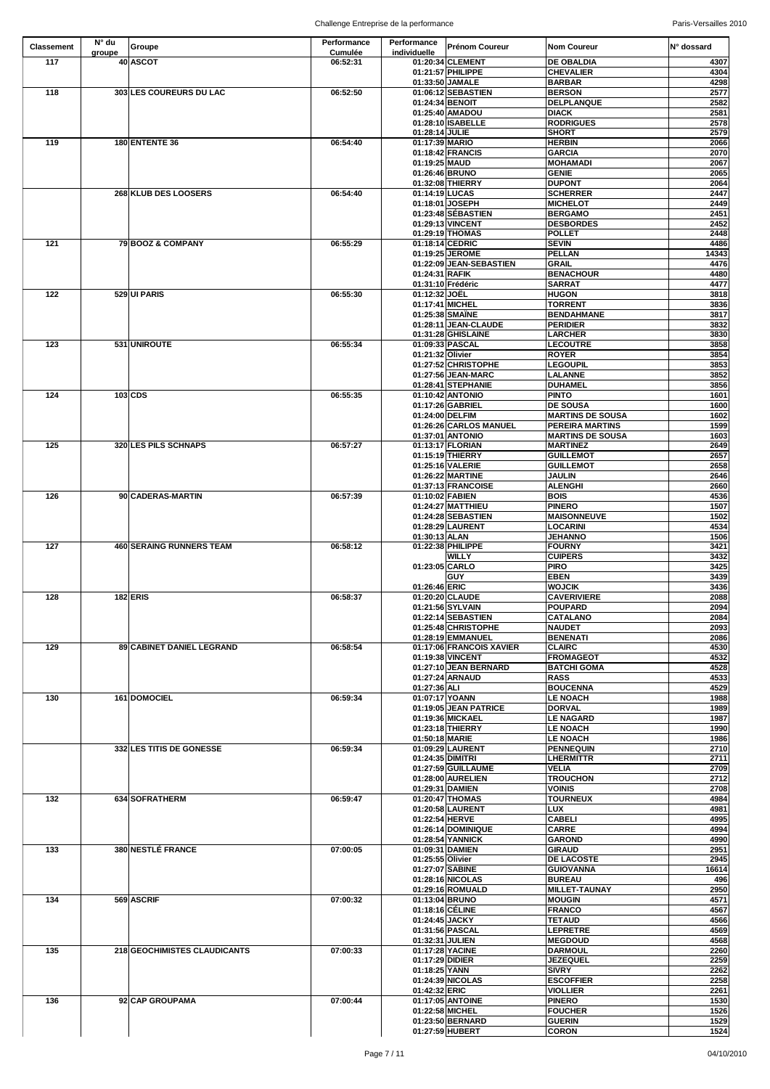| <b>Classement</b> | $N^{\circ}$ du<br>groupe | Groupe                       | Performance<br><b>Cumulée</b> | Performance<br>individuelle       | <b>Prénom Coureur</b>                      | <b>Nom Coureur</b>                     | IN° dossard   |
|-------------------|--------------------------|------------------------------|-------------------------------|-----------------------------------|--------------------------------------------|----------------------------------------|---------------|
| 117               |                          | 40 ASCOT                     | 06:52:31                      |                                   | 01:20:34 CLEMENT<br>01:21:57 PHILIPPE      | <b>DE OBALDIA</b><br><b>CHEVALIER</b>  | 4307<br>4304  |
|                   |                          |                              |                               |                                   | 01:33:50 JAMALE                            | <b>BARBAR</b>                          | 4298          |
| 118               |                          | 303 LES COUREURS DU LAC      | 06:52:50                      |                                   | 01:06:12 SEBASTIEN                         | <b>BERSON</b>                          | 2577          |
|                   |                          |                              |                               | 01:24:34 BENOIT                   |                                            | <b>DELPLANQUE</b>                      | 2582          |
|                   |                          |                              |                               |                                   | 01:25:40 AMADOU<br>01:28:10 ISABELLE       | <b>DIACK</b><br><b>RODRIGUES</b>       | 2581<br>2578  |
|                   |                          |                              |                               | 01:28:14 JULIE                    |                                            | <b>SHORT</b>                           | 2579          |
| 119               |                          | <b>180 ENTENTE 36</b>        | 06:54:40                      | 01:17:39 MARIO                    |                                            | <b>HERBIN</b>                          | 2066          |
|                   |                          |                              |                               |                                   | 01:18:42 FRANCIS                           | <b>GARCIA</b>                          | 2070          |
|                   |                          |                              |                               | 01:19:25 MAUD<br>01:26:46 BRUNO   |                                            | <b>MOHAMADI</b><br><b>GENIE</b>        | 2067<br>2065  |
|                   |                          |                              |                               |                                   | 01:32:08 THIERRY                           | <b>DUPONT</b>                          | 2064          |
|                   |                          | 268 KLUB DES LOOSERS         | 06:54:40                      | 01:14:19 LUCAS                    |                                            | <b>SCHERRER</b>                        | 2447          |
|                   |                          |                              |                               |                                   | 01:18:01 JOSEPH                            | <b>MICHELOT</b><br><b>BERGAMO</b>      | 2449          |
|                   |                          |                              |                               |                                   | 01:23:48 SÉBASTIEN<br>01:29:13 VINCENT     | <b>DESBORDES</b>                       | 2451<br>2452  |
|                   |                          |                              |                               |                                   | 01:29:19 THOMAS                            | <b>POLLET</b>                          | 2448          |
| 121               |                          | 79 BOOZ & COMPANY            | 06:55:29                      | 01:18:14 CEDRIC                   |                                            | <b>SEVIN</b>                           | 4486          |
|                   |                          |                              |                               |                                   | 01:19:25 JEROME<br>01:22:09 JEAN-SEBASTIEN | <b>PELLAN</b><br><b>GRAIL</b>          | 14343<br>4476 |
|                   |                          |                              |                               | 01:24:31 RAFIK                    |                                            | <b>BENACHOUR</b>                       | 4480          |
|                   |                          |                              |                               |                                   | 01:31:10 Frédéric                          | <b>SARRAT</b>                          | 4477          |
| 122               |                          | 529 UI PARIS                 | 06:55:30                      | 01:12:32 JOËL                     |                                            | <b>HUGON</b>                           | 3818          |
|                   |                          |                              |                               | 01:17:41 MICHEL                   | 01:25:38 SMAINE                            | <b>TORRENT</b><br><b>BENDAHMANE</b>    | 3836<br>3817  |
|                   |                          |                              |                               |                                   | 01:28:11 JEAN-CLAUDE                       | <b>PERIDIER</b>                        | 3832          |
|                   |                          |                              |                               |                                   | 01:31:28 GHISLAINE                         | <b>LARCHER</b>                         | 3830          |
| 123               |                          | 531 UNIROUTE                 | 06:55:34                      |                                   | 01:09:33 PASCAL                            | <b>LECOUTRE</b>                        | 3858          |
|                   |                          |                              |                               | 01:21:32 Olivier                  | 01:27:52 CHRISTOPHE                        | <b>ROYER</b><br><b>LEGOUPIL</b>        | 3854<br>3853  |
|                   |                          |                              |                               |                                   | 01:27:56 JEAN-MARC                         | <b>LALANNE</b>                         | 3852          |
|                   |                          |                              |                               |                                   | 01:28:41 STEPHANIE                         | <b>DUHAMEL</b>                         | 3856          |
| 124               |                          | $103$ CDS                    | 06:55:35                      |                                   | 01:10:42 ANTONIO<br>01:17:26 GABRIEL       | <b>PINTO</b><br><b>DE SOUSA</b>        | 1601<br>1600  |
|                   |                          |                              |                               | 01:24:00 DELFIM                   |                                            | <b>MARTINS DE SOUSA</b>                | 1602          |
|                   |                          |                              |                               |                                   | 01:26:26 CARLOS MANUEL                     | <b>PEREIRA MARTINS</b>                 | 1599          |
|                   |                          |                              |                               |                                   | 01:37:01 ANTONIO                           | <b>MARTINS DE SOUSA</b>                | 1603          |
| 125               |                          | 320 LES PILS SCHNAPS         | 06:57:27                      |                                   | 01:13:17 FLORIAN<br>01:15:19 THIERRY       | <b>MARTINEZ</b><br><b>GUILLEMOT</b>    | 2649<br>2657  |
|                   |                          |                              |                               |                                   | 01:25:16 VALERIE                           | <b>GUILLEMOT</b>                       | 2658          |
|                   |                          |                              |                               |                                   | 01:26:22 MARTINE                           | <b>JAULIN</b>                          | 2646          |
| 126               |                          | 90 CADERAS-MARTIN            | 06:57:39                      | 01:10:02 FABIEN                   | 01:37:13 FRANCOISE                         | <b>ALENGHI</b><br><b>BOIS</b>          | 2660<br>4536  |
|                   |                          |                              |                               |                                   | 01:24:27 MATTHIEU                          | <b>PINERO</b>                          | 1507          |
|                   |                          |                              |                               |                                   | 01:24:28 SEBASTIEN                         | <b>MAISONNEUVE</b>                     | 1502          |
|                   |                          |                              |                               |                                   | 01:28:29 LAURENT                           | <b>LOCARINI</b>                        | 4534          |
| 127               |                          | 460 SERAING RUNNERS TEAM     | 06:58:12                      | 01:30:13 ALAN                     | 01:22:38 PHILIPPE                          | <b>JEHANNO</b><br><b>FOURNY</b>        | 1506<br>3421  |
|                   |                          |                              |                               |                                   | <b>WILLY</b>                               | <b>CUIPERS</b>                         | 3432          |
|                   |                          |                              |                               | 01:23:05 CARLO                    |                                            | <b>PIRO</b>                            | 3425          |
|                   |                          |                              |                               | 01:26:46 ERIC                     | <b>GUY</b>                                 | <b>EBEN</b><br><b>WOJCIK</b>           | 3439<br>3436  |
| 128               |                          | $182$ ERIS                   | 06:58:37                      |                                   | 01:20:20 CLAUDE                            | <b>CAVERIVIERE</b>                     | 2088          |
|                   |                          |                              |                               |                                   | 01:21:56 SYLVAIN                           | <b>POUPARD</b>                         | 2094          |
|                   |                          |                              |                               |                                   | 01:22:14 SEBASTIEN<br>01:25:48 CHRISTOPHE  | <b>CATALANO</b><br><b>NAUDET</b>       | 2084<br>2093  |
|                   |                          |                              |                               |                                   | 01:28:19 EMMANUEL                          | <b>BENENATI</b>                        | 2086          |
| 129               |                          | 89 CABINET DANIEL LEGRAND    | 06:58:54                      |                                   | 01:17:06 FRANCOIS XAVIER                   | <b>CLAIRC</b>                          | 4530          |
|                   |                          |                              |                               |                                   | 01:19:38 VINCENT<br>01:27:10 JEAN BERNARD  | <b>FROMAGEOT</b><br><b>BATCHI GOMA</b> | 4532<br>4528  |
|                   |                          |                              |                               |                                   | 01:27:24 ARNAUD                            | <b>RASS</b>                            | 4533          |
|                   |                          |                              |                               | 01:27:36 ALI                      |                                            | <b>BOUCENNA</b>                        | 4529          |
| 130               |                          | 161 DOMOCIEL                 | 06:59:34                      | 01:07:17 YOANN                    |                                            | <b>LE NOACH</b>                        | 1988          |
|                   |                          |                              |                               |                                   | 01:19:05 JEAN PATRICE<br>01:19:36 MICKAEL  | <b>DORVAL</b><br><b>LE NAGARD</b>      | 1989<br>1987  |
|                   |                          |                              |                               |                                   | 01:23:18 THIERRY                           | <b>LE NOACH</b>                        | 1990          |
|                   |                          |                              |                               | 01:50:18 MARIE                    |                                            | <b>LE NOACH</b>                        | 1986          |
|                   |                          | 332 LES TITIS DE GONESSE     | 06:59:34                      | 01:24:35 DIMITRI                  | 01:09:29 LAURENT                           | <b>PENNEQUIN</b><br><b>LHERMITTR</b>   | 2710<br>2711  |
|                   |                          |                              |                               |                                   | 01:27:59 GUILLAUME                         | <b>VELIA</b>                           | 2709          |
|                   |                          |                              |                               |                                   | 01:28:00 AURELIEN                          | <b>TROUCHON</b>                        | 2712          |
| 132               |                          | 634 SOFRATHERM               | 06:59:47                      |                                   | 01:29:31 DAMIEN<br>01:20:47 THOMAS         | <b>VOINIS</b><br><b>TOURNEUX</b>       | 2708<br>4984  |
|                   |                          |                              |                               |                                   | 01:20:58 LAURENT                           | <b>LUX</b>                             | 4981          |
|                   |                          |                              |                               | 01:22:54 HERVE                    |                                            | <b>CABELI</b>                          | 4995          |
|                   |                          |                              |                               |                                   | 01:26:14 DOMINIQUE                         | <b>CARRE</b>                           | 4994          |
| 133               |                          | 380 NESTLÉ FRANCE            | 07:00:05                      | 01:09:31 DAMIEN                   | 01:28:54 YANNICK                           | <b>GAROND</b><br><b>GIRAUD</b>         | 4990<br>2951  |
|                   |                          |                              |                               | 01:25:55 Olivier                  |                                            | <b>DE LACOSTE</b>                      | 2945          |
|                   |                          |                              |                               | 01:27:07 SABINE                   |                                            | <b>GUIOVANNA</b>                       | 16614         |
|                   |                          |                              |                               |                                   | 01:28:16 NICOLAS<br>01:29:16 ROMUALD       | <b>BUREAU</b><br><b>MILLET-TAUNAY</b>  | 496<br>2950   |
| 134               |                          | 569 ASCRIF                   | 07:00:32                      | 01:13:04 BRUNO                    |                                            | <b>MOUGIN</b>                          | 4571          |
|                   |                          |                              |                               | 01:18:16 CÉLINE                   |                                            | <b>FRANCO</b>                          | 4567          |
|                   |                          |                              |                               | 01:24:45 JACKY<br>01:31:56 PASCAL |                                            | <b>TETAUD</b><br><b>LEPRETRE</b>       | 4566<br>4569  |
|                   |                          |                              |                               | 01:32:31 JULIEN                   |                                            | <b>MEGDOUD</b>                         | 4568          |
| 135               |                          | 218 GEOCHIMISTES CLAUDICANTS | 07:00:33                      | 01:17:28 YACINE                   |                                            | <b>DARMOUL</b>                         | 2260          |
|                   |                          |                              |                               | 01:17:29 DIDIER<br>01:18:25 YANN  |                                            | <b>JEZEQUEL</b><br><b>SIVRY</b>        | 2259<br>2262  |
|                   |                          |                              |                               |                                   | 01:24:39 NICOLAS                           | <b>ESCOFFIER</b>                       | 2258          |
|                   |                          |                              |                               | 01:42:32 ERIC                     |                                            | <b>VIOLLIER</b>                        | 2261          |
| 136               |                          | 92 CAP GROUPAMA              | 07:00:44                      |                                   | 01:17:05 ANTOINE                           | <b>PINERO</b>                          | 1530          |
|                   |                          |                              |                               | 01:22:58 MICHEL                   | 01:23:50 BERNARD                           | <b>FOUCHER</b><br><b>GUERIN</b>        | 1526<br>1529  |
|                   |                          |                              |                               |                                   | 01:27:59 HUBERT                            | <b>CORON</b>                           | 1524          |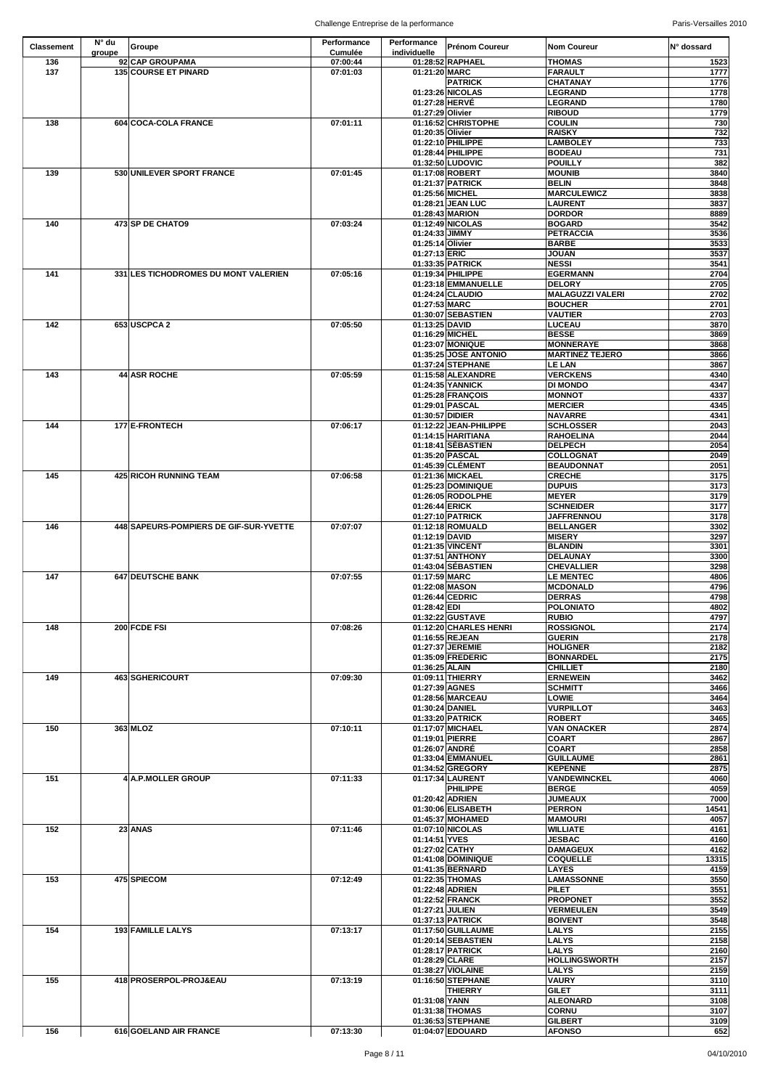| <b>Classement</b> | $N^{\circ}$ du | Groupe                                         | Performance          | Performance                     | <b>Prénom Coureur</b>                     | <b>Nom Coureur</b>                   | IN° dossard  |
|-------------------|----------------|------------------------------------------------|----------------------|---------------------------------|-------------------------------------------|--------------------------------------|--------------|
|                   | groupe         |                                                | <b>Cumulée</b>       | individuelle                    |                                           |                                      |              |
| 136<br>137        |                | 92 CAP GROUPAMA<br><b>135 COURSE ET PINARD</b> | 07:00:44<br>07:01:03 | 01:21:20 MARC                   | 01:28:52 RAPHAEL                          | <b>THOMAS</b><br>FARAULT             | 1523<br>1777 |
|                   |                |                                                |                      |                                 | <b>PATRICK</b>                            | <b>CHATANAY</b>                      | 1776         |
|                   |                |                                                |                      |                                 | 01:23:26 NICOLAS                          | <b>LEGRAND</b>                       | 1778         |
|                   |                |                                                |                      | 01:27:28 HERVÉ                  |                                           | <b>LEGRAND</b>                       | 1780         |
|                   |                |                                                |                      | 01:27:29 Olivier                |                                           | <b>RIBOUD</b>                        | 1779         |
| 138               |                | 604 COCA-COLA FRANCE                           | 07:01:11             |                                 | 01:16:52 CHRISTOPHE                       | <b>COULIN</b>                        | 730          |
|                   |                |                                                |                      | 01:20:35 Olivier                | 01:22:10 PHILIPPE                         | <b>RAISKY</b><br><b>LAMBOLEY</b>     | 732<br>733   |
|                   |                |                                                |                      |                                 | 01:28:44 PHILIPPE                         | <b>BODEAU</b>                        | 731          |
|                   |                |                                                |                      |                                 | 01:32:50 LUDOVIC                          | <b>POUILLY</b>                       | 382          |
| 139               |                | 530 UNILEVER SPORT FRANCE                      | 07:01:45             |                                 | 01:17:08 ROBERT                           | <b>MOUNIB</b>                        | 3840         |
|                   |                |                                                |                      |                                 | 01:21:37 PATRICK                          | <b>BELIN</b>                         | 3848         |
|                   |                |                                                |                      |                                 | 01:25:56 MICHEL<br>01:28:21 JEAN LUC      | <b>MARCULEWICZ</b><br><b>LAURENT</b> | 3838<br>3837 |
|                   |                |                                                |                      |                                 | 01:28:43 MARION                           | <b>DORDOR</b>                        | 8889         |
| 140               |                | 473 SP DE CHATO9                               | 07:03:24             |                                 | 01:12:49 NICOLAS                          | <b>BOGARD</b>                        | 3542         |
|                   |                |                                                |                      | 01:24:33 JIMMY                  |                                           | PETRACCIA                            | 3536         |
|                   |                |                                                |                      | 01:25:14 Olivier                |                                           | <b>BARBE</b>                         | 3533         |
|                   |                |                                                |                      | 01:27:13 ERIC                   |                                           | <b>JOUAN</b>                         | 3537         |
| 141               |                | 331 LES TICHODROMES DU MONT VALERIEN           | 07:05:16             |                                 | 01:33:35 PATRICK<br>01:19:34 PHILIPPE     | <b>NESSI</b><br><b>EGERMANN</b>      | 3541<br>2704 |
|                   |                |                                                |                      |                                 | 01:23:18 EMMANUELLE                       | <b>DELORY</b>                        | 2705         |
|                   |                |                                                |                      |                                 | 01:24:24 CLAUDIO                          | <b>MALAGUZZI VALERI</b>              | 2702         |
|                   |                |                                                |                      | 01:27:53 MARC                   |                                           | <b>BOUCHER</b>                       | 2701         |
|                   |                |                                                |                      |                                 | 01:30:07 SEBASTIEN                        | <b>VAUTIER</b>                       | 2703         |
| 142               |                | 653 USCPCA 2                                   | 07:05:50             | 01:13:25 DAVID                  |                                           | <b>LUCEAU</b>                        | 3870         |
|                   |                |                                                |                      |                                 | 01:16:29 MICHEL                           | <b>BESSE</b><br><b>MONNERAYE</b>     | 3869         |
|                   |                |                                                |                      |                                 | 01:23:07 MONIQUE<br>01:35:25 JOSE ANTONIO | <b>MARTINEZ TEJERO</b>               | 3868<br>3866 |
|                   |                |                                                |                      |                                 | 01:37:24 STEPHANE                         | <b>LE LAN</b>                        | 3867         |
| 143               |                | 44 ASR ROCHE                                   | 07:05:59             |                                 | 01:15:58 ALEXANDRE                        | <b>VERCKENS</b>                      | 4340         |
|                   |                |                                                |                      |                                 | 01:24:35 YANNICK                          | <b>DI MONDO</b>                      | 4347         |
|                   |                |                                                |                      |                                 | 01:25:28 FRANÇOIS                         | <b>MONNOT</b>                        | 4337         |
|                   |                |                                                |                      | 01:30:57 DIDIER                 | 01:29:01 PASCAL                           | <b>MERCIER</b><br><b>NAVARRE</b>     | 4345<br>4341 |
| 144               |                | 177 E-FRONTECH                                 | 07:06:17             |                                 | 01:12:22 JEAN-PHILIPPE                    | <b>SCHLOSSER</b>                     | 2043         |
|                   |                |                                                |                      |                                 | 01:14:15 HARITIANA                        | <b>RAHOELINA</b>                     | 2044         |
|                   |                |                                                |                      |                                 | 01:18:41 SÉBASTIEN                        | <b>DELPECH</b>                       | 2054         |
|                   |                |                                                |                      |                                 | 01:35:20 PASCAL                           | <b>COLLOGNAT</b>                     | 2049         |
|                   |                |                                                |                      |                                 | 01:45:39 CLÉMENT                          | <b>BEAUDONNAT</b>                    | 2051         |
| 145               |                | <b>425 RICOH RUNNING TEAM</b>                  | 07:06:58             |                                 | 01:21:36 MICKAEL                          | <b>CRECHE</b>                        | 3175         |
|                   |                |                                                |                      |                                 | 01:25:23 DOMINIQUE<br>01:26:05 RODOLPHE   | <b>DUPUIS</b><br><b>MEYER</b>        | 3173<br>3179 |
|                   |                |                                                |                      | 01:26:44 ERICK                  |                                           | <b>SCHNEIDER</b>                     | 3177         |
|                   |                |                                                |                      |                                 | 01:27:10 PATRICK                          | <b>JAFFRENNOU</b>                    | 3178         |
| 146               |                | 448 SAPEURS-POMPIERS DE GIF-SUR-YVETTE         | 07:07:07             |                                 | 01:12:18 ROMUALD                          | <b>BELLANGER</b>                     | 3302         |
|                   |                |                                                |                      | 01:12:19 DAVID                  |                                           | <b>MISERY</b>                        | 3297         |
|                   |                |                                                |                      |                                 | 01:21:35 VINCENT                          | <b>BLANDIN</b>                       | 3301         |
|                   |                |                                                |                      |                                 | 01:37:51 ANTHONY<br>01:43:04 SÉBASTIEN    | <b>DELAUNAY</b><br><b>CHEVALLIER</b> | 3300<br>3298 |
| 147               |                | 647 DEUTSCHE BANK                              | 07:07:55             | 01:17:59 MARC                   |                                           | <b>LE MENTEC</b>                     | 4806         |
|                   |                |                                                |                      | 01:22:08 MASON                  |                                           | <b>MCDONALD</b>                      | 4796         |
|                   |                |                                                |                      |                                 | 01:26:44 CEDRIC                           | <b>DERRAS</b>                        | 4798         |
|                   |                |                                                |                      | 01:28:42 EDI                    |                                           | <b>POLONIATO</b>                     | 4802         |
|                   |                |                                                |                      |                                 | 01:32:22 GUSTAVE                          | <b>RUBIO</b>                         | 4797         |
| 148               |                | 200 FCDE FSI                                   | 07:08:26             |                                 | 01:12:20 CHARLES HENRI<br>01:16:55 REJEAN | <b>ROSSIGNOL</b><br><b>GUERIN</b>    | 2174<br>2178 |
|                   |                |                                                |                      |                                 | 01:27:37 JEREMIE                          | <b>HOLIGNER</b>                      | 2182         |
|                   |                |                                                |                      |                                 | 01:35:09 FREDERIC                         | BONNARDEL                            | 2175         |
|                   |                |                                                |                      | 01:36:25 ALAIN                  |                                           | <b>CHILLIET</b>                      | 2180         |
| 149               |                | 463 SGHERICOURT                                | 07:09:30             |                                 | 01:09:11 THIERRY                          | <b>ERNEWEIN</b>                      | 3462         |
|                   |                |                                                |                      | 01:27:39 AGNES                  |                                           | <b>SCHMITT</b>                       | 3466         |
|                   |                |                                                |                      | 01:30:24 DANIEL                 | 01:28:56 MARCEAU                          | <b>LOWIE</b><br><b>VURPILLOT</b>     | 3464<br>3463 |
|                   |                |                                                |                      |                                 | 01:33:20 PATRICK                          | <b>ROBERT</b>                        | 3465         |
| 150               |                | 363 MLOZ                                       | 07:10:11             |                                 | 01:17:07 MICHAEL                          | <b>VAN ONACKER</b>                   | 2874         |
|                   |                |                                                |                      | 01:19:01 PIERRE                 |                                           | <b>COART</b>                         | 2867         |
|                   |                |                                                |                      | 01:26:07 ANDRÉ                  |                                           | <b>COART</b>                         | 2858         |
|                   |                |                                                |                      |                                 | 01:33:04 EMMANUEL                         | <b>GUILLAUME</b>                     | 2861         |
| 151               |                | 4 A.P. MOLLER GROUP                            | 07:11:33             |                                 | 01:34:52 GREGORY<br>01:17:34 LAURENT      | KEPENNE<br><b>VANDEWINCKEL</b>       | 2875<br>4060 |
|                   |                |                                                |                      |                                 | <b>PHILIPPE</b>                           | <b>BERGE</b>                         | 4059         |
|                   |                |                                                |                      |                                 | 01:20:42 ADRIEN                           | <b>JUMEAUX</b>                       | 7000         |
|                   |                |                                                |                      |                                 | 01:30:06 ELISABETH                        | <b>PERRON</b>                        | 14541        |
|                   |                |                                                |                      |                                 | 01:45:37 MOHAMED                          | <b>MAMOURI</b>                       | 4057         |
| 152               |                | $23$ ANAS                                      | 07:11:46             |                                 | 01:07:10 NICOLAS                          | <b>WILLIATE</b>                      | 4161         |
|                   |                |                                                |                      | 01:14:51 YVES<br>01:27:02 CATHY |                                           | <b>JESBAC</b><br><b>DAMAGEUX</b>     | 4160<br>4162 |
|                   |                |                                                |                      |                                 | 01:41:08 DOMINIQUE                        | <b>COQUELLE</b>                      | 13315        |
|                   |                |                                                |                      |                                 | 01:41:35 BERNARD                          | <b>LAYES</b>                         | 4159         |
| 153               |                | 475 SPIECOM                                    | 07:12:49             |                                 | 01:22:35 THOMAS                           | <b>LAMASSONNE</b>                    | 3550         |
|                   |                |                                                |                      |                                 | 01:22:48 ADRIEN                           | <b>PILET</b>                         | 3551         |
|                   |                |                                                |                      |                                 | 01:22:52 FRANCK                           | <b>PROPONET</b>                      | 3552         |
|                   |                |                                                |                      | 01:27:21 JULIEN                 |                                           | <b>VERMEULEN</b>                     | 3549<br>3548 |
| 154               |                | 193 FAMILLE LALYS                              | 07:13:17             |                                 | 01:37:13 PATRICK<br>01:17:50 GUILLAUME    | <b>BOIVENT</b><br><b>LALYS</b>       | 2155         |
|                   |                |                                                |                      |                                 | 01:20:14 SEBASTIEN                        | <b>LALYS</b>                         | 2158         |
|                   |                |                                                |                      |                                 | 01:28:17 PATRICK                          | <b>LALYS</b>                         | 2160         |
|                   |                |                                                |                      | 01:28:29 CLARE                  |                                           | <b>HOLLINGSWORTH</b>                 | 2157         |
|                   |                |                                                |                      |                                 | 01:38:27 VIOLAINE                         | <b>LALYS</b>                         | 2159         |
| 155               |                | 418 PROSERPOL-PROJ&EAU                         | 07:13:19             |                                 | 01:16:50 STEPHANE                         | <b>VAURY</b>                         | 3110         |
|                   |                |                                                |                      | 01:31:08 YANN                   | <b>THIERRY</b>                            | <b>GILET</b><br><b>ALEONARD</b>      | 3111<br>3108 |
|                   |                |                                                |                      |                                 | 01:31:38 THOMAS                           | <b>CORNU</b>                         | 3107         |
|                   |                |                                                |                      |                                 | 01:36:53 STEPHANE                         | <b>GILBERT</b>                       | 3109         |
| 156               |                | 616 GOELAND AIR FRANCE                         | 07:13:30             |                                 | 01:04:07 EDOUARD                          | <b>AFONSO</b>                        | 652          |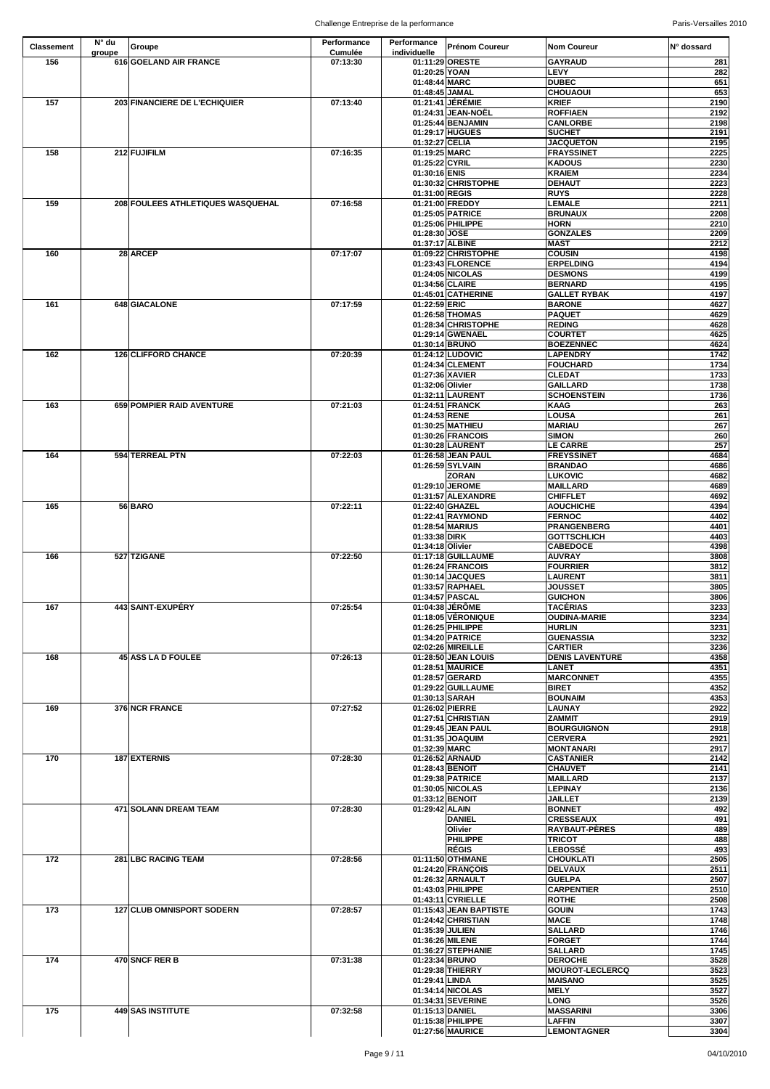| <b>Classement</b> | N° du  | Groupe                            | <b>Performance</b> | Performance                      | <b>Prénom Coureur</b>                  | <b>Nom Coureur</b>                    | IN° dossard  |
|-------------------|--------|-----------------------------------|--------------------|----------------------------------|----------------------------------------|---------------------------------------|--------------|
|                   | groupe |                                   | <b>Cumulée</b>     | individuelle                     |                                        |                                       |              |
| 156               |        | 616 GOELAND AIR FRANCE            | 07:13:30           |                                  | 01:11:29 ORESTE                        | <b>GAYRAUD</b>                        | 281          |
|                   |        |                                   |                    | 01:20:25 YOAN<br>01:48:44 MARC   |                                        | <b>LEVY</b><br><b>DUBEC</b>           | 282<br>651   |
|                   |        |                                   |                    | 01:48:45 JAMAL                   |                                        | <b>CHOUAOUI</b>                       | 653          |
| 157               |        | 203 FINANCIERE DE L'ECHIQUIER     | 07:13:40           |                                  | 01:21:41 JÉRÉMIE                       | <b>KRIEF</b>                          | 2190         |
|                   |        |                                   |                    |                                  | 01:24:31 JEAN-NOËL                     | <b>ROFFIAEN</b>                       | 2192         |
|                   |        |                                   |                    |                                  | 01:25:44 BENJAMIN                      | <b>CANLORBE</b>                       | 2198         |
|                   |        |                                   |                    |                                  | 01:29:17 HUGUES                        | <b>SUCHET</b>                         | 2191         |
|                   |        |                                   |                    | 01:32:27 CELIA                   |                                        | <b>JACQUETON</b>                      | 2195         |
| 158               |        | 212 FUJIFILM                      | 07:16:35           | 01:19:25 MARC                    |                                        | <b>FRAYSSINET</b>                     | 2225         |
|                   |        |                                   |                    | 01:25:22 CYRIL<br>01:30:16 ENIS  |                                        | <b>KADOUS</b><br><b>KRAIEM</b>        | 2230<br>2234 |
|                   |        |                                   |                    |                                  | 01:30:32 CHRISTOPHE                    | <b>DEHAUT</b>                         | 2223         |
|                   |        |                                   |                    | 01:31:00 REGIS                   |                                        | <b>RUYS</b>                           | 2228         |
| 159               |        | 208 FOULEES ATHLETIQUES WASQUEHAL | 07:16:58           |                                  | 01:21:00 FREDDY                        | <b>LEMALE</b>                         | 2211         |
|                   |        |                                   |                    |                                  | 01:25:05 PATRICE                       | <b>BRUNAUX</b>                        | 2208         |
|                   |        |                                   |                    |                                  | 01:25:06 PHILIPPE                      | <b>HORN</b>                           | 2210         |
|                   |        |                                   |                    | 01:28:30 JOSE<br>01:37:17 ALBINE |                                        | <b>GONZALES</b><br><b>MAST</b>        | 2209<br>2212 |
| 160               |        | 28 ARCEP                          | 07:17:07           |                                  | 01:09:22 CHRISTOPHE                    | <b>COUSIN</b>                         | 4198         |
|                   |        |                                   |                    |                                  | 01:23:43 FLORENCE                      | <b>ERPELDING</b>                      | 4194         |
|                   |        |                                   |                    |                                  | 01:24:05 NICOLAS                       | <b>DESMONS</b>                        | 4199         |
|                   |        |                                   |                    | 01:34:56 CLAIRE                  |                                        | <b>BERNARD</b>                        | 4195         |
|                   |        |                                   |                    |                                  | 01:45:01 CATHERINE                     | <b>GALLET RYBAK</b>                   | 4197         |
| 161               |        | 648 GIACALONE                     | 07:17:59           | 01:22:59 ERIC                    |                                        | <b>BARONE</b>                         | 4627         |
|                   |        |                                   |                    |                                  | 01:26:58 THOMAS<br>01:28:34 CHRISTOPHE | <b>PAQUET</b><br><b>REDING</b>        | 4629<br>4628 |
|                   |        |                                   |                    |                                  | 01:29:14 GWENAEL                       | <b>COURTET</b>                        | 4625         |
|                   |        |                                   |                    | 01:30:14 BRUNO                   |                                        | <b>BOEZENNEC</b>                      | 4624         |
| 162               |        | <b>126 CLIFFORD CHANCE</b>        | 07:20:39           |                                  | 01:24:12 LUDOVIC                       | <b>LAPENDRY</b>                       | 1742         |
|                   |        |                                   |                    |                                  | 01:24:34 CLEMENT                       | <b>FOUCHARD</b>                       | 1734         |
|                   |        |                                   |                    | 01:27:36 XAVIER                  |                                        | <b>CLEDAT</b>                         | 1733         |
|                   |        |                                   |                    | 01:32:06 Olivier                 | 01:32:11 LAURENT                       | <b>GAILLARD</b><br><b>SCHOENSTEIN</b> | 1738         |
| 163               |        | 659 POMPIER RAID AVENTURE         | 07:21:03           |                                  | 01:24:51 FRANCK                        | <b>KAAG</b>                           | 1736<br>263  |
|                   |        |                                   |                    | 01:24:53 RENE                    |                                        | <b>LOUSA</b>                          | 261          |
|                   |        |                                   |                    |                                  | 01:30:25 MATHIEU                       | <b>MARIAU</b>                         | 267          |
|                   |        |                                   |                    |                                  | 01:30:26 FRANCOIS                      | <b>SIMON</b>                          | 260          |
|                   |        |                                   |                    |                                  | 01:30:28 LAURENT                       | <b>LE CARRE</b>                       | 257          |
| 164               |        | 594 TERREAL PTN                   | 07:22:03           |                                  | 01:26:58 JEAN PAUL                     | <b>FREYSSINET</b>                     | 4684         |
|                   |        |                                   |                    |                                  | 01:26:59 SYLVAIN<br><b>ZORAN</b>       | <b>BRANDAO</b><br><b>LUKOVIC</b>      | 4686<br>4682 |
|                   |        |                                   |                    |                                  | 01:29:10 JEROME                        | <b>MAILLARD</b>                       | 4689         |
|                   |        |                                   |                    |                                  | 01:31:57 ALEXANDRE                     | <b>CHIFFLET</b>                       | 4692         |
| 165               |        | 56 BARO                           | 07:22:11           |                                  | 01:22:40 GHAZEL                        | <b>AOUCHICHE</b>                      | 4394         |
|                   |        |                                   |                    |                                  | 01:22:41 RAYMOND                       | <b>FERNOC</b>                         | 4402         |
|                   |        |                                   |                    |                                  | 01:28:54 MARIUS                        | <b>PRANGENBERG</b>                    | 4401         |
|                   |        |                                   |                    | 01:33:38 DIRK                    |                                        | <b>GOTTSCHLICH</b>                    | 4403         |
| 166               |        | 527 TZIGANE                       | 07:22:50           | 01:34:18 Olivier                 | 01:17:18 GUILLAUME                     | <b>CABEDOCE</b><br><b>AUVRAY</b>      | 4398<br>3808 |
|                   |        |                                   |                    |                                  | 01:26:24 FRANCOIS                      | <b>FOURRIER</b>                       | 3812         |
|                   |        |                                   |                    |                                  | 01:30:14 JACQUES                       | <b>LAURENT</b>                        | 3811         |
|                   |        |                                   |                    |                                  | 01:33:57 RAPHAEL                       | <b>JOUSSET</b>                        | 3805         |
|                   |        |                                   |                    |                                  | 01:34:57 PASCAL                        | <b>GUICHON</b>                        | 3806         |
| 167               |        | 443 SAINT-EXUPÉRY                 | 07:25:54           |                                  | 01:04:38 JÉRÔME                        | <b>TACÉRIAS</b>                       | 3233         |
|                   |        |                                   |                    |                                  | 01:18:05 VÉRONIQUE                     | <b>OUDINA-MARIE</b>                   | 3234         |
|                   |        |                                   |                    |                                  | 01:26:25 PHILIPPE<br>01:34:20 PATRICE  | <b>HURLIN</b><br><b>GUENASSIA</b>     | 3231<br>3232 |
|                   |        |                                   |                    |                                  | 02:02:26 MIREILLE                      | <b>CARTIER</b>                        | 3236         |
| 168               |        | 45 ASS LA D FOULEE                | 07:26:13           |                                  | 01:28:50 JEAN LOUIS                    | <b>DENIS LAVENTURE</b>                | 4358         |
|                   |        |                                   |                    |                                  | 01:28:51 MAURICE                       | <b>LANET</b>                          | 4351         |
|                   |        |                                   |                    |                                  | 01:28:57 GERARD                        | <b>IMARCONNET</b>                     | 4355         |
|                   |        |                                   |                    |                                  | 01:29:22 GUILLAUME                     | <b>BIRET</b>                          | 4352         |
|                   |        |                                   |                    | 01:30:13 SARAH                   |                                        | <b>BOUNAIM</b>                        | 4353         |
| 169               |        | 376 NCR FRANCE                    | 07:27:52           | 01:26:02 PIERRE                  | 01:27:51 CHRISTIAN                     | <b>LAUNAY</b><br><b>ZAMMIT</b>        | 2922<br>2919 |
|                   |        |                                   |                    |                                  | 01:29:45 JEAN PAUL                     | <b>BOURGUIGNON</b>                    | 2918         |
|                   |        |                                   |                    |                                  | 01:31:35 JOAQUIM                       | <b>CERVERA</b>                        | 2921         |
|                   |        |                                   |                    | 01:32:39 MARC                    |                                        | <b>MONTANARI</b>                      | 2917         |
| 170               |        | 187 EXTERNIS                      | 07:28:30           |                                  | 01:26:52 ARNAUD                        | <b>CASTANIER</b>                      | 2142         |
|                   |        |                                   |                    |                                  | 01:28:43 BENOIT                        | <b>CHAUVET</b>                        | 2141         |
|                   |        |                                   |                    |                                  | 01:29:38 PATRICE<br>01:30:05 NICOLAS   | <b>MAILLARD</b><br><b>LEPINAY</b>     | 2137<br>2136 |
|                   |        |                                   |                    | 01:33:12 BENOIT                  |                                        | <b>JAILLET</b>                        | 2139         |
|                   |        | 471 SOLANN DREAM TEAM             | 07:28:30           | 01:29:42 ALAIN                   |                                        | <b>BONNET</b>                         | 492          |
|                   |        |                                   |                    |                                  | <b>DANIEL</b>                          | <b>CRESSEAUX</b>                      | 491          |
|                   |        |                                   |                    |                                  | <b>Olivier</b>                         | <b>RAYBAUT-PÈRES</b>                  | 489          |
|                   |        |                                   |                    |                                  | <b>PHILIPPE</b><br><b>RÉGIS</b>        | <b>TRICOT</b>                         | 488          |
| 172               |        | <b>281 LBC RACING TEAM</b>        | 07:28:56           |                                  | 01:11:50 OTHMANE                       | <b>LEBOSSÉ</b><br><b>CHOUKLATI</b>    | 493<br>2505  |
|                   |        |                                   |                    |                                  | 01:24:20 FRANÇOIS                      | <b>DELVAUX</b>                        | 2511         |
|                   |        |                                   |                    |                                  | 01:26:32 ARNAULT                       | <b>GUELPA</b>                         | 2507         |
|                   |        |                                   |                    |                                  | 01:43:03 PHILIPPE                      | <b>CARPENTIER</b>                     | 2510         |
|                   |        |                                   |                    |                                  | 01:43:11 CYRIELLE                      | <b>ROTHE</b>                          | 2508         |
| 173               |        | 127 CLUB OMNISPORT SODERN         | 07:28:57           |                                  | 01:15:43 JEAN BAPTISTE                 | <b>GOUIN</b>                          | 1743         |
|                   |        |                                   |                    | 01:35:39 JULIEN                  | 01:24:42 CHRISTIAN                     | <b>MACE</b><br><b>SALLARD</b>         | 1748<br>1746 |
|                   |        |                                   |                    |                                  | 01:36:26 MILENE                        | <b>FORGET</b>                         | 1744         |
|                   |        |                                   |                    |                                  | 01:36:27 STEPHANIE                     | <b>SALLARD</b>                        | 1745         |
| 174               |        | 470 SNCF RER B                    | 07:31:38           | 01:23:34 BRUNO                   |                                        | <b>DEROCHE</b>                        | 3528         |
|                   |        |                                   |                    |                                  | 01:29:38 THIERRY                       | <b>MOUROT-LECLERCQ</b>                | 3523         |
|                   |        |                                   |                    | 01:29:41 LINDA                   |                                        | <b>MAISANO</b>                        | 3525         |
|                   |        |                                   |                    |                                  | 01:34:14 NICOLAS                       | <b>MELY</b>                           | 3527         |
| 175               |        | 449 SAS INSTITUTE                 | 07:32:58           | 01:15:13 DANIEL                  | 01:34:31 SEVERINE                      | <b>LONG</b><br><b>MASSARINI</b>       | 3526<br>3306 |
|                   |        |                                   |                    |                                  | 01:15:38 PHILIPPE                      | <b>LAFFIN</b>                         | 3307         |
|                   |        |                                   |                    |                                  | 01:27:56 MAURICE                       | <b>LEMONTAGNER</b>                    | 3304         |
|                   |        |                                   |                    |                                  |                                        |                                       |              |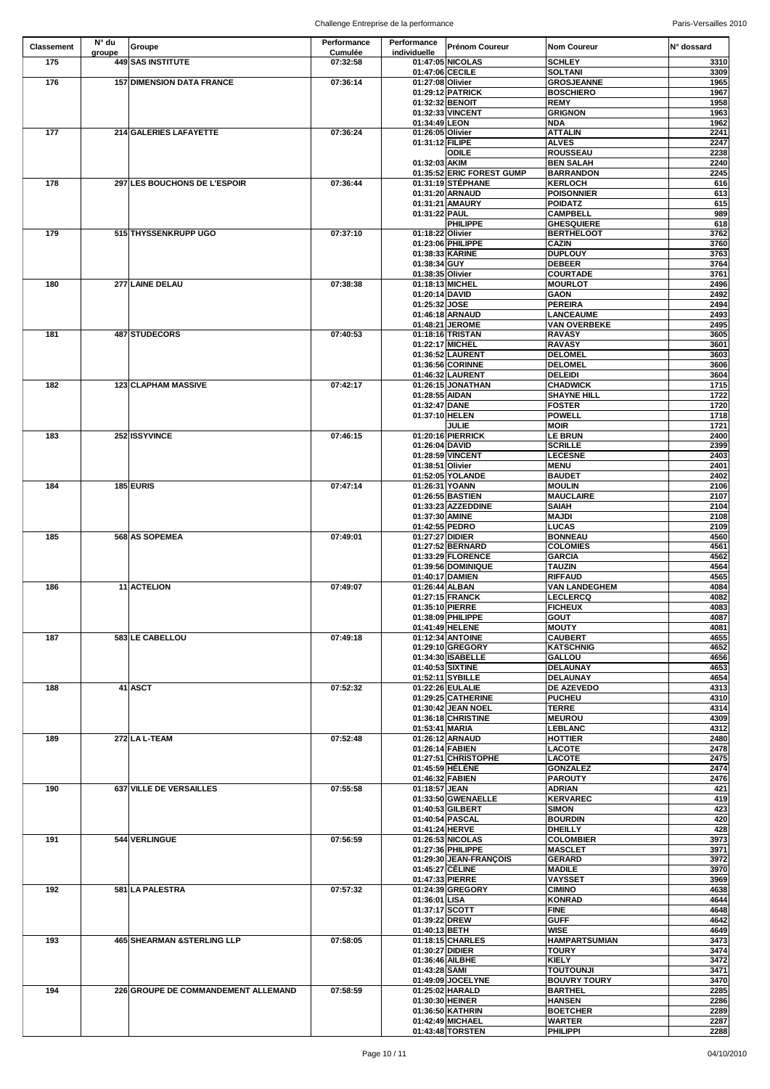| <b>Classement</b> | $N^{\circ}$ du | Groupe                              | <b>Performance</b> | Performance                         | <b>Prénom Coureur</b>                 | <b>Nom Coureur</b>                  | IN° dossard  |
|-------------------|----------------|-------------------------------------|--------------------|-------------------------------------|---------------------------------------|-------------------------------------|--------------|
|                   | groupe         |                                     | <b>Cumulée</b>     | individuelle                        |                                       |                                     |              |
| 175               |                | 449 SAS INSTITUTE                   | 07:32:58           |                                     | 01:47:05 NICOLAS                      | <b>SCHLEY</b>                       | 3310         |
| 176               |                | <b>157 DIMENSION DATA FRANCE</b>    | 07:36:14           | 01:47:06 CECILE<br>01:27:08 Olivier |                                       | <b>SOLTANI</b><br><b>GROSJEANNE</b> | 3309<br>1965 |
|                   |                |                                     |                    |                                     | 01:29:12 PATRICK                      | <b>BOSCHIERO</b>                    | 1967         |
|                   |                |                                     |                    | 01:32:32 BENOIT                     |                                       | <b>REMY</b>                         | 1958         |
|                   |                |                                     |                    |                                     | 01:32:33 VINCENT                      | <b>GRIGNON</b>                      | 1963         |
|                   |                |                                     |                    | 01:34:49 LEON                       |                                       | <b>NDA</b>                          | 1962         |
| 177               |                | 214 GALERIES LAFAYETTE              | 07:36:24           | 01:26:05 Olivier                    |                                       | <b>ATTALIN</b>                      | 2241         |
|                   |                |                                     |                    | 01:31:12 FILIPE                     |                                       | <b>ALVES</b>                        | 2247         |
|                   |                |                                     |                    |                                     | <b>ODILE</b>                          | <b>ROUSSEAU</b>                     | 2238         |
|                   |                |                                     |                    | 01:32:03 AKIM                       |                                       | <b>BEN SALAH</b>                    | 2240         |
|                   |                |                                     |                    |                                     | 01:35:52 ERIC FOREST GUMP             | <b>BARRANDON</b>                    | 2245         |
| 178               |                | 297 LES BOUCHONS DE L'ESPOIR        | 07:36:44           |                                     | 01:31:19 STÉPHANE<br>01:31:20 ARNAUD  | <b>KERLOCH</b><br><b>POISONNIER</b> | 616<br>613   |
|                   |                |                                     |                    |                                     | 01:31:21 AMAURY                       | <b>POIDATZ</b>                      | 615          |
|                   |                |                                     |                    | 01:31:22 PAUL                       |                                       | <b>CAMPBELL</b>                     | 989          |
|                   |                |                                     |                    |                                     | <b>PHILIPPE</b>                       | <b>GHESQUIERE</b>                   | 618          |
| 179               |                | 515 THYSSENKRUPP UGO                | 07:37:10           | 01:18:22 Olivier                    |                                       | <b>BERTHELOOT</b>                   | 3762         |
|                   |                |                                     |                    |                                     | 01:23:06 PHILIPPE                     | <b>CAZIN</b>                        | 3760         |
|                   |                |                                     |                    | 01:38:33 KARINE                     |                                       | <b>DUPLOUY</b>                      | 3763         |
|                   |                |                                     |                    | 01:38:34 GUY                        |                                       | <b>DEBEER</b>                       | 3764         |
|                   |                |                                     |                    | 01:38:35 Olivier                    |                                       | <b>COURTADE</b>                     | 3761         |
| 180               |                | 277 LAINE DELAU                     | 07:38:38           | 01:18:13 MICHEL<br>01:20:14 DAVID   |                                       | <b>MOURLOT</b><br><b>GAON</b>       | 2496         |
|                   |                |                                     |                    | 01:25:32 JOSE                       |                                       | <b>PEREIRA</b>                      | 2492<br>2494 |
|                   |                |                                     |                    |                                     | 01:46:18 ARNAUD                       | <b>LANCEAUME</b>                    | 2493         |
|                   |                |                                     |                    |                                     | 01:48:21 JEROME                       | <b>VAN OVERBEKE</b>                 | 2495         |
| 181               |                | 487 STUDECORS                       | 07:40:53           |                                     | 01:18:16 TRISTAN                      | <b>RAVASY</b>                       | 3605         |
|                   |                |                                     |                    | 01:22:17 MICHEL                     |                                       | <b>RAVASY</b>                       | 3601         |
|                   |                |                                     |                    |                                     | 01:36:52 LAURENT                      | <b>DELOMEL</b>                      | 3603         |
|                   |                |                                     |                    |                                     | 01:36:56 CORINNE                      | <b>DELOMEL</b>                      | 3606         |
|                   |                |                                     |                    |                                     | 01:46:32 LAURENT                      | <b>DELEIDI</b>                      | 3604         |
| 182               |                | <b>123 CLAPHAM MASSIVE</b>          | 07:42:17           |                                     | 01:26:15 JONATHAN                     | <b>CHADWICK</b>                     | 1715         |
|                   |                |                                     |                    | 01:28:55 AIDAN                      |                                       | <b>SHAYNE HILL</b>                  | 1722         |
|                   |                |                                     |                    | 01:32:47 DANE                       |                                       | <b>FOSTER</b>                       | 1720         |
|                   |                |                                     |                    | 01:37:10 HELEN                      | <b>JULIE</b>                          | <b>POWELL</b><br><b>MOIR</b>        | 1718<br>1721 |
| 183               |                | 252 ISSYVINCE                       | 07:46:15           |                                     | 01:20:16 PIERRICK                     | <b>LE BRUN</b>                      | 2400         |
|                   |                |                                     |                    | 01:26:04 DAVID                      |                                       | <b>SCRILLE</b>                      | 2399         |
|                   |                |                                     |                    |                                     | 01:28:59 VINCENT                      | <b>LECESNE</b>                      | 2403         |
|                   |                |                                     |                    | 01:38:51 Olivier                    |                                       | <b>MENU</b>                         | 2401         |
|                   |                |                                     |                    |                                     | 01:52:05 YOLANDE                      | <b>BAUDET</b>                       | 2402         |
| 184               |                | 185 EURIS                           | 07:47:14           | 01:26:31 YOANN                      |                                       | <b>MOULIN</b>                       | 2106         |
|                   |                |                                     |                    |                                     | 01:26:55 BASTIEN                      | <b>MAUCLAIRE</b>                    | 2107         |
|                   |                |                                     |                    |                                     | 01:33:23 AZZEDDINE                    | <b>SAIAH</b>                        | 2104         |
|                   |                |                                     |                    | 01:37:30 AMINE                      |                                       | <b>MAJDI</b>                        | 2108         |
|                   |                |                                     |                    | 01:42:55 PEDRO                      |                                       | <b>LUCAS</b>                        | 2109         |
| 185               |                | 568 AS SOPEMEA                      | 07:49:01           | 01:27:27 DIDIER                     | 01:27:52 BERNARD                      | <b>BONNEAU</b><br><b>COLOMIES</b>   | 4560<br>4561 |
|                   |                |                                     |                    |                                     | 01:33:29 FLORENCE                     | <b>GARCIA</b>                       | 4562         |
|                   |                |                                     |                    |                                     | 01:39:56 DOMINIQUE                    | <b>TAUZIN</b>                       | 4564         |
|                   |                |                                     |                    | 01:40:17 DAMIEN                     |                                       | <b>RIFFAUD</b>                      | 4565         |
| 186               |                | 11 ACTELION                         | 07:49:07           | 01:26:44 ALBAN                      |                                       | <b>VAN LANDEGHEM</b>                | 4084         |
|                   |                |                                     |                    |                                     | 01:27:15 FRANCK                       | <b>LECLERCQ</b>                     | 4082         |
|                   |                |                                     |                    | 01:35:10 PIERRE                     |                                       | <b>FICHEUX</b>                      | 4083         |
|                   |                |                                     |                    |                                     | 01:38:09 PHILIPPE                     | <b>GOUT</b>                         | 4087         |
|                   |                |                                     |                    |                                     | 01:41:49 HELENE                       | <b>MOUTY</b>                        | 4081         |
| 187               |                | 583 LE CABELLOU                     | 07:49:18           |                                     | 01:12:34 ANTOINE                      | <b>CAUBERT</b>                      | 4655         |
|                   |                |                                     |                    |                                     | 01:29:10 GREGORY                      | <b>KATSCHNIG</b>                    | 4652         |
|                   |                |                                     |                    |                                     | 01:34:30 ISABELLE<br>01:40:53 SIXTINE | <b>GALLOU</b><br><b>DELAUNAY</b>    | 4656<br>4653 |
|                   |                |                                     |                    |                                     | 01:52:11 SYBILLE                      | <b>DELAUNAY</b>                     | 4654         |
| 188               |                | 41 ASCT                             | 07:52:32           |                                     | 01:22:26 EULALIE                      | <b>DE AZEVEDO</b>                   | 4313         |
|                   |                |                                     |                    |                                     | 01:29:25 CATHERINE                    | <b>PUCHEU</b>                       | 4310         |
|                   |                |                                     |                    |                                     | 01:30:42 JEAN NOEL                    | <b>TERRE</b>                        | 4314         |
|                   |                |                                     |                    |                                     | 01:36:18 CHRISTINE                    | <b>MEUROU</b>                       | 4309         |
|                   |                |                                     |                    | 01:53:41 MARIA                      |                                       | <b>LEBLANC</b>                      | 4312         |
| 189               |                | 272 LA L-TEAM                       | 07:52:48           |                                     | 01:26:12 ARNAUD                       | <b>HOTTIER</b>                      | 2480         |
|                   |                |                                     |                    | 01:26:14 FABIEN                     |                                       | <b>LACOTE</b>                       | 2478         |
|                   |                |                                     |                    |                                     | 01:27:51 CHRISTOPHE                   | <b>LACOTE</b>                       | 2475         |
|                   |                |                                     |                    | 01:46:32 FABIEN                     | 01:45:59 HÉLÈNE                       | <b>GONZALEZ</b><br><b>PAROUTY</b>   | 2474<br>2476 |
| 190               |                | 637 VILLE DE VERSAILLES             | 07:55:58           | 01:18:57 JEAN                       |                                       | <b>ADRIAN</b>                       | 421          |
|                   |                |                                     |                    |                                     | 01:33:50 GWENAELLE                    | <b>KERVAREC</b>                     | 419          |
|                   |                |                                     |                    |                                     | 01:40:53 GILBERT                      | <b>SIMON</b>                        | 423          |
|                   |                |                                     |                    |                                     | 01:40:54 PASCAL                       | <b>BOURDIN</b>                      | 420          |
|                   |                |                                     |                    | 01:41:24 HERVE                      |                                       | <b>DHEILLY</b>                      | 428          |
| 191               |                | 544 VERLINGUE                       | 07:56:59           |                                     | 01:26:53 NICOLAS                      | <b>COLOMBIER</b>                    | 3973         |
|                   |                |                                     |                    |                                     | 01:27:36 PHILIPPE                     | <b>MASCLET</b>                      | 3971         |
|                   |                |                                     |                    |                                     | 01:29:30 JEAN-FRANÇOIS                | <b>GERARD</b>                       | 3972         |
|                   |                |                                     |                    | 01:45:27 CÉLINE<br>01:47:33 PIERRE  |                                       | <b>MADILE</b><br><b>VAYSSET</b>     | 3970<br>3969 |
| 192               |                | 581 LA PALESTRA                     | 07:57:32           |                                     | 01:24:39 GREGORY                      | <b>CIMINO</b>                       | 4638         |
|                   |                |                                     |                    | 01:36:01 LISA                       |                                       | <b>KONRAD</b>                       | 4644         |
|                   |                |                                     |                    | 01:37:17 SCOTT                      |                                       | <b>FINE</b>                         | 4648         |
|                   |                |                                     |                    | 01:39:22 DREW                       |                                       | <b>GUFF</b>                         | 4642         |
|                   |                |                                     |                    | 01:40:13 BETH                       |                                       | <b>WISE</b>                         | 4649         |
| 193               |                | 465 SHEARMAN & STERLING LLP         | 07:58:05           |                                     | 01:18:15 CHARLES                      | <b>HAMPARTSUMIAN</b>                | 3473         |
|                   |                |                                     |                    | 01:30:27 DIDIER                     |                                       | <b>TOURY</b>                        | 3474         |
|                   |                |                                     |                    | 01:36:46 AILBHE                     |                                       | <b>KIELY</b>                        | 3472         |
|                   |                |                                     |                    | 01:43:28 SAMI                       |                                       | <b>TOUTOUNJI</b>                    | 3471         |
|                   |                |                                     |                    |                                     | 01:49:09 JOCELYNE                     | <b>BOUVRY TOURY</b>                 | 3470         |
| 194               |                | 226 GROUPE DE COMMANDEMENT ALLEMAND | 07:58:59           | 01:30:30 HEINER                     | 01:25:02 HARALD                       | <b>BARTHEL</b><br><b>HANSEN</b>     | 2285<br>2286 |
|                   |                |                                     |                    |                                     | 01:36:50 KATHRIN                      | <b>BOETCHER</b>                     | 2289         |
|                   |                |                                     |                    |                                     | 01:42:49 MICHAEL                      | <b>WARTER</b>                       | 2287         |
|                   |                |                                     |                    |                                     | 01:43:48 TORSTEN                      | <b>PHILIPPI</b>                     | 2288         |